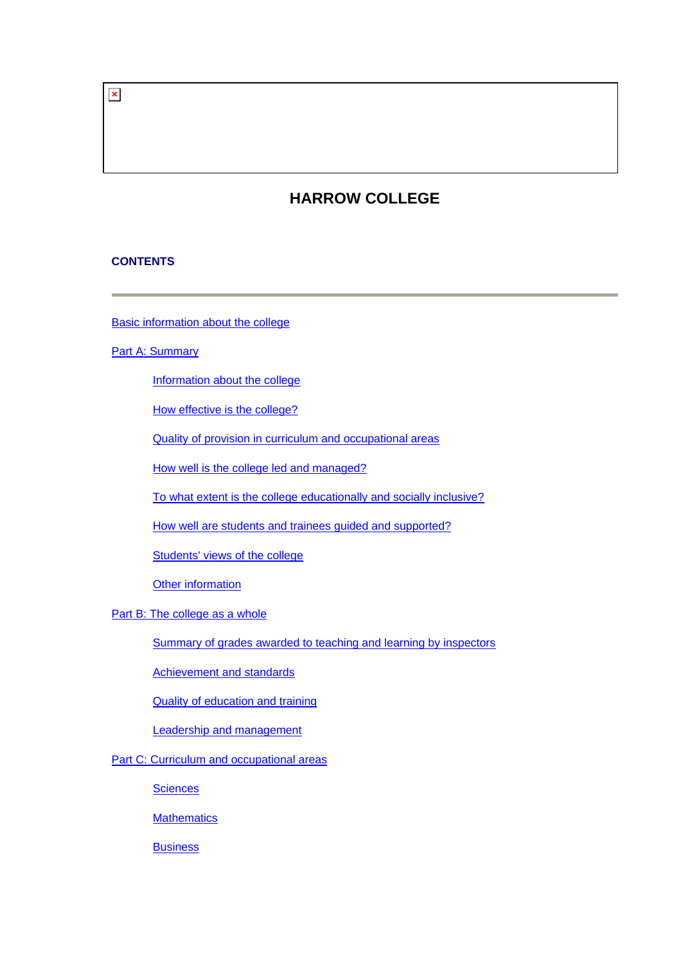$\pmb{\times}$ 

# **HARROW COLLEGE**

# **CONTENTS**

[Basic information about the college](#page-1-0)

# **[Part A: Summary](#page-2-0)**

[Information about the college](#page-2-0)

[How effective is the college?](#page-2-0)

[Quality of provision in curriculum and occupational areas](#page-4-0)

[How well is the college led and managed?](#page-6-0)

[To what extent is the college educationally and socially inclusive?](#page-6-0)

[How well are students and trainees guided and supported?](#page-6-0)

[Students' views of the college](#page-6-0)

[Other information](#page-7-0)

[Part B: The college as a whole](#page-7-0)

[Summary of grades awarded to teaching and learning by inspectors](#page-8-0)

[Achievement and standards](#page-8-0)

[Quality of education and training](#page-9-0)

[Leadership and management](#page-12-0)

[Part C: Curriculum and occupational areas](#page-13-0)

**[Sciences](#page-14-0)** 

**[Mathematics](#page-16-0)** 

**[Business](#page-19-0)**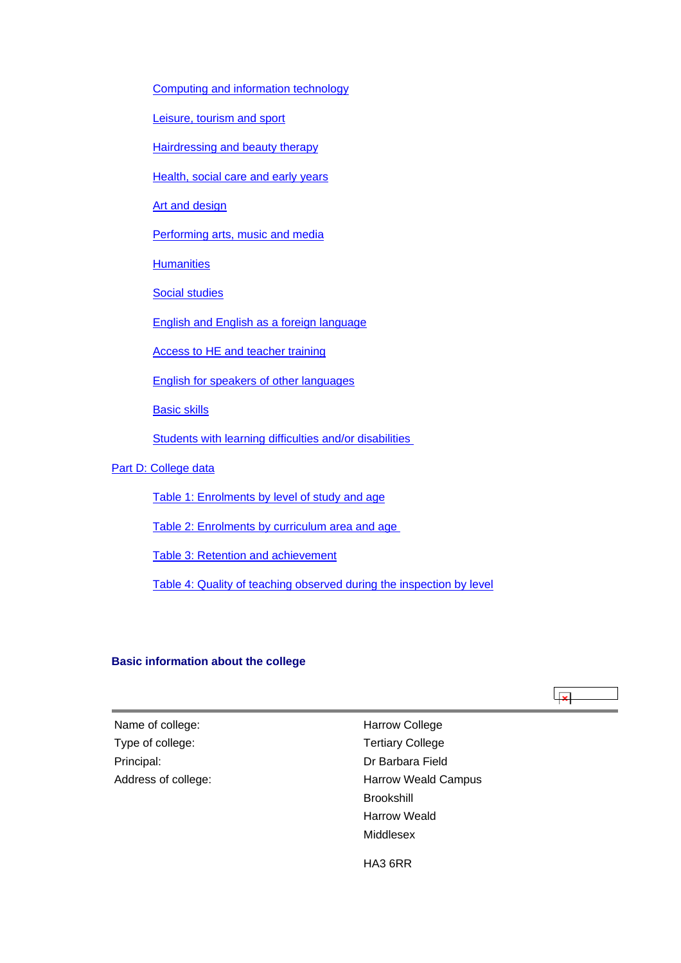<span id="page-1-0"></span>[Computing and information technology](#page-21-0)

[Leisure, tourism and sport](#page-24-0)

[Hairdressing and beauty therapy](#page-27-0)

[Health, social care and early years](#page-29-0)

[Art and design](#page-32-0)

[Performing arts, music and media](#page-34-0)

**[Humanities](#page-37-0)** 

[Social studies](#page-39-0)

[English and English as a foreign language](#page-41-0)

[Access to HE and teacher training](#page-44-0)

[English for speakers of other languages](#page-47-0)

[Basic skills](#page-49-0)

[Students with learning difficulties and/or disabilities](#page-51-0) 

[Part D: College data](#page-53-0)

[Table 1: Enrolments by level of study and age](#page-54-0)

[Table 2: Enrolments by curriculum area and age](#page-54-0) 

[Table 3: Retention and achievement](#page-54-0)

[Table 4: Quality of teaching observed during the inspection by level](#page-56-0)

#### **Basic information about the college**

 $\overline{\mathbf{x}}$ 

Name of college: Name of college: Name of college: Type of college: Type of college: Principal: Dr Barbara Field Address of college:

Harrow Weald Campus Brookshill Harrow Weald Middlesex

HA3 6RR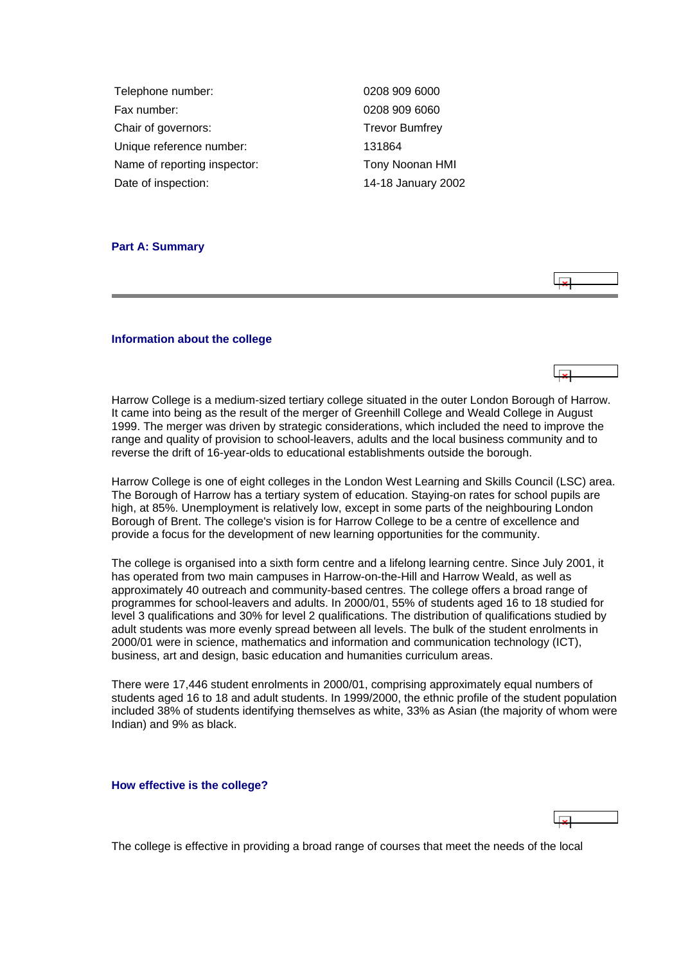<span id="page-2-0"></span>

| Telephone number:            | 0208 909 6000         |
|------------------------------|-----------------------|
| Fax number:                  | 0208 909 6060         |
| Chair of governors:          | <b>Trevor Bumfrey</b> |
| Unique reference number:     | 131864                |
| Name of reporting inspector: | Tony Noonan HMI       |
| Date of inspection:          | 14-18 January 2002    |

#### **Part A: Summary**



#### **Information about the college**

Harrow College is a medium-sized tertiary college situated in the outer London Borough of Harrow. It came into being as the result of the merger of Greenhill College and Weald College in August 1999. The merger was driven by strategic considerations, which included the need to improve the range and quality of provision to school-leavers, adults and the local business community and to reverse the drift of 16-year-olds to educational establishments outside the borough.

Harrow College is one of eight colleges in the London West Learning and Skills Council (LSC) area. The Borough of Harrow has a tertiary system of education. Staying-on rates for school pupils are high, at 85%. Unemployment is relatively low, except in some parts of the neighbouring London Borough of Brent. The college's vision is for Harrow College to be a centre of excellence and provide a focus for the development of new learning opportunities for the community.

The college is organised into a sixth form centre and a lifelong learning centre. Since July 2001, it has operated from two main campuses in Harrow-on-the-Hill and Harrow Weald, as well as approximately 40 outreach and community-based centres. The college offers a broad range of programmes for school-leavers and adults. In 2000/01, 55% of students aged 16 to 18 studied for level 3 qualifications and 30% for level 2 qualifications. The distribution of qualifications studied by adult students was more evenly spread between all levels. The bulk of the student enrolments in 2000/01 were in science, mathematics and information and communication technology (ICT), business, art and design, basic education and humanities curriculum areas.

There were 17,446 student enrolments in 2000/01, comprising approximately equal numbers of students aged 16 to 18 and adult students. In 1999/2000, the ethnic profile of the student population included 38% of students identifying themselves as white, 33% as Asian (the majority of whom were Indian) and 9% as black.

**How effective is the college?**

The college is effective in providing a broad range of courses that meet the needs of the local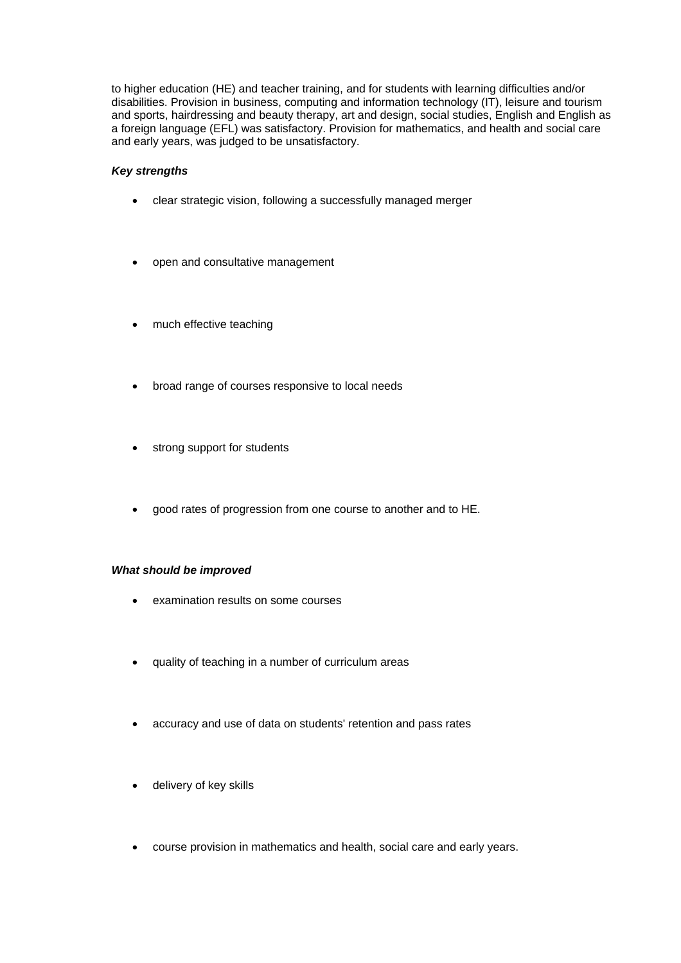to higher education (HE) and teacher training, and for students with learning difficulties and/or disabilities. Provision in business, computing and information technology (IT), leisure and tourism and sports, hairdressing and beauty therapy, art and design, social studies, English and English as a foreign language (EFL) was satisfactory. Provision for mathematics, and health and social care and early years, was judged to be unsatisfactory.

# *Key strengths*

- clear strategic vision, following a successfully managed merger
- open and consultative management
- much effective teaching
- broad range of courses responsive to local needs
- strong support for students
- good rates of progression from one course to another and to HE.

#### *What should be improved*

- examination results on some courses
- quality of teaching in a number of curriculum areas
- accuracy and use of data on students' retention and pass rates
- delivery of key skills
- course provision in mathematics and health, social care and early years.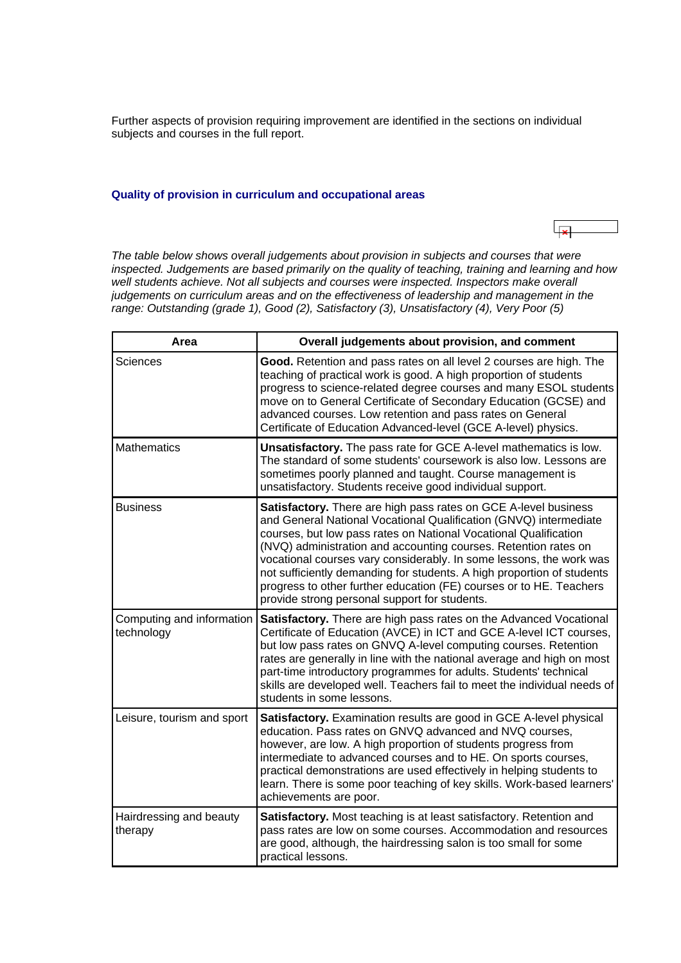<span id="page-4-0"></span>Further aspects of provision requiring improvement are identified in the sections on individual subjects and courses in the full report.

# **Quality of provision in curriculum and occupational areas**

 $\overline{\mathbf{R}}$ 

*The table below shows overall judgements about provision in subjects and courses that were inspected. Judgements are based primarily on the quality of teaching, training and learning and how well students achieve. Not all subjects and courses were inspected. Inspectors make overall judgements on curriculum areas and on the effectiveness of leadership and management in the range: Outstanding (grade 1), Good (2), Satisfactory (3), Unsatisfactory (4), Very Poor (5)*

| Area                                    | Overall judgements about provision, and comment                                                                                                                                                                                                                                                                                                                                                                                                                                                                                                             |
|-----------------------------------------|-------------------------------------------------------------------------------------------------------------------------------------------------------------------------------------------------------------------------------------------------------------------------------------------------------------------------------------------------------------------------------------------------------------------------------------------------------------------------------------------------------------------------------------------------------------|
| Sciences                                | Good. Retention and pass rates on all level 2 courses are high. The<br>teaching of practical work is good. A high proportion of students<br>progress to science-related degree courses and many ESOL students<br>move on to General Certificate of Secondary Education (GCSE) and<br>advanced courses. Low retention and pass rates on General<br>Certificate of Education Advanced-level (GCE A-level) physics.                                                                                                                                            |
| <b>Mathematics</b>                      | Unsatisfactory. The pass rate for GCE A-level mathematics is low.<br>The standard of some students' coursework is also low. Lessons are<br>sometimes poorly planned and taught. Course management is<br>unsatisfactory. Students receive good individual support.                                                                                                                                                                                                                                                                                           |
| <b>Business</b>                         | <b>Satisfactory.</b> There are high pass rates on GCE A-level business<br>and General National Vocational Qualification (GNVQ) intermediate<br>courses, but low pass rates on National Vocational Qualification<br>(NVQ) administration and accounting courses. Retention rates on<br>vocational courses vary considerably. In some lessons, the work was<br>not sufficiently demanding for students. A high proportion of students<br>progress to other further education (FE) courses or to HE. Teachers<br>provide strong personal support for students. |
| Computing and information<br>technology | Satisfactory. There are high pass rates on the Advanced Vocational<br>Certificate of Education (AVCE) in ICT and GCE A-level ICT courses,<br>but low pass rates on GNVQ A-level computing courses. Retention<br>rates are generally in line with the national average and high on most<br>part-time introductory programmes for adults. Students' technical<br>skills are developed well. Teachers fail to meet the individual needs of<br>students in some lessons.                                                                                        |
| Leisure, tourism and sport              | Satisfactory. Examination results are good in GCE A-level physical<br>education. Pass rates on GNVQ advanced and NVQ courses,<br>however, are low. A high proportion of students progress from<br>intermediate to advanced courses and to HE. On sports courses,<br>practical demonstrations are used effectively in helping students to<br>learn. There is some poor teaching of key skills. Work-based learners'<br>achievements are poor.                                                                                                                |
| Hairdressing and beauty<br>therapy      | Satisfactory. Most teaching is at least satisfactory. Retention and<br>pass rates are low on some courses. Accommodation and resources<br>are good, although, the hairdressing salon is too small for some<br>practical lessons.                                                                                                                                                                                                                                                                                                                            |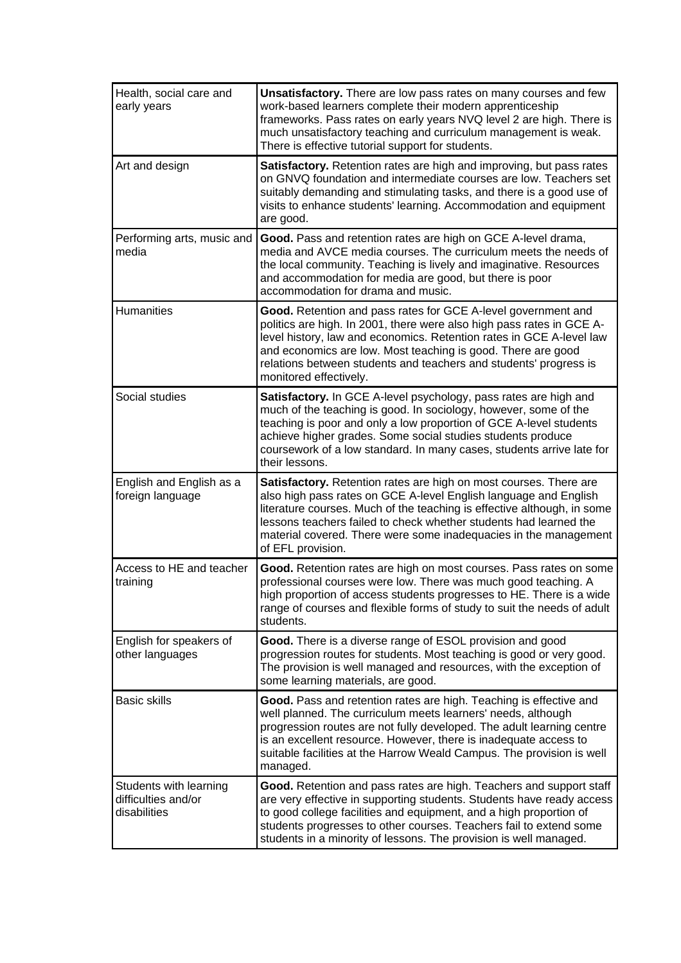| Health, social care and<br>early years                        | Unsatisfactory. There are low pass rates on many courses and few<br>work-based learners complete their modern apprenticeship<br>frameworks. Pass rates on early years NVQ level 2 are high. There is<br>much unsatisfactory teaching and curriculum management is weak.<br>There is effective tutorial support for students.                                                          |
|---------------------------------------------------------------|---------------------------------------------------------------------------------------------------------------------------------------------------------------------------------------------------------------------------------------------------------------------------------------------------------------------------------------------------------------------------------------|
| Art and design                                                | Satisfactory. Retention rates are high and improving, but pass rates<br>on GNVQ foundation and intermediate courses are low. Teachers set<br>suitably demanding and stimulating tasks, and there is a good use of<br>visits to enhance students' learning. Accommodation and equipment<br>are good.                                                                                   |
| Performing arts, music and<br>media                           | Good. Pass and retention rates are high on GCE A-level drama,<br>media and AVCE media courses. The curriculum meets the needs of<br>the local community. Teaching is lively and imaginative. Resources<br>and accommodation for media are good, but there is poor<br>accommodation for drama and music.                                                                               |
| <b>Humanities</b>                                             | Good. Retention and pass rates for GCE A-level government and<br>politics are high. In 2001, there were also high pass rates in GCE A-<br>level history, law and economics. Retention rates in GCE A-level law<br>and economics are low. Most teaching is good. There are good<br>relations between students and teachers and students' progress is<br>monitored effectively.         |
| Social studies                                                | Satisfactory. In GCE A-level psychology, pass rates are high and<br>much of the teaching is good. In sociology, however, some of the<br>teaching is poor and only a low proportion of GCE A-level students<br>achieve higher grades. Some social studies students produce<br>coursework of a low standard. In many cases, students arrive late for<br>their lessons.                  |
| English and English as a<br>foreign language                  | <b>Satisfactory.</b> Retention rates are high on most courses. There are<br>also high pass rates on GCE A-level English language and English<br>literature courses. Much of the teaching is effective although, in some<br>lessons teachers failed to check whether students had learned the<br>material covered. There were some inadequacies in the management<br>of EFL provision. |
| Access to HE and teacher<br>training                          | Good. Retention rates are high on most courses. Pass rates on some<br>professional courses were low. There was much good teaching. A<br>high proportion of access students progresses to HE. There is a wide<br>range of courses and flexible forms of study to suit the needs of adult<br>students.                                                                                  |
| English for speakers of<br>other languages                    | Good. There is a diverse range of ESOL provision and good<br>progression routes for students. Most teaching is good or very good.<br>The provision is well managed and resources, with the exception of<br>some learning materials, are good.                                                                                                                                         |
| <b>Basic skills</b>                                           | Good. Pass and retention rates are high. Teaching is effective and<br>well planned. The curriculum meets learners' needs, although<br>progression routes are not fully developed. The adult learning centre<br>is an excellent resource. However, there is inadequate access to<br>suitable facilities at the Harrow Weald Campus. The provision is well<br>managed.                  |
| Students with learning<br>difficulties and/or<br>disabilities | Good. Retention and pass rates are high. Teachers and support staff<br>are very effective in supporting students. Students have ready access<br>to good college facilities and equipment, and a high proportion of<br>students progresses to other courses. Teachers fail to extend some<br>students in a minority of lessons. The provision is well managed.                         |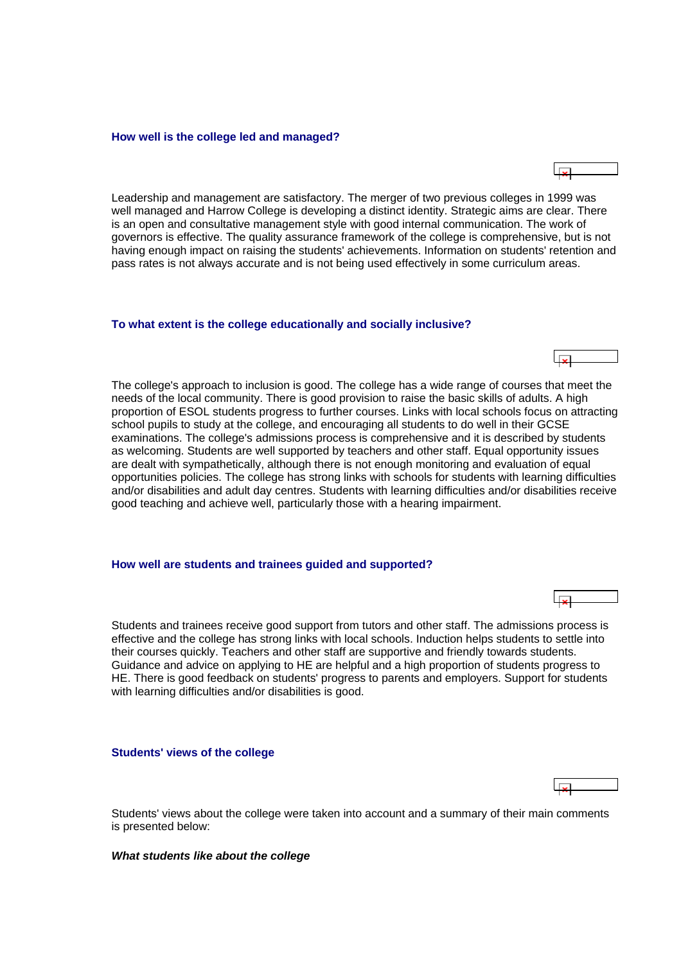#### <span id="page-6-0"></span>**How well is the college led and managed?**

Leadership and management are satisfactory. The merger of two previous colleges in 1999 was well managed and Harrow College is developing a distinct identity. Strategic aims are clear. There is an open and consultative management style with good internal communication. The work of governors is effective. The quality assurance framework of the college is comprehensive, but is not having enough impact on raising the students' achievements. Information on students' retention and pass rates is not always accurate and is not being used effectively in some curriculum areas.

#### **To what extent is the college educationally and socially inclusive?**

The college's approach to inclusion is good. The college has a wide range of courses that meet the needs of the local community. There is good provision to raise the basic skills of adults. A high proportion of ESOL students progress to further courses. Links with local schools focus on attracting school pupils to study at the college, and encouraging all students to do well in their GCSE examinations. The college's admissions process is comprehensive and it is described by students as welcoming. Students are well supported by teachers and other staff. Equal opportunity issues are dealt with sympathetically, although there is not enough monitoring and evaluation of equal opportunities policies. The college has strong links with schools for students with learning difficulties and/or disabilities and adult day centres. Students with learning difficulties and/or disabilities receive good teaching and achieve well, particularly those with a hearing impairment.

#### **How well are students and trainees guided and supported?**

Students and trainees receive good support from tutors and other staff. The admissions process is effective and the college has strong links with local schools. Induction helps students to settle into their courses quickly. Teachers and other staff are supportive and friendly towards students. Guidance and advice on applying to HE are helpful and a high proportion of students progress to HE. There is good feedback on students' progress to parents and employers. Support for students with learning difficulties and/or disabilities is good.

#### **Students' views of the college**

Students' views about the college were taken into account and a summary of their main comments is presented below:

#### *What students like about the college*





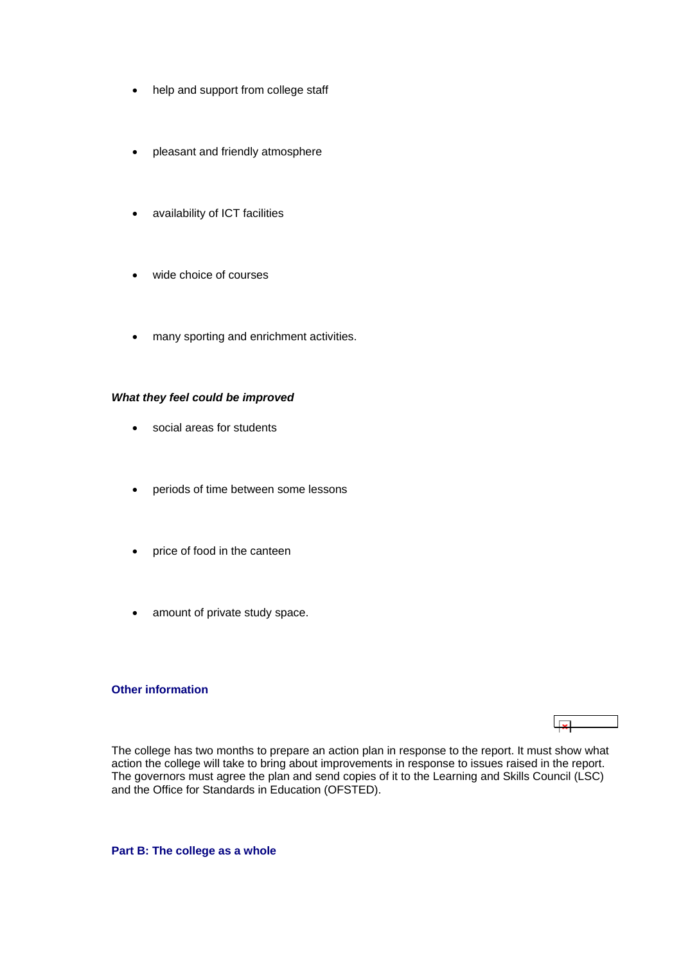- <span id="page-7-0"></span>• help and support from college staff
- pleasant and friendly atmosphere
- availability of ICT facilities
- wide choice of courses
- many sporting and enrichment activities.

#### *What they feel could be improved*

- social areas for students
- periods of time between some lessons
- price of food in the canteen
- amount of private study space.

#### **Other information**

# $\overline{1}$

The college has two months to prepare an action plan in response to the report. It must show what action the college will take to bring about improvements in response to issues raised in the report. The governors must agree the plan and send copies of it to the Learning and Skills Council (LSC) and the Office for Standards in Education (OFSTED).

**Part B: The college as a whole**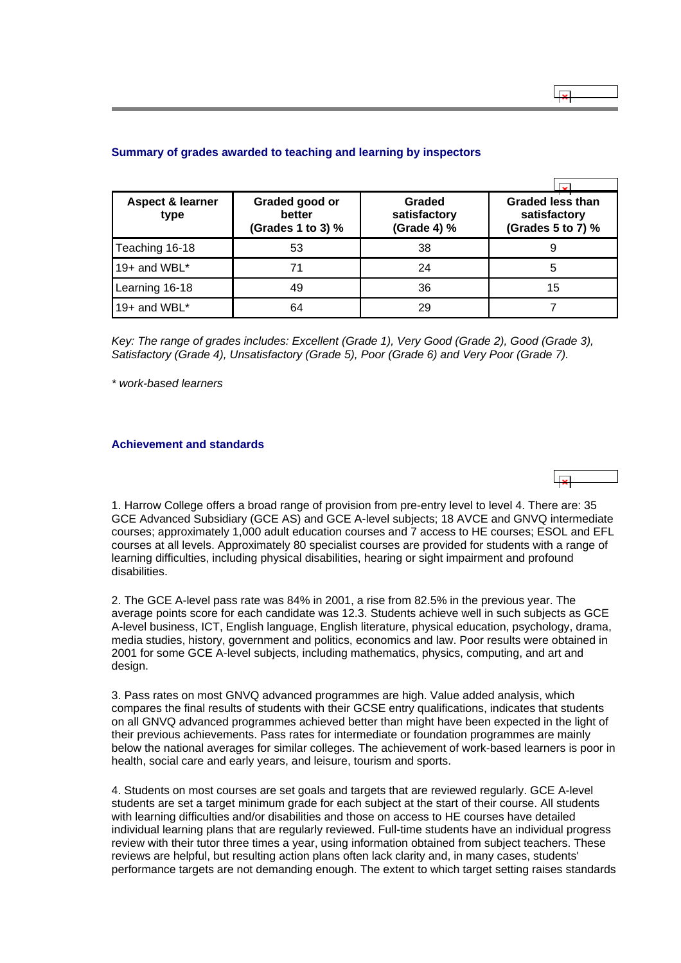| <b>Aspect &amp; learner</b><br>type | Graded good or<br>better<br>(Grades 1 to 3) % | Graded<br>satisfactory<br>(Grade 4) % | <b>Graded less than</b><br>satisfactory<br>(Grades 5 to 7) % |
|-------------------------------------|-----------------------------------------------|---------------------------------------|--------------------------------------------------------------|
| Teaching 16-18                      | 53                                            | 38                                    |                                                              |
| 19+ and WBL $^*$                    | 71                                            | 24                                    | 5                                                            |
| Learning 16-18                      | 49                                            | 36                                    | 15                                                           |
| 19+ and WBL $*$                     | 64                                            | 29                                    |                                                              |

### <span id="page-8-0"></span>**Summary of grades awarded to teaching and learning by inspectors**

*Key: The range of grades includes: Excellent (Grade 1), Very Good (Grade 2), Good (Grade 3), Satisfactory (Grade 4), Unsatisfactory (Grade 5), Poor (Grade 6) and Very Poor (Grade 7).*

*\* work-based learners*

disabilities.

# **Achievement and standards**

1. Harrow College offers a broad range of provision from pre-entry level to level 4. There are: 35 GCE Advanced Subsidiary (GCE AS) and GCE A-level subjects; 18 AVCE and GNVQ intermediate courses; approximately 1,000 adult education courses and 7 access to HE courses; ESOL and EFL courses at all levels. Approximately 80 specialist courses are provided for students with a range of learning difficulties, including physical disabilities, hearing or sight impairment and profound

2. The GCE A-level pass rate was 84% in 2001, a rise from 82.5% in the previous year. The average points score for each candidate was 12.3. Students achieve well in such subjects as GCE A-level business, ICT, English language, English literature, physical education, psychology, drama, media studies, history, government and politics, economics and law. Poor results were obtained in 2001 for some GCE A-level subjects, including mathematics, physics, computing, and art and design.

3. Pass rates on most GNVQ advanced programmes are high. Value added analysis, which compares the final results of students with their GCSE entry qualifications, indicates that students on all GNVQ advanced programmes achieved better than might have been expected in the light of their previous achievements. Pass rates for intermediate or foundation programmes are mainly below the national averages for similar colleges. The achievement of work-based learners is poor in health, social care and early years, and leisure, tourism and sports.

4. Students on most courses are set goals and targets that are reviewed regularly. GCE A-level students are set a target minimum grade for each subject at the start of their course. All students with learning difficulties and/or disabilities and those on access to HE courses have detailed individual learning plans that are regularly reviewed. Full-time students have an individual progress review with their tutor three times a year, using information obtained from subject teachers. These reviews are helpful, but resulting action plans often lack clarity and, in many cases, students' performance targets are not demanding enough. The extent to which target setting raises standards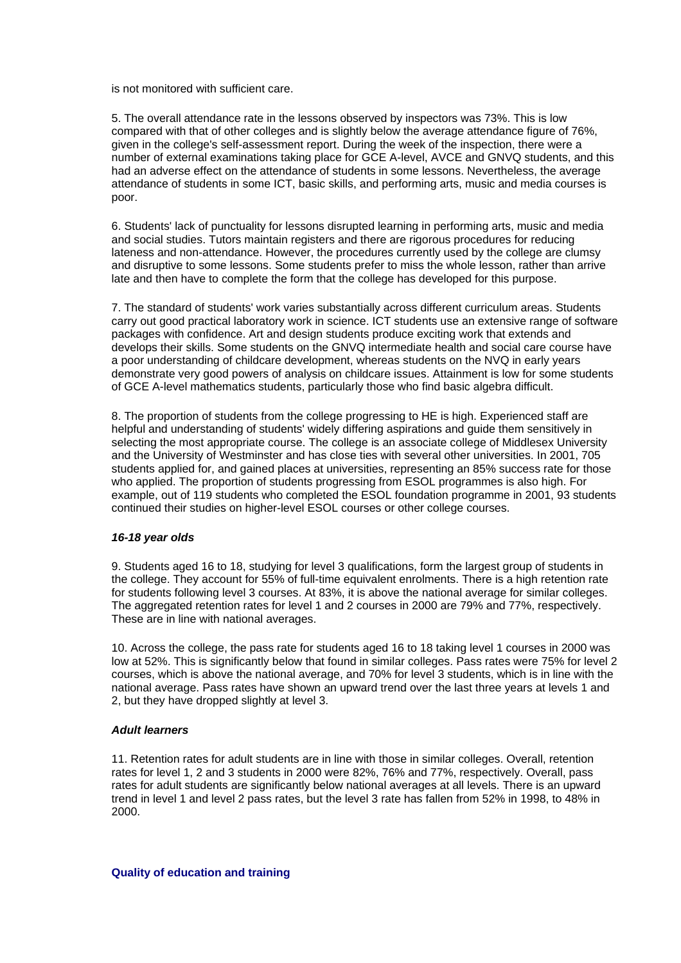<span id="page-9-0"></span>is not monitored with sufficient care.

5. The overall attendance rate in the lessons observed by inspectors was 73%. This is low compared with that of other colleges and is slightly below the average attendance figure of 76%, given in the college's self-assessment report. During the week of the inspection, there were a number of external examinations taking place for GCE A-level, AVCE and GNVQ students, and this had an adverse effect on the attendance of students in some lessons. Nevertheless, the average attendance of students in some ICT, basic skills, and performing arts, music and media courses is poor.

6. Students' lack of punctuality for lessons disrupted learning in performing arts, music and media and social studies. Tutors maintain registers and there are rigorous procedures for reducing lateness and non-attendance. However, the procedures currently used by the college are clumsy and disruptive to some lessons. Some students prefer to miss the whole lesson, rather than arrive late and then have to complete the form that the college has developed for this purpose.

7. The standard of students' work varies substantially across different curriculum areas. Students carry out good practical laboratory work in science. ICT students use an extensive range of software packages with confidence. Art and design students produce exciting work that extends and develops their skills. Some students on the GNVQ intermediate health and social care course have a poor understanding of childcare development, whereas students on the NVQ in early years demonstrate very good powers of analysis on childcare issues. Attainment is low for some students of GCE A-level mathematics students, particularly those who find basic algebra difficult.

8. The proportion of students from the college progressing to HE is high. Experienced staff are helpful and understanding of students' widely differing aspirations and guide them sensitively in selecting the most appropriate course. The college is an associate college of Middlesex University and the University of Westminster and has close ties with several other universities. In 2001, 705 students applied for, and gained places at universities, representing an 85% success rate for those who applied. The proportion of students progressing from ESOL programmes is also high. For example, out of 119 students who completed the ESOL foundation programme in 2001, 93 students continued their studies on higher-level ESOL courses or other college courses.

#### *16-18 year olds*

9. Students aged 16 to 18, studying for level 3 qualifications, form the largest group of students in the college. They account for 55% of full-time equivalent enrolments. There is a high retention rate for students following level 3 courses. At 83%, it is above the national average for similar colleges. The aggregated retention rates for level 1 and 2 courses in 2000 are 79% and 77%, respectively. These are in line with national averages.

10. Across the college, the pass rate for students aged 16 to 18 taking level 1 courses in 2000 was low at 52%. This is significantly below that found in similar colleges. Pass rates were 75% for level 2 courses, which is above the national average, and 70% for level 3 students, which is in line with the national average. Pass rates have shown an upward trend over the last three years at levels 1 and 2, but they have dropped slightly at level 3.

#### *Adult learners*

11. Retention rates for adult students are in line with those in similar colleges. Overall, retention rates for level 1, 2 and 3 students in 2000 were 82%, 76% and 77%, respectively. Overall, pass rates for adult students are significantly below national averages at all levels. There is an upward trend in level 1 and level 2 pass rates, but the level 3 rate has fallen from 52% in 1998, to 48% in 2000.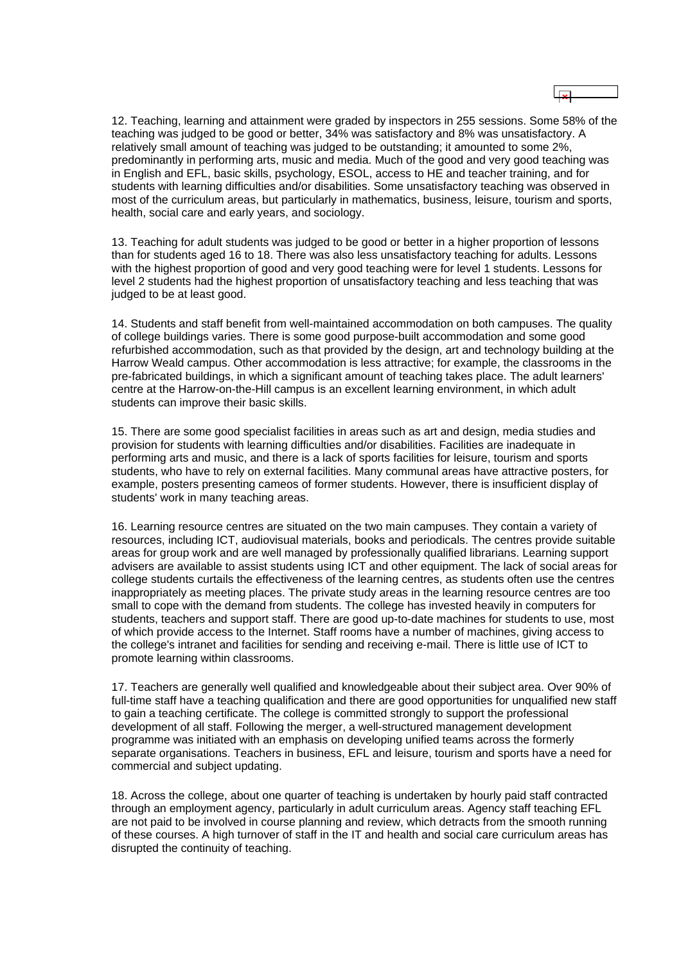12. Teaching, learning and attainment were graded by inspectors in 255 sessions. Some 58% of the teaching was judged to be good or better, 34% was satisfactory and 8% was unsatisfactory. A relatively small amount of teaching was judged to be outstanding; it amounted to some 2%, predominantly in performing arts, music and media. Much of the good and very good teaching was in English and EFL, basic skills, psychology, ESOL, access to HE and teacher training, and for students with learning difficulties and/or disabilities. Some unsatisfactory teaching was observed in most of the curriculum areas, but particularly in mathematics, business, leisure, tourism and sports, health, social care and early years, and sociology.

13. Teaching for adult students was judged to be good or better in a higher proportion of lessons than for students aged 16 to 18. There was also less unsatisfactory teaching for adults. Lessons with the highest proportion of good and very good teaching were for level 1 students. Lessons for level 2 students had the highest proportion of unsatisfactory teaching and less teaching that was judged to be at least good.

14. Students and staff benefit from well-maintained accommodation on both campuses. The quality of college buildings varies. There is some good purpose-built accommodation and some good refurbished accommodation, such as that provided by the design, art and technology building at the Harrow Weald campus. Other accommodation is less attractive; for example, the classrooms in the pre-fabricated buildings, in which a significant amount of teaching takes place. The adult learners' centre at the Harrow-on-the-Hill campus is an excellent learning environment, in which adult students can improve their basic skills.

15. There are some good specialist facilities in areas such as art and design, media studies and provision for students with learning difficulties and/or disabilities. Facilities are inadequate in performing arts and music, and there is a lack of sports facilities for leisure, tourism and sports students, who have to rely on external facilities. Many communal areas have attractive posters, for example, posters presenting cameos of former students. However, there is insufficient display of students' work in many teaching areas.

16. Learning resource centres are situated on the two main campuses. They contain a variety of resources, including ICT, audiovisual materials, books and periodicals. The centres provide suitable areas for group work and are well managed by professionally qualified librarians. Learning support advisers are available to assist students using ICT and other equipment. The lack of social areas for college students curtails the effectiveness of the learning centres, as students often use the centres inappropriately as meeting places. The private study areas in the learning resource centres are too small to cope with the demand from students. The college has invested heavily in computers for students, teachers and support staff. There are good up-to-date machines for students to use, most of which provide access to the Internet. Staff rooms have a number of machines, giving access to the college's intranet and facilities for sending and receiving e-mail. There is little use of ICT to promote learning within classrooms.

17. Teachers are generally well qualified and knowledgeable about their subject area. Over 90% of full-time staff have a teaching qualification and there are good opportunities for unqualified new staff to gain a teaching certificate. The college is committed strongly to support the professional development of all staff. Following the merger, a well-structured management development programme was initiated with an emphasis on developing unified teams across the formerly separate organisations. Teachers in business, EFL and leisure, tourism and sports have a need for commercial and subject updating.

18. Across the college, about one quarter of teaching is undertaken by hourly paid staff contracted through an employment agency, particularly in adult curriculum areas. Agency staff teaching EFL are not paid to be involved in course planning and review, which detracts from the smooth running of these courses. A high turnover of staff in the IT and health and social care curriculum areas has disrupted the continuity of teaching.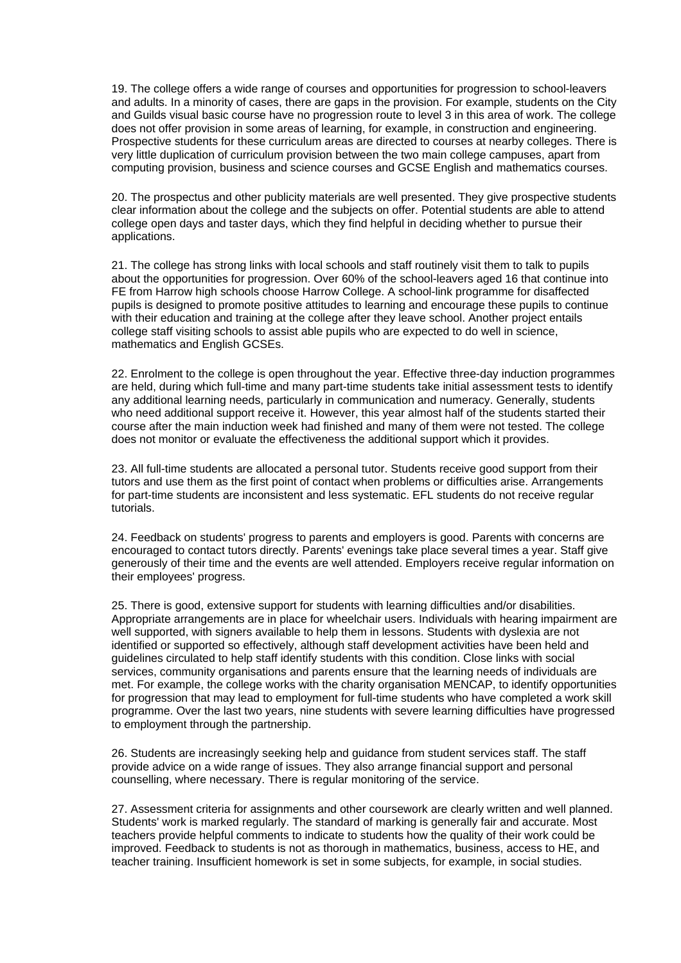19. The college offers a wide range of courses and opportunities for progression to school-leavers and adults. In a minority of cases, there are gaps in the provision. For example, students on the City and Guilds visual basic course have no progression route to level 3 in this area of work. The college does not offer provision in some areas of learning, for example, in construction and engineering. Prospective students for these curriculum areas are directed to courses at nearby colleges. There is very little duplication of curriculum provision between the two main college campuses, apart from computing provision, business and science courses and GCSE English and mathematics courses.

20. The prospectus and other publicity materials are well presented. They give prospective students clear information about the college and the subjects on offer. Potential students are able to attend college open days and taster days, which they find helpful in deciding whether to pursue their applications.

21. The college has strong links with local schools and staff routinely visit them to talk to pupils about the opportunities for progression. Over 60% of the school-leavers aged 16 that continue into FE from Harrow high schools choose Harrow College. A school-link programme for disaffected pupils is designed to promote positive attitudes to learning and encourage these pupils to continue with their education and training at the college after they leave school. Another project entails college staff visiting schools to assist able pupils who are expected to do well in science, mathematics and English GCSEs.

22. Enrolment to the college is open throughout the year. Effective three-day induction programmes are held, during which full-time and many part-time students take initial assessment tests to identify any additional learning needs, particularly in communication and numeracy. Generally, students who need additional support receive it. However, this year almost half of the students started their course after the main induction week had finished and many of them were not tested. The college does not monitor or evaluate the effectiveness the additional support which it provides.

23. All full-time students are allocated a personal tutor. Students receive good support from their tutors and use them as the first point of contact when problems or difficulties arise. Arrangements for part-time students are inconsistent and less systematic. EFL students do not receive regular tutorials.

24. Feedback on students' progress to parents and employers is good. Parents with concerns are encouraged to contact tutors directly. Parents' evenings take place several times a year. Staff give generously of their time and the events are well attended. Employers receive regular information on their employees' progress.

25. There is good, extensive support for students with learning difficulties and/or disabilities. Appropriate arrangements are in place for wheelchair users. Individuals with hearing impairment are well supported, with signers available to help them in lessons. Students with dyslexia are not identified or supported so effectively, although staff development activities have been held and guidelines circulated to help staff identify students with this condition. Close links with social services, community organisations and parents ensure that the learning needs of individuals are met. For example, the college works with the charity organisation MENCAP, to identify opportunities for progression that may lead to employment for full-time students who have completed a work skill programme. Over the last two years, nine students with severe learning difficulties have progressed to employment through the partnership.

26. Students are increasingly seeking help and guidance from student services staff. The staff provide advice on a wide range of issues. They also arrange financial support and personal counselling, where necessary. There is regular monitoring of the service.

27. Assessment criteria for assignments and other coursework are clearly written and well planned. Students' work is marked regularly. The standard of marking is generally fair and accurate. Most teachers provide helpful comments to indicate to students how the quality of their work could be improved. Feedback to students is not as thorough in mathematics, business, access to HE, and teacher training. Insufficient homework is set in some subjects, for example, in social studies.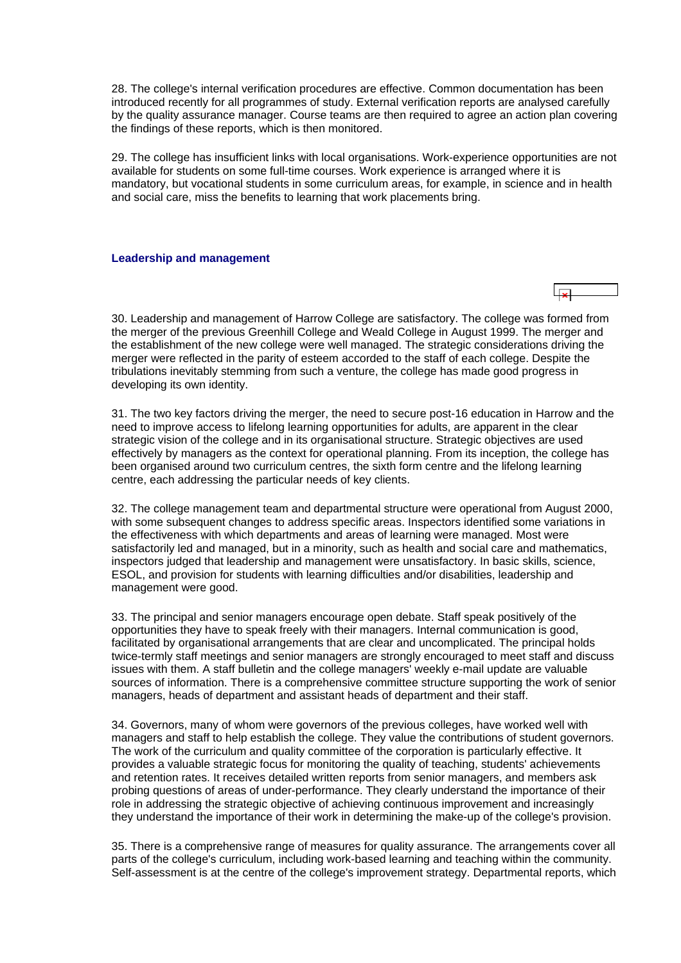<span id="page-12-0"></span>28. The college's internal verification procedures are effective. Common documentation has been introduced recently for all programmes of study. External verification reports are analysed carefully by the quality assurance manager. Course teams are then required to agree an action plan covering the findings of these reports, which is then monitored.

29. The college has insufficient links with local organisations. Work-experience opportunities are not available for students on some full-time courses. Work experience is arranged where it is mandatory, but vocational students in some curriculum areas, for example, in science and in health and social care, miss the benefits to learning that work placements bring.

#### **Leadership and management**

30. Leadership and management of Harrow College are satisfactory. The college was formed from the merger of the previous Greenhill College and Weald College in August 1999. The merger and the establishment of the new college were well managed. The strategic considerations driving the merger were reflected in the parity of esteem accorded to the staff of each college. Despite the tribulations inevitably stemming from such a venture, the college has made good progress in developing its own identity.

31. The two key factors driving the merger, the need to secure post-16 education in Harrow and the need to improve access to lifelong learning opportunities for adults, are apparent in the clear strategic vision of the college and in its organisational structure. Strategic objectives are used effectively by managers as the context for operational planning. From its inception, the college has been organised around two curriculum centres, the sixth form centre and the lifelong learning centre, each addressing the particular needs of key clients.

32. The college management team and departmental structure were operational from August 2000, with some subsequent changes to address specific areas. Inspectors identified some variations in the effectiveness with which departments and areas of learning were managed. Most were satisfactorily led and managed, but in a minority, such as health and social care and mathematics, inspectors judged that leadership and management were unsatisfactory. In basic skills, science, ESOL, and provision for students with learning difficulties and/or disabilities, leadership and management were good.

33. The principal and senior managers encourage open debate. Staff speak positively of the opportunities they have to speak freely with their managers. Internal communication is good, facilitated by organisational arrangements that are clear and uncomplicated. The principal holds twice-termly staff meetings and senior managers are strongly encouraged to meet staff and discuss issues with them. A staff bulletin and the college managers' weekly e-mail update are valuable sources of information. There is a comprehensive committee structure supporting the work of senior managers, heads of department and assistant heads of department and their staff.

34. Governors, many of whom were governors of the previous colleges, have worked well with managers and staff to help establish the college. They value the contributions of student governors. The work of the curriculum and quality committee of the corporation is particularly effective. It provides a valuable strategic focus for monitoring the quality of teaching, students' achievements and retention rates. It receives detailed written reports from senior managers, and members ask probing questions of areas of under-performance. They clearly understand the importance of their role in addressing the strategic objective of achieving continuous improvement and increasingly they understand the importance of their work in determining the make-up of the college's provision.

35. There is a comprehensive range of measures for quality assurance. The arrangements cover all parts of the college's curriculum, including work-based learning and teaching within the community. Self-assessment is at the centre of the college's improvement strategy. Departmental reports, which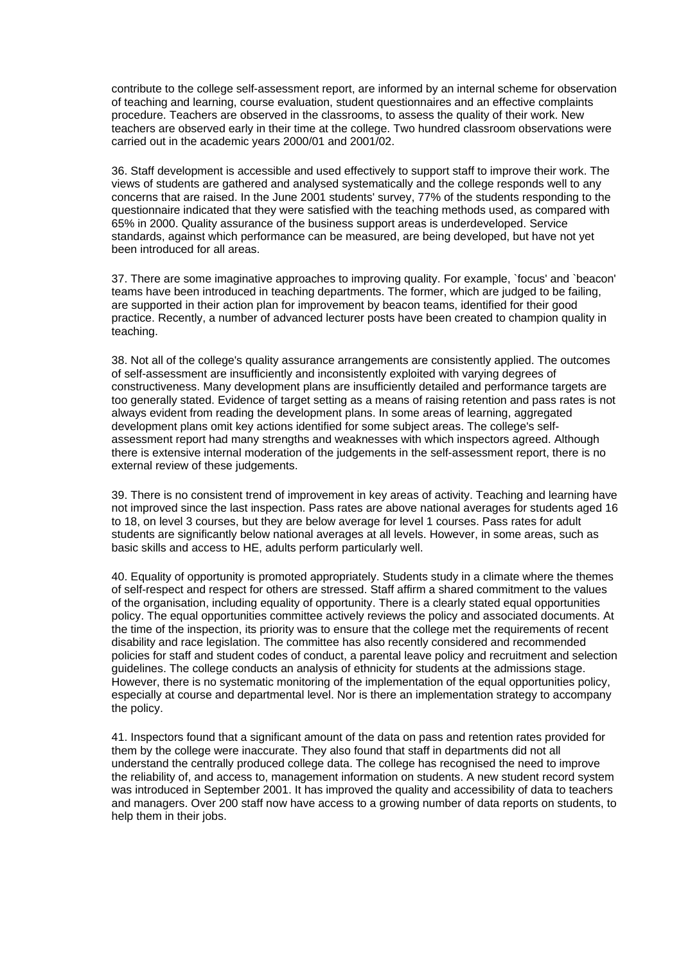<span id="page-13-0"></span>contribute to the college self-assessment report, are informed by an internal scheme for observation of teaching and learning, course evaluation, student questionnaires and an effective complaints procedure. Teachers are observed in the classrooms, to assess the quality of their work. New teachers are observed early in their time at the college. Two hundred classroom observations were carried out in the academic years 2000/01 and 2001/02.

36. Staff development is accessible and used effectively to support staff to improve their work. The views of students are gathered and analysed systematically and the college responds well to any concerns that are raised. In the June 2001 students' survey, 77% of the students responding to the questionnaire indicated that they were satisfied with the teaching methods used, as compared with 65% in 2000. Quality assurance of the business support areas is underdeveloped. Service standards, against which performance can be measured, are being developed, but have not yet been introduced for all areas.

37. There are some imaginative approaches to improving quality. For example, `focus' and `beacon' teams have been introduced in teaching departments. The former, which are judged to be failing, are supported in their action plan for improvement by beacon teams, identified for their good practice. Recently, a number of advanced lecturer posts have been created to champion quality in teaching.

38. Not all of the college's quality assurance arrangements are consistently applied. The outcomes of self-assessment are insufficiently and inconsistently exploited with varying degrees of constructiveness. Many development plans are insufficiently detailed and performance targets are too generally stated. Evidence of target setting as a means of raising retention and pass rates is not always evident from reading the development plans. In some areas of learning, aggregated development plans omit key actions identified for some subject areas. The college's selfassessment report had many strengths and weaknesses with which inspectors agreed. Although there is extensive internal moderation of the judgements in the self-assessment report, there is no external review of these judgements.

39. There is no consistent trend of improvement in key areas of activity. Teaching and learning have not improved since the last inspection. Pass rates are above national averages for students aged 16 to 18, on level 3 courses, but they are below average for level 1 courses. Pass rates for adult students are significantly below national averages at all levels. However, in some areas, such as basic skills and access to HE, adults perform particularly well.

40. Equality of opportunity is promoted appropriately. Students study in a climate where the themes of self-respect and respect for others are stressed. Staff affirm a shared commitment to the values of the organisation, including equality of opportunity. There is a clearly stated equal opportunities policy. The equal opportunities committee actively reviews the policy and associated documents. At the time of the inspection, its priority was to ensure that the college met the requirements of recent disability and race legislation. The committee has also recently considered and recommended policies for staff and student codes of conduct, a parental leave policy and recruitment and selection guidelines. The college conducts an analysis of ethnicity for students at the admissions stage. However, there is no systematic monitoring of the implementation of the equal opportunities policy, especially at course and departmental level. Nor is there an implementation strategy to accompany the policy.

41. Inspectors found that a significant amount of the data on pass and retention rates provided for them by the college were inaccurate. They also found that staff in departments did not all understand the centrally produced college data. The college has recognised the need to improve the reliability of, and access to, management information on students. A new student record system was introduced in September 2001. It has improved the quality and accessibility of data to teachers and managers. Over 200 staff now have access to a growing number of data reports on students, to help them in their jobs.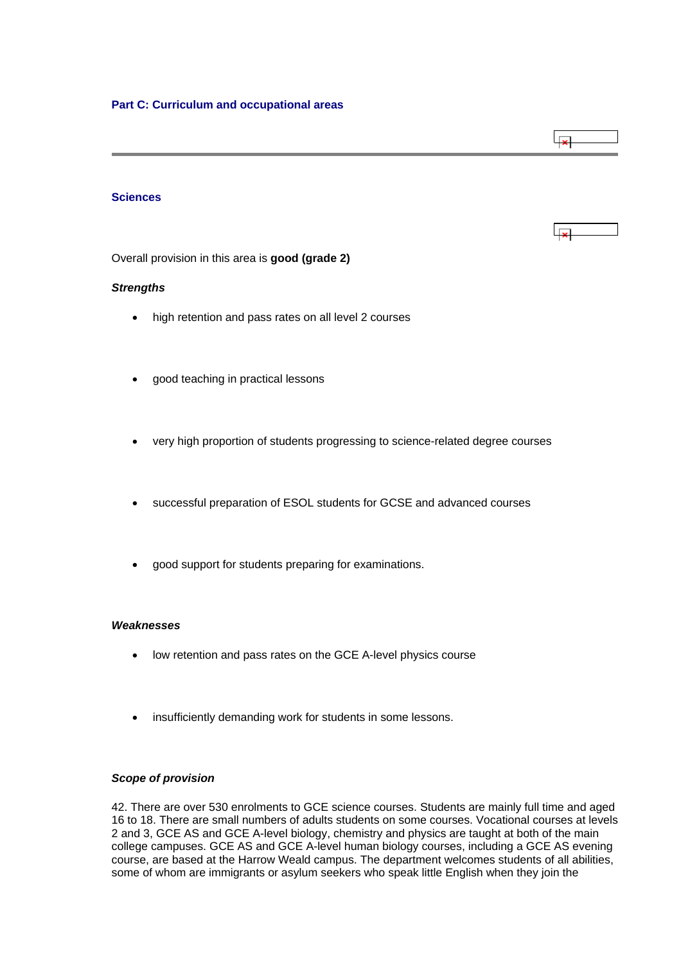# <span id="page-14-0"></span>**Sciences**

Overall provision in this area is **good (grade 2)**

### *Strengths*

- high retention and pass rates on all level 2 courses
- good teaching in practical lessons
- very high proportion of students progressing to science-related degree courses
- successful preparation of ESOL students for GCSE and advanced courses
- good support for students preparing for examinations.

#### *Weaknesses*

- low retention and pass rates on the GCE A-level physics course
- insufficiently demanding work for students in some lessons.

# *Scope of provision*

42. There are over 530 enrolments to GCE science courses. Students are mainly full time and aged 16 to 18. There are small numbers of adults students on some courses. Vocational courses at levels 2 and 3, GCE AS and GCE A-level biology, chemistry and physics are taught at both of the main college campuses. GCE AS and GCE A-level human biology courses, including a GCE AS evening course, are based at the Harrow Weald campus. The department welcomes students of all abilities, some of whom are immigrants or asylum seekers who speak little English when they join the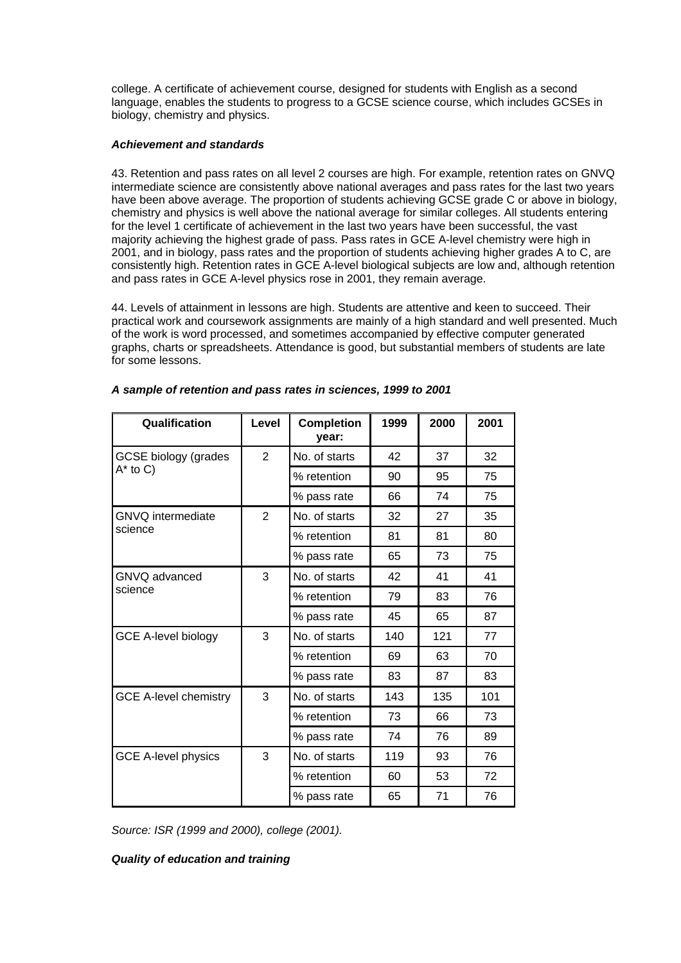college. A certificate of achievement course, designed for students with English as a second language, enables the students to progress to a GCSE science course, which includes GCSEs in biology, chemistry and physics.

# *Achievement and standards*

43. Retention and pass rates on all level 2 courses are high. For example, retention rates on GNVQ intermediate science are consistently above national averages and pass rates for the last two years have been above average. The proportion of students achieving GCSE grade C or above in biology, chemistry and physics is well above the national average for similar colleges. All students entering for the level 1 certificate of achievement in the last two years have been successful, the vast majority achieving the highest grade of pass. Pass rates in GCE A-level chemistry were high in 2001, and in biology, pass rates and the proportion of students achieving higher grades A to C, are consistently high. Retention rates in GCE A-level biological subjects are low and, although retention and pass rates in GCE A-level physics rose in 2001, they remain average.

44. Levels of attainment in lessons are high. Students are attentive and keen to succeed. Their practical work and coursework assignments are mainly of a high standard and well presented. Much of the work is word processed, and sometimes accompanied by effective computer generated graphs, charts or spreadsheets. Attendance is good, but substantial members of students are late for some lessons.

| Qualification                | Level          | <b>Completion</b><br>year: | 1999 | 2000 | 2001 |
|------------------------------|----------------|----------------------------|------|------|------|
| <b>GCSE biology (grades</b>  | $\overline{2}$ | No. of starts              | 42   | 37   | 32   |
| $A^*$ to C)                  |                | % retention                | 90   | 95   | 75   |
|                              |                | % pass rate                | 66   | 74   | 75   |
| <b>GNVQ</b> intermediate     | $\overline{2}$ | No. of starts              | 32   | 27   | 35   |
| science                      |                | % retention                | 81   | 81   | 80   |
|                              |                | % pass rate                | 65   | 73   | 75   |
| GNVQ advanced                | 3              | No. of starts              | 42   | 41   | 41   |
| science                      |                | % retention                | 79   | 83   | 76   |
|                              |                | % pass rate                | 45   | 65   | 87   |
| <b>GCE A-level biology</b>   | 3              | No. of starts              | 140  | 121  | 77   |
|                              |                | % retention                | 69   | 63   | 70   |
|                              |                | % pass rate                | 83   | 87   | 83   |
| <b>GCE A-level chemistry</b> | 3              | No. of starts              | 143  | 135  | 101  |
|                              |                | % retention                | 73   | 66   | 73   |
|                              |                | % pass rate                | 74   | 76   | 89   |
| <b>GCE A-level physics</b>   | 3              | No. of starts              | 119  | 93   | 76   |
|                              |                | % retention                | 60   | 53   | 72   |
|                              |                | % pass rate                | 65   | 71   | 76   |

# *A sample of retention and pass rates in sciences, 1999 to 2001*

*Source: ISR (1999 and 2000), college (2001).*

*Quality of education and training*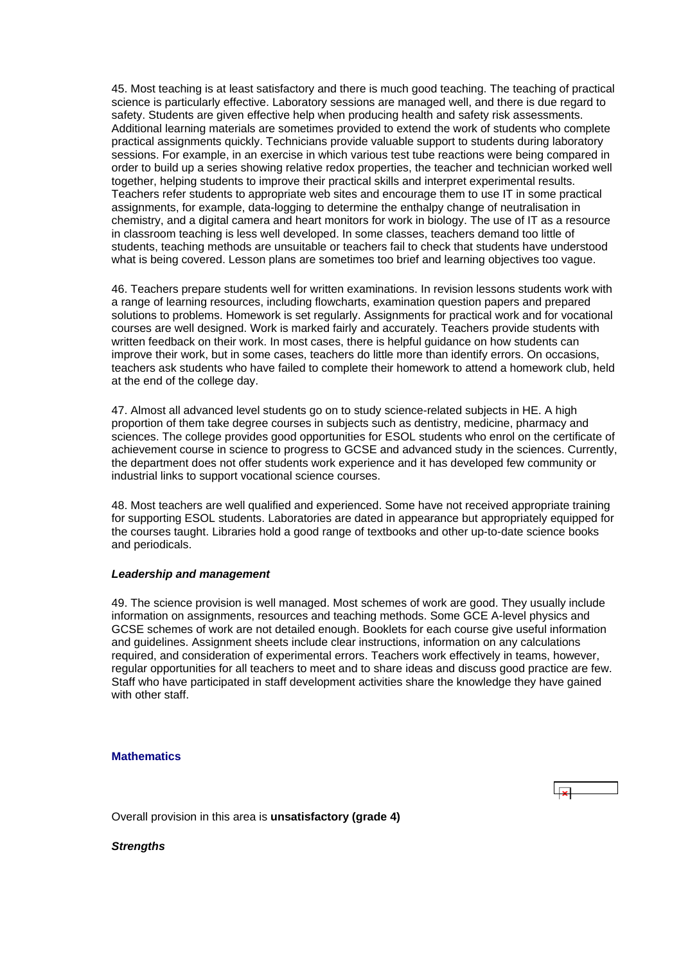<span id="page-16-0"></span>45. Most teaching is at least satisfactory and there is much good teaching. The teaching of practical science is particularly effective. Laboratory sessions are managed well, and there is due regard to safety. Students are given effective help when producing health and safety risk assessments. Additional learning materials are sometimes provided to extend the work of students who complete practical assignments quickly. Technicians provide valuable support to students during laboratory sessions. For example, in an exercise in which various test tube reactions were being compared in order to build up a series showing relative redox properties, the teacher and technician worked well together, helping students to improve their practical skills and interpret experimental results. Teachers refer students to appropriate web sites and encourage them to use IT in some practical assignments, for example, data-logging to determine the enthalpy change of neutralisation in chemistry, and a digital camera and heart monitors for work in biology. The use of IT as a resource in classroom teaching is less well developed. In some classes, teachers demand too little of students, teaching methods are unsuitable or teachers fail to check that students have understood what is being covered. Lesson plans are sometimes too brief and learning objectives too vague.

46. Teachers prepare students well for written examinations. In revision lessons students work with a range of learning resources, including flowcharts, examination question papers and prepared solutions to problems. Homework is set regularly. Assignments for practical work and for vocational courses are well designed. Work is marked fairly and accurately. Teachers provide students with written feedback on their work. In most cases, there is helpful guidance on how students can improve their work, but in some cases, teachers do little more than identify errors. On occasions, teachers ask students who have failed to complete their homework to attend a homework club, held at the end of the college day.

47. Almost all advanced level students go on to study science-related subjects in HE. A high proportion of them take degree courses in subjects such as dentistry, medicine, pharmacy and sciences. The college provides good opportunities for ESOL students who enrol on the certificate of achievement course in science to progress to GCSE and advanced study in the sciences. Currently, the department does not offer students work experience and it has developed few community or industrial links to support vocational science courses.

48. Most teachers are well qualified and experienced. Some have not received appropriate training for supporting ESOL students. Laboratories are dated in appearance but appropriately equipped for the courses taught. Libraries hold a good range of textbooks and other up-to-date science books and periodicals.

#### *Leadership and management*

49. The science provision is well managed. Most schemes of work are good. They usually include information on assignments, resources and teaching methods. Some GCE A-level physics and GCSE schemes of work are not detailed enough. Booklets for each course give useful information and guidelines. Assignment sheets include clear instructions, information on any calculations required, and consideration of experimental errors. Teachers work effectively in teams, however, regular opportunities for all teachers to meet and to share ideas and discuss good practice are few. Staff who have participated in staff development activities share the knowledge they have gained with other staff

# **Mathematics**

Overall provision in this area is **unsatisfactory (grade 4)**

*Strengths*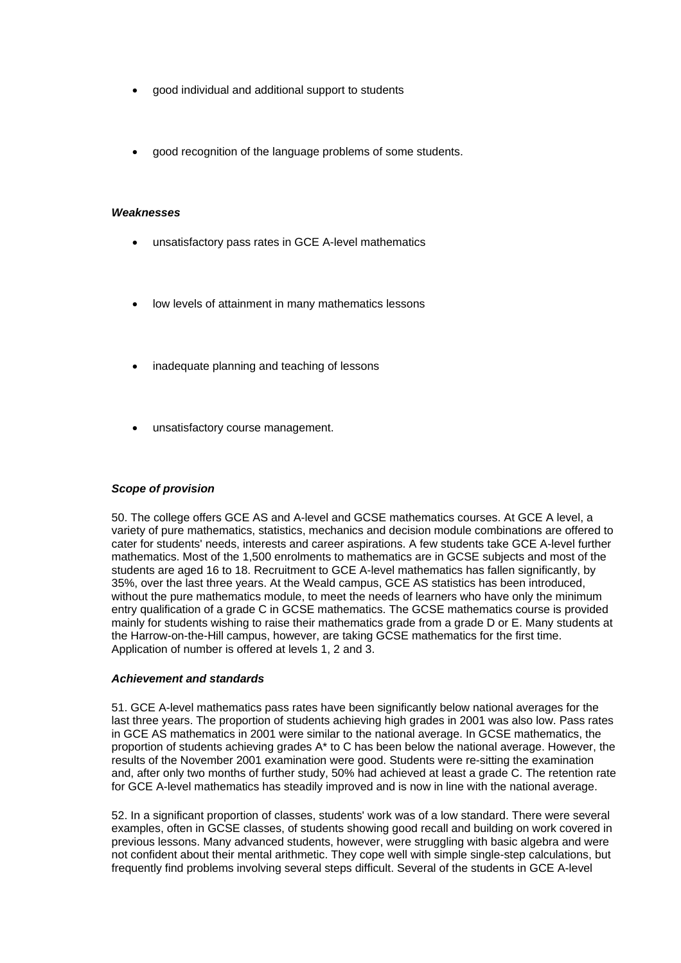- good individual and additional support to students
- good recognition of the language problems of some students.

#### *Weaknesses*

- unsatisfactory pass rates in GCE A-level mathematics
- low levels of attainment in many mathematics lessons
- inadequate planning and teaching of lessons
- unsatisfactory course management.

### *Scope of provision*

50. The college offers GCE AS and A-level and GCSE mathematics courses. At GCE A level, a variety of pure mathematics, statistics, mechanics and decision module combinations are offered to cater for students' needs, interests and career aspirations. A few students take GCE A-level further mathematics. Most of the 1,500 enrolments to mathematics are in GCSE subjects and most of the students are aged 16 to 18. Recruitment to GCE A-level mathematics has fallen significantly, by 35%, over the last three years. At the Weald campus, GCE AS statistics has been introduced, without the pure mathematics module, to meet the needs of learners who have only the minimum entry qualification of a grade C in GCSE mathematics. The GCSE mathematics course is provided mainly for students wishing to raise their mathematics grade from a grade D or E. Many students at the Harrow-on-the-Hill campus, however, are taking GCSE mathematics for the first time. Application of number is offered at levels 1, 2 and 3.

#### *Achievement and standards*

51. GCE A-level mathematics pass rates have been significantly below national averages for the last three years. The proportion of students achieving high grades in 2001 was also low. Pass rates in GCE AS mathematics in 2001 were similar to the national average. In GCSE mathematics, the proportion of students achieving grades A\* to C has been below the national average. However, the results of the November 2001 examination were good. Students were re-sitting the examination and, after only two months of further study, 50% had achieved at least a grade C. The retention rate for GCE A-level mathematics has steadily improved and is now in line with the national average.

52. In a significant proportion of classes, students' work was of a low standard. There were several examples, often in GCSE classes, of students showing good recall and building on work covered in previous lessons. Many advanced students, however, were struggling with basic algebra and were not confident about their mental arithmetic. They cope well with simple single-step calculations, but frequently find problems involving several steps difficult. Several of the students in GCE A-level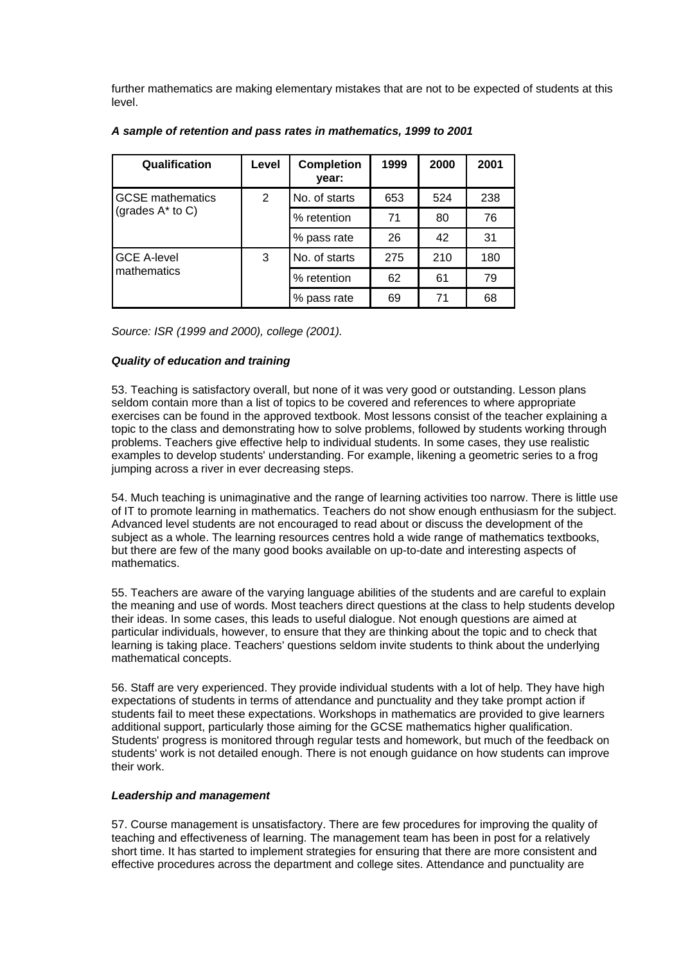further mathematics are making elementary mistakes that are not to be expected of students at this level.

| Qualification                                  | Level | <b>Completion</b><br>year: | 1999 | 2000 | 2001 |
|------------------------------------------------|-------|----------------------------|------|------|------|
| <b>GCSE</b> mathematics<br>(grades $A^*$ to C) | 2     | No. of starts              | 653  | 524  | 238  |
|                                                |       | % retention                | 71   | 80   | 76   |
|                                                |       | % pass rate                | 26   | 42   | 31   |
| <b>GCE A-level</b><br>mathematics              | 3     | No. of starts              | 275  | 210  | 180  |
|                                                |       | % retention                | 62   | 61   | 79   |
|                                                |       | % pass rate                | 69   | 71   | 68   |

# *A sample of retention and pass rates in mathematics, 1999 to 2001*

*Source: ISR (1999 and 2000), college (2001).*

# *Quality of education and training*

53. Teaching is satisfactory overall, but none of it was very good or outstanding. Lesson plans seldom contain more than a list of topics to be covered and references to where appropriate exercises can be found in the approved textbook. Most lessons consist of the teacher explaining a topic to the class and demonstrating how to solve problems, followed by students working through problems. Teachers give effective help to individual students. In some cases, they use realistic examples to develop students' understanding. For example, likening a geometric series to a frog jumping across a river in ever decreasing steps.

54. Much teaching is unimaginative and the range of learning activities too narrow. There is little use of IT to promote learning in mathematics. Teachers do not show enough enthusiasm for the subject. Advanced level students are not encouraged to read about or discuss the development of the subject as a whole. The learning resources centres hold a wide range of mathematics textbooks, but there are few of the many good books available on up-to-date and interesting aspects of mathematics.

55. Teachers are aware of the varying language abilities of the students and are careful to explain the meaning and use of words. Most teachers direct questions at the class to help students develop their ideas. In some cases, this leads to useful dialogue. Not enough questions are aimed at particular individuals, however, to ensure that they are thinking about the topic and to check that learning is taking place. Teachers' questions seldom invite students to think about the underlying mathematical concepts.

56. Staff are very experienced. They provide individual students with a lot of help. They have high expectations of students in terms of attendance and punctuality and they take prompt action if students fail to meet these expectations. Workshops in mathematics are provided to give learners additional support, particularly those aiming for the GCSE mathematics higher qualification. Students' progress is monitored through regular tests and homework, but much of the feedback on students' work is not detailed enough. There is not enough guidance on how students can improve their work.

#### *Leadership and management*

57. Course management is unsatisfactory. There are few procedures for improving the quality of teaching and effectiveness of learning. The management team has been in post for a relatively short time. It has started to implement strategies for ensuring that there are more consistent and effective procedures across the department and college sites. Attendance and punctuality are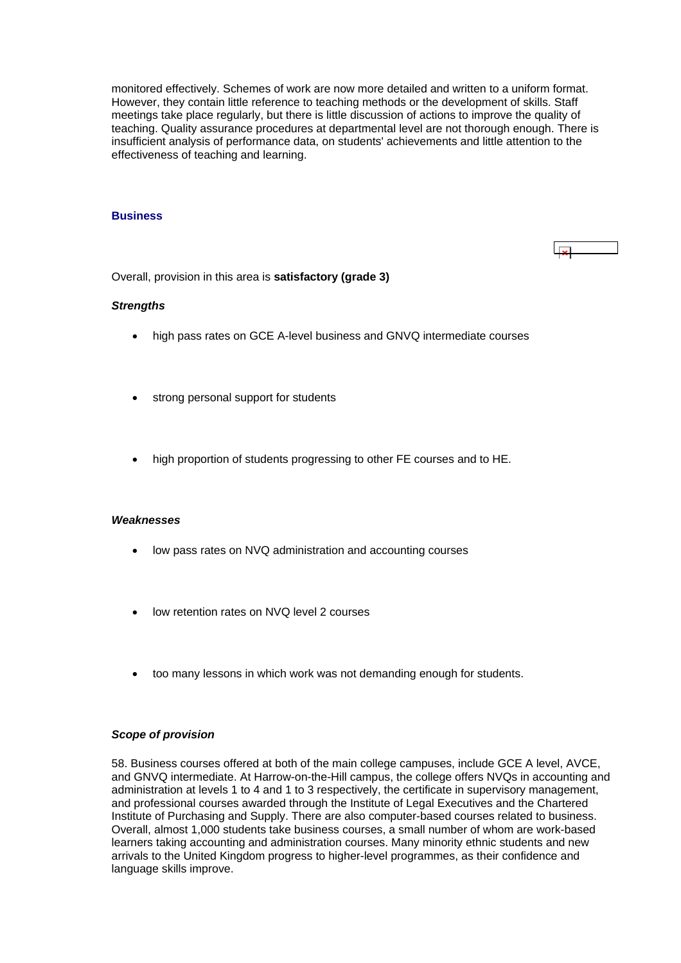<span id="page-19-0"></span>monitored effectively. Schemes of work are now more detailed and written to a uniform format. However, they contain little reference to teaching methods or the development of skills. Staff meetings take place regularly, but there is little discussion of actions to improve the quality of teaching. Quality assurance procedures at departmental level are not thorough enough. There is insufficient analysis of performance data, on students' achievements and little attention to the effectiveness of teaching and learning.

#### **Business**

Overall, provision in this area is **satisfactory (grade 3)**

#### *Strengths*

- high pass rates on GCE A-level business and GNVQ intermediate courses
- strong personal support for students
- high proportion of students progressing to other FE courses and to HE.

# *Weaknesses*

- low pass rates on NVQ administration and accounting courses
- low retention rates on NVQ level 2 courses
- too many lessons in which work was not demanding enough for students.

#### *Scope of provision*

58. Business courses offered at both of the main college campuses, include GCE A level, AVCE, and GNVQ intermediate. At Harrow-on-the-Hill campus, the college offers NVQs in accounting and administration at levels 1 to 4 and 1 to 3 respectively, the certificate in supervisory management, and professional courses awarded through the Institute of Legal Executives and the Chartered Institute of Purchasing and Supply. There are also computer-based courses related to business. Overall, almost 1,000 students take business courses, a small number of whom are work-based learners taking accounting and administration courses. Many minority ethnic students and new arrivals to the United Kingdom progress to higher-level programmes, as their confidence and language skills improve.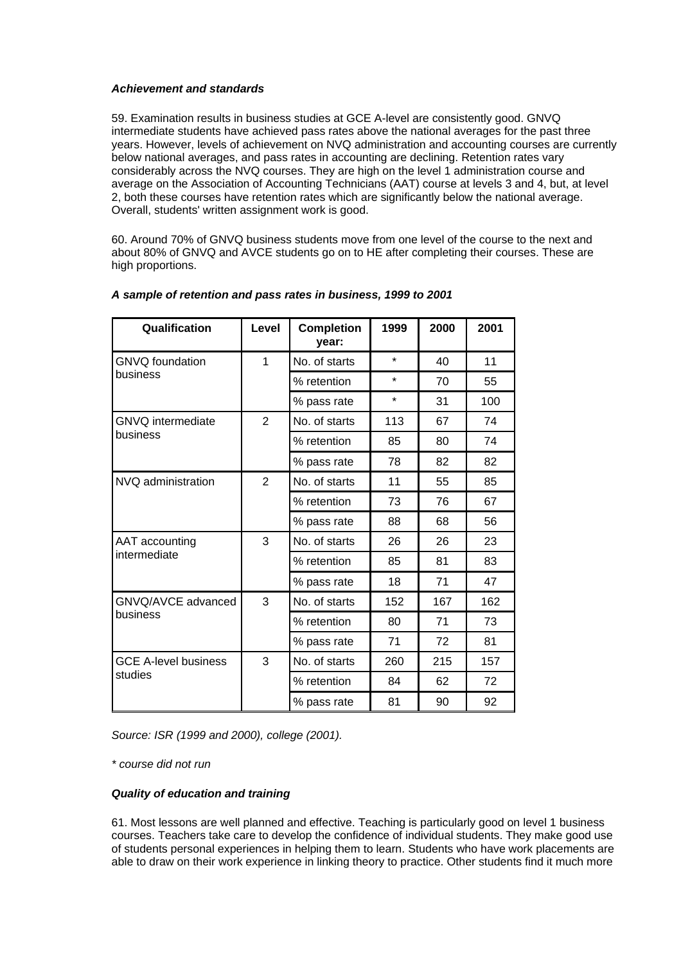# *Achievement and standards*

59. Examination results in business studies at GCE A-level are consistently good. GNVQ intermediate students have achieved pass rates above the national averages for the past three years. However, levels of achievement on NVQ administration and accounting courses are currently below national averages, and pass rates in accounting are declining. Retention rates vary considerably across the NVQ courses. They are high on the level 1 administration course and average on the Association of Accounting Technicians (AAT) course at levels 3 and 4, but, at level 2, both these courses have retention rates which are significantly below the national average. Overall, students' written assignment work is good.

60. Around 70% of GNVQ business students move from one level of the course to the next and about 80% of GNVQ and AVCE students go on to HE after completing their courses. These are high proportions.

| Qualification                  | Level          | <b>Completion</b><br>vear: | 1999    | 2000 | 2001 |
|--------------------------------|----------------|----------------------------|---------|------|------|
| <b>GNVQ</b> foundation         | 1              | No. of starts              | $\star$ | 40   | 11   |
| business                       |                | % retention                | $\star$ | 70   | 55   |
|                                |                | % pass rate                | $\star$ | 31   | 100  |
| GNVQ intermediate              | $\overline{2}$ | No. of starts              | 113     | 67   | 74   |
| business                       |                | % retention                | 85      | 80   | 74   |
|                                |                | % pass rate                | 78      | 82   | 82   |
| NVQ administration             | $\overline{2}$ | No. of starts              | 11      | 55   | 85   |
|                                |                | % retention                | 73      | 76   | 67   |
|                                |                | % pass rate                | 88      | 68   | 56   |
| AAT accounting<br>intermediate | 3              | No. of starts              | 26      | 26   | 23   |
|                                |                | % retention                | 85      | 81   | 83   |
|                                |                | % pass rate                | 18      | 71   | 47   |
| GNVQ/AVCE advanced             | 3              | No. of starts              | 152     | 167  | 162  |
| business                       |                | % retention                | 80      | 71   | 73   |
|                                |                | % pass rate                | 71      | 72   | 81   |
| <b>GCE A-level business</b>    | 3              | No. of starts              | 260     | 215  | 157  |
| studies                        |                | % retention                | 84      | 62   | 72   |
|                                |                | % pass rate                | 81      | 90   | 92   |

# *A sample of retention and pass rates in business, 1999 to 2001*

*Source: ISR (1999 and 2000), college (2001).*

*\* course did not run*

### *Quality of education and training*

61. Most lessons are well planned and effective. Teaching is particularly good on level 1 business courses. Teachers take care to develop the confidence of individual students. They make good use of students personal experiences in helping them to learn. Students who have work placements are able to draw on their work experience in linking theory to practice. Other students find it much more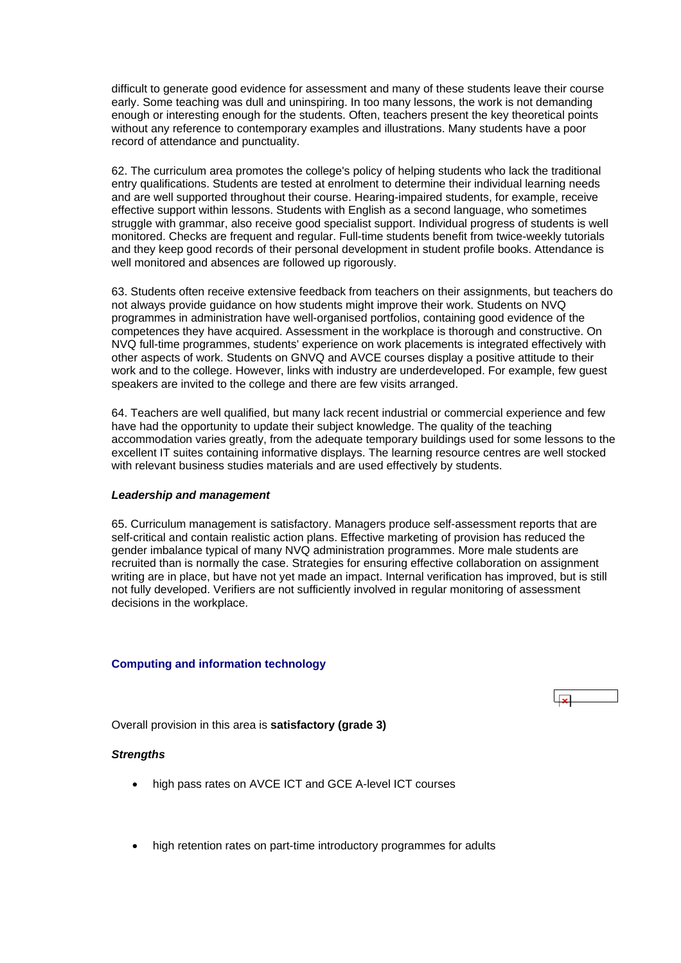<span id="page-21-0"></span>difficult to generate good evidence for assessment and many of these students leave their course early. Some teaching was dull and uninspiring. In too many lessons, the work is not demanding enough or interesting enough for the students. Often, teachers present the key theoretical points without any reference to contemporary examples and illustrations. Many students have a poor record of attendance and punctuality.

62. The curriculum area promotes the college's policy of helping students who lack the traditional entry qualifications. Students are tested at enrolment to determine their individual learning needs and are well supported throughout their course. Hearing-impaired students, for example, receive effective support within lessons. Students with English as a second language, who sometimes struggle with grammar, also receive good specialist support. Individual progress of students is well monitored. Checks are frequent and regular. Full-time students benefit from twice-weekly tutorials and they keep good records of their personal development in student profile books. Attendance is well monitored and absences are followed up rigorously.

63. Students often receive extensive feedback from teachers on their assignments, but teachers do not always provide guidance on how students might improve their work. Students on NVQ programmes in administration have well-organised portfolios, containing good evidence of the competences they have acquired. Assessment in the workplace is thorough and constructive. On NVQ full-time programmes, students' experience on work placements is integrated effectively with other aspects of work. Students on GNVQ and AVCE courses display a positive attitude to their work and to the college. However, links with industry are underdeveloped. For example, few guest speakers are invited to the college and there are few visits arranged.

64. Teachers are well qualified, but many lack recent industrial or commercial experience and few have had the opportunity to update their subject knowledge. The quality of the teaching accommodation varies greatly, from the adequate temporary buildings used for some lessons to the excellent IT suites containing informative displays. The learning resource centres are well stocked with relevant business studies materials and are used effectively by students.

#### *Leadership and management*

65. Curriculum management is satisfactory. Managers produce self-assessment reports that are self-critical and contain realistic action plans. Effective marketing of provision has reduced the gender imbalance typical of many NVQ administration programmes. More male students are recruited than is normally the case. Strategies for ensuring effective collaboration on assignment writing are in place, but have not yet made an impact. Internal verification has improved, but is still not fully developed. Verifiers are not sufficiently involved in regular monitoring of assessment decisions in the workplace.

#### **Computing and information technology**



Overall provision in this area is **satisfactory (grade 3)**

#### *Strengths*

- high pass rates on AVCE ICT and GCE A-level ICT courses
- high retention rates on part-time introductory programmes for adults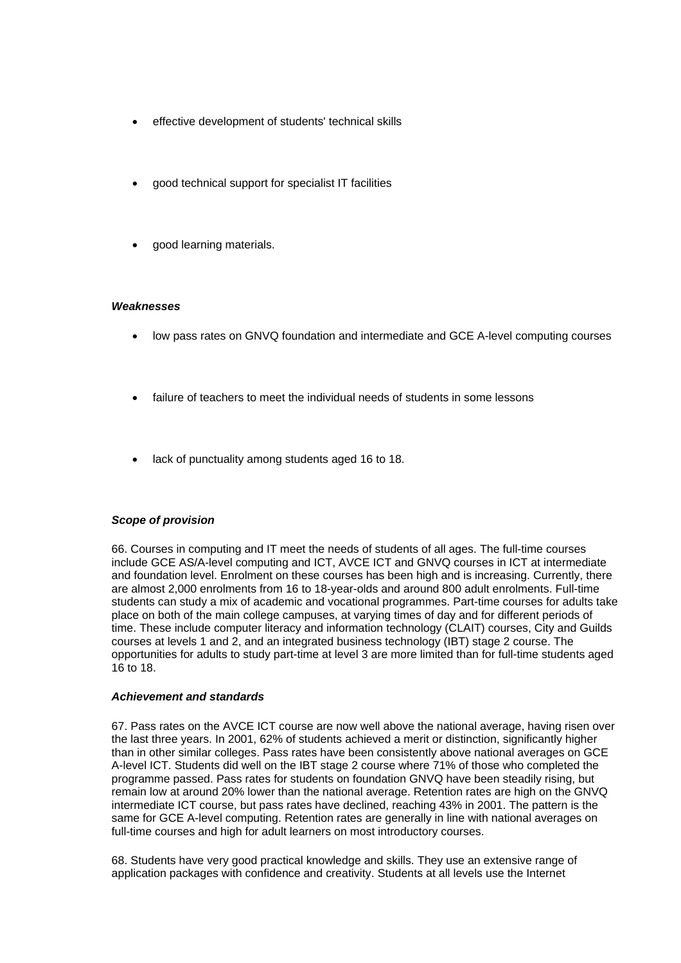- effective development of students' technical skills
- good technical support for specialist IT facilities
- good learning materials.

#### *Weaknesses*

- low pass rates on GNVQ foundation and intermediate and GCE A-level computing courses
- failure of teachers to meet the individual needs of students in some lessons
- lack of punctuality among students aged 16 to 18.

# *Scope of provision*

66. Courses in computing and IT meet the needs of students of all ages. The full-time courses include GCE AS/A-level computing and ICT, AVCE ICT and GNVQ courses in ICT at intermediate and foundation level. Enrolment on these courses has been high and is increasing. Currently, there are almost 2,000 enrolments from 16 to 18-year-olds and around 800 adult enrolments. Full-time students can study a mix of academic and vocational programmes. Part-time courses for adults take place on both of the main college campuses, at varying times of day and for different periods of time. These include computer literacy and information technology (CLAIT) courses, City and Guilds courses at levels 1 and 2, and an integrated business technology (IBT) stage 2 course. The opportunities for adults to study part-time at level 3 are more limited than for full-time students aged 16 to 18.

#### *Achievement and standards*

67. Pass rates on the AVCE ICT course are now well above the national average, having risen over the last three years. In 2001, 62% of students achieved a merit or distinction, significantly higher than in other similar colleges. Pass rates have been consistently above national averages on GCE A-level ICT. Students did well on the IBT stage 2 course where 71% of those who completed the programme passed. Pass rates for students on foundation GNVQ have been steadily rising, but remain low at around 20% lower than the national average. Retention rates are high on the GNVQ intermediate ICT course, but pass rates have declined, reaching 43% in 2001. The pattern is the same for GCE A-level computing. Retention rates are generally in line with national averages on full-time courses and high for adult learners on most introductory courses.

68. Students have very good practical knowledge and skills. They use an extensive range of application packages with confidence and creativity. Students at all levels use the Internet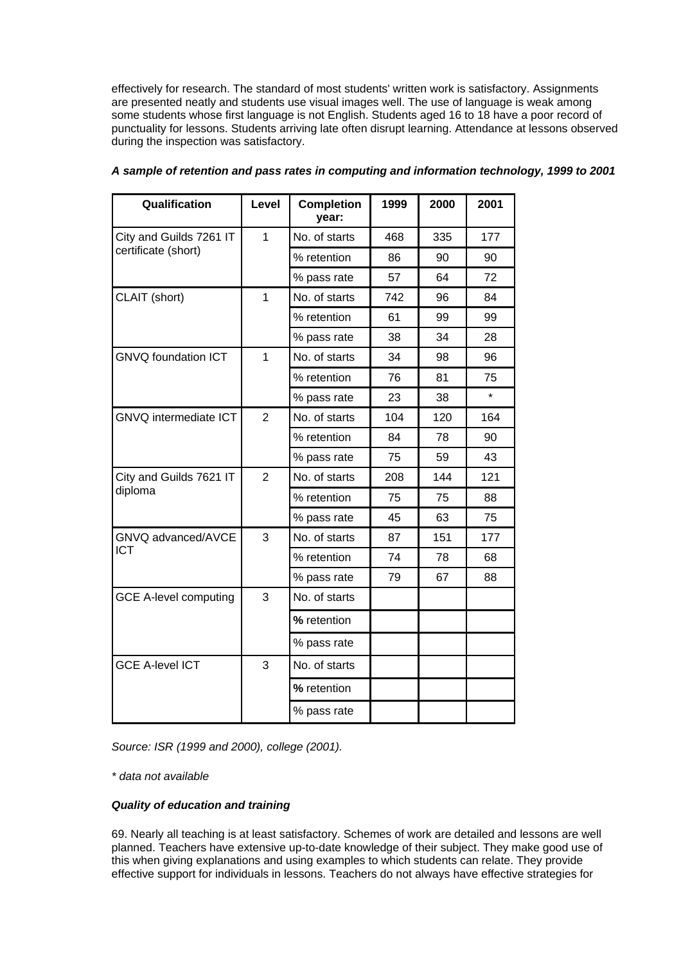effectively for research. The standard of most students' written work is satisfactory. Assignments are presented neatly and students use visual images well. The use of language is weak among some students whose first language is not English. Students aged 16 to 18 have a poor record of punctuality for lessons. Students arriving late often disrupt learning. Attendance at lessons observed during the inspection was satisfactory.

| Qualification                | Level          | <b>Completion</b><br>year: | 1999 | 2000 | 2001    |
|------------------------------|----------------|----------------------------|------|------|---------|
| City and Guilds 7261 IT      | $\overline{1}$ | No. of starts              | 468  | 335  | 177     |
| certificate (short)          |                | % retention                | 86   | 90   | 90      |
|                              |                | % pass rate                | 57   | 64   | 72      |
| CLAIT (short)                | 1              | No. of starts              | 742  | 96   | 84      |
|                              |                | % retention                | 61   | 99   | 99      |
|                              |                | % pass rate                | 38   | 34   | 28      |
| <b>GNVQ foundation ICT</b>   | 1              | No. of starts              | 34   | 98   | 96      |
|                              |                | % retention                | 76   | 81   | 75      |
|                              |                | % pass rate                | 23   | 38   | $\star$ |
| <b>GNVQ</b> intermediate ICT | $\overline{2}$ | No. of starts              | 104  | 120  | 164     |
|                              |                | % retention                | 84   | 78   | 90      |
|                              |                | % pass rate                | 75   | 59   | 43      |
| City and Guilds 7621 IT      | $\overline{2}$ | No. of starts              | 208  | 144  | 121     |
| diploma                      |                | % retention                | 75   | 75   | 88      |
|                              |                | % pass rate                | 45   | 63   | 75      |
| GNVQ advanced/AVCE           | 3              | No. of starts              | 87   | 151  | 177     |
| <b>ICT</b>                   |                | % retention                | 74   | 78   | 68      |
|                              |                | % pass rate                | 79   | 67   | 88      |
| <b>GCE A-level computing</b> | 3              | No. of starts              |      |      |         |
|                              |                | % retention                |      |      |         |
|                              |                | % pass rate                |      |      |         |
| <b>GCE A-level ICT</b>       | 3              | No. of starts              |      |      |         |
|                              |                | % retention                |      |      |         |
|                              |                | % pass rate                |      |      |         |

# *A sample of retention and pass rates in computing and information technology, 1999 to 2001*

*Source: ISR (1999 and 2000), college (2001).*

*\* data not available*

# *Quality of education and training*

69. Nearly all teaching is at least satisfactory. Schemes of work are detailed and lessons are well planned. Teachers have extensive up-to-date knowledge of their subject. They make good use of this when giving explanations and using examples to which students can relate. They provide effective support for individuals in lessons. Teachers do not always have effective strategies for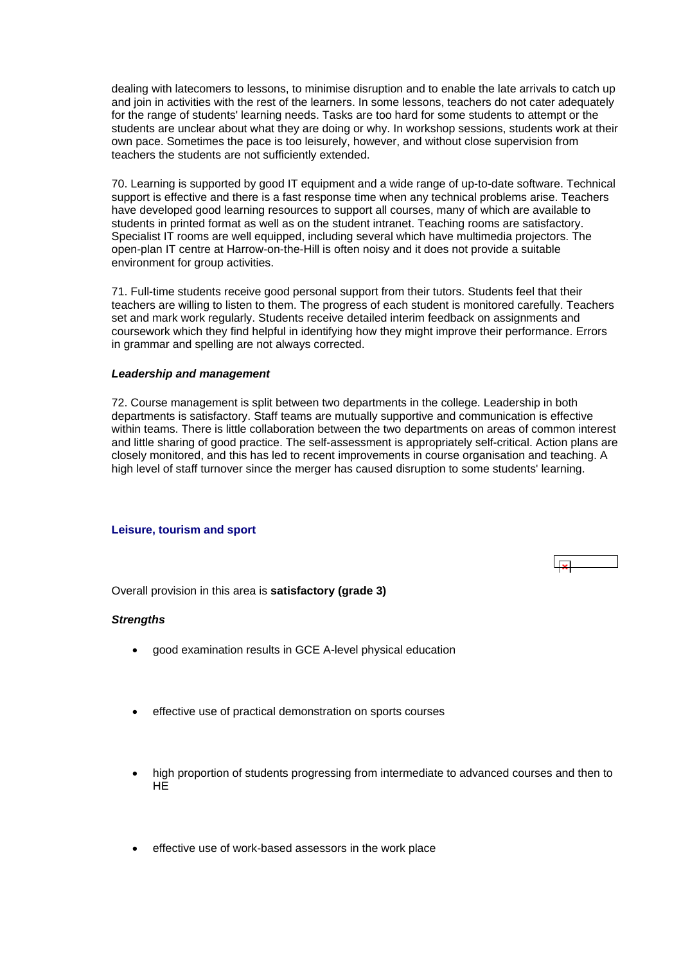<span id="page-24-0"></span>dealing with latecomers to lessons, to minimise disruption and to enable the late arrivals to catch up and join in activities with the rest of the learners. In some lessons, teachers do not cater adequately for the range of students' learning needs. Tasks are too hard for some students to attempt or the students are unclear about what they are doing or why. In workshop sessions, students work at their own pace. Sometimes the pace is too leisurely, however, and without close supervision from teachers the students are not sufficiently extended.

70. Learning is supported by good IT equipment and a wide range of up-to-date software. Technical support is effective and there is a fast response time when any technical problems arise. Teachers have developed good learning resources to support all courses, many of which are available to students in printed format as well as on the student intranet. Teaching rooms are satisfactory. Specialist IT rooms are well equipped, including several which have multimedia projectors. The open-plan IT centre at Harrow-on-the-Hill is often noisy and it does not provide a suitable environment for group activities.

71. Full-time students receive good personal support from their tutors. Students feel that their teachers are willing to listen to them. The progress of each student is monitored carefully. Teachers set and mark work regularly. Students receive detailed interim feedback on assignments and coursework which they find helpful in identifying how they might improve their performance. Errors in grammar and spelling are not always corrected.

#### *Leadership and management*

72. Course management is split between two departments in the college. Leadership in both departments is satisfactory. Staff teams are mutually supportive and communication is effective within teams. There is little collaboration between the two departments on areas of common interest and little sharing of good practice. The self-assessment is appropriately self-critical. Action plans are closely monitored, and this has led to recent improvements in course organisation and teaching. A high level of staff turnover since the merger has caused disruption to some students' learning.

#### **Leisure, tourism and sport**



Overall provision in this area is **satisfactory (grade 3)**

#### *Strengths*

- good examination results in GCE A-level physical education
- effective use of practical demonstration on sports courses
- high proportion of students progressing from intermediate to advanced courses and then to HE
- effective use of work-based assessors in the work place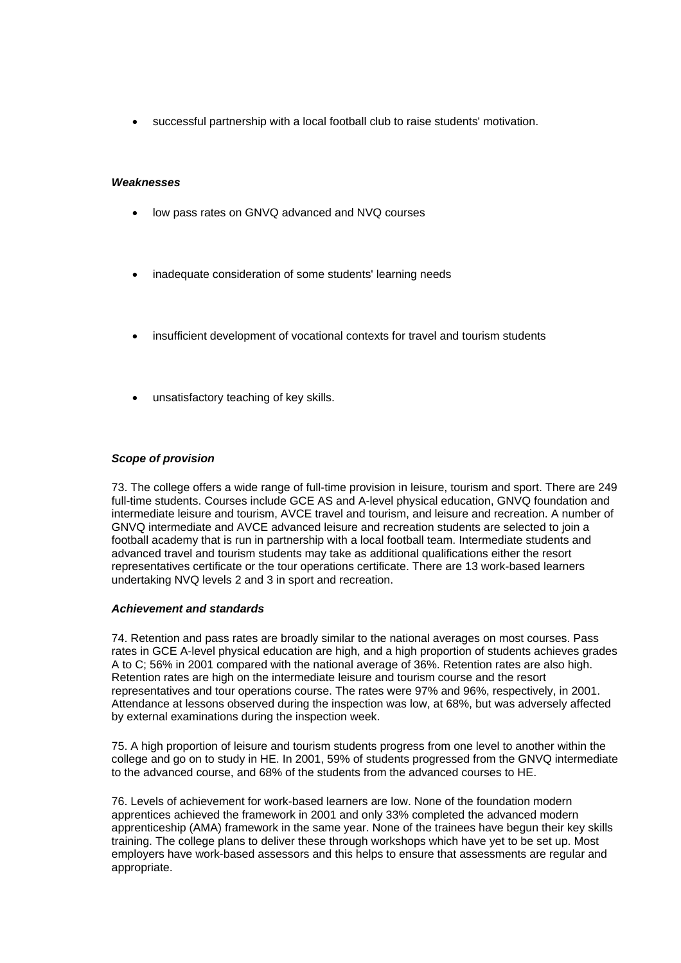• successful partnership with a local football club to raise students' motivation.

#### *Weaknesses*

- low pass rates on GNVQ advanced and NVQ courses
- inadequate consideration of some students' learning needs
- insufficient development of vocational contexts for travel and tourism students
- unsatisfactory teaching of key skills.

#### *Scope of provision*

73. The college offers a wide range of full-time provision in leisure, tourism and sport. There are 249 full-time students. Courses include GCE AS and A-level physical education, GNVQ foundation and intermediate leisure and tourism, AVCE travel and tourism, and leisure and recreation. A number of GNVQ intermediate and AVCE advanced leisure and recreation students are selected to join a football academy that is run in partnership with a local football team. Intermediate students and advanced travel and tourism students may take as additional qualifications either the resort representatives certificate or the tour operations certificate. There are 13 work-based learners undertaking NVQ levels 2 and 3 in sport and recreation.

#### *Achievement and standards*

74. Retention and pass rates are broadly similar to the national averages on most courses. Pass rates in GCE A-level physical education are high, and a high proportion of students achieves grades A to C; 56% in 2001 compared with the national average of 36%. Retention rates are also high. Retention rates are high on the intermediate leisure and tourism course and the resort representatives and tour operations course. The rates were 97% and 96%, respectively, in 2001. Attendance at lessons observed during the inspection was low, at 68%, but was adversely affected by external examinations during the inspection week.

75. A high proportion of leisure and tourism students progress from one level to another within the college and go on to study in HE. In 2001, 59% of students progressed from the GNVQ intermediate to the advanced course, and 68% of the students from the advanced courses to HE.

76. Levels of achievement for work-based learners are low. None of the foundation modern apprentices achieved the framework in 2001 and only 33% completed the advanced modern apprenticeship (AMA) framework in the same year. None of the trainees have begun their key skills training. The college plans to deliver these through workshops which have yet to be set up. Most employers have work-based assessors and this helps to ensure that assessments are regular and appropriate.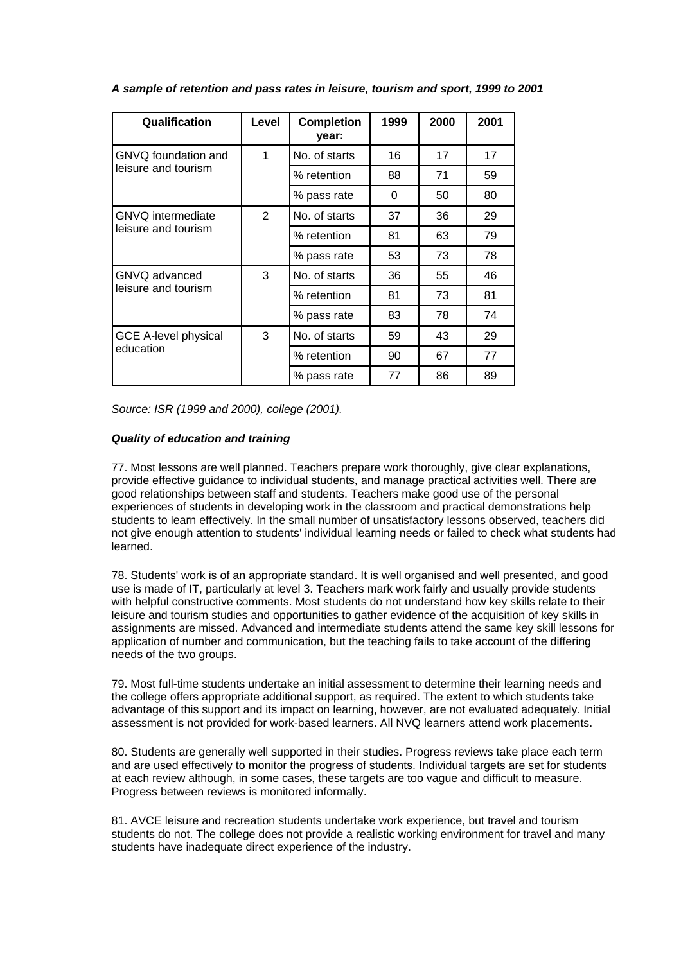| Qualification                            | Level | <b>Completion</b><br>year: | 1999 | 2000 | 2001 |
|------------------------------------------|-------|----------------------------|------|------|------|
| GNVQ foundation and                      | 1     | No. of starts              | 16   | 17   | 17   |
| leisure and tourism                      |       | % retention                | 88   | 71   | 59   |
|                                          |       | % pass rate                | 0    | 50   | 80   |
| <b>GNVQ</b> intermediate                 | 2     | No. of starts              | 37   | 36   | 29   |
| leisure and tourism                      |       | % retention                | 81   | 63   | 79   |
|                                          |       | % pass rate                | 53   | 73   | 78   |
| GNVQ advanced                            | 3     | No. of starts              | 36   | 55   | 46   |
| leisure and tourism                      |       | % retention                | 81   | 73   | 81   |
|                                          |       | % pass rate                | 83   | 78   | 74   |
| <b>GCE A-level physical</b><br>education | 3     | No. of starts              | 59   | 43   | 29   |
|                                          |       | % retention                | 90   | 67   | 77   |
|                                          |       | % pass rate                | 77   | 86   | 89   |

*A sample of retention and pass rates in leisure, tourism and sport, 1999 to 2001*

*Source: ISR (1999 and 2000), college (2001).*

# *Quality of education and training*

77. Most lessons are well planned. Teachers prepare work thoroughly, give clear explanations, provide effective guidance to individual students, and manage practical activities well. There are good relationships between staff and students. Teachers make good use of the personal experiences of students in developing work in the classroom and practical demonstrations help students to learn effectively. In the small number of unsatisfactory lessons observed, teachers did not give enough attention to students' individual learning needs or failed to check what students had learned.

78. Students' work is of an appropriate standard. It is well organised and well presented, and good use is made of IT, particularly at level 3. Teachers mark work fairly and usually provide students with helpful constructive comments. Most students do not understand how key skills relate to their leisure and tourism studies and opportunities to gather evidence of the acquisition of key skills in assignments are missed. Advanced and intermediate students attend the same key skill lessons for application of number and communication, but the teaching fails to take account of the differing needs of the two groups.

79. Most full-time students undertake an initial assessment to determine their learning needs and the college offers appropriate additional support, as required. The extent to which students take advantage of this support and its impact on learning, however, are not evaluated adequately. Initial assessment is not provided for work-based learners. All NVQ learners attend work placements.

80. Students are generally well supported in their studies. Progress reviews take place each term and are used effectively to monitor the progress of students. Individual targets are set for students at each review although, in some cases, these targets are too vague and difficult to measure. Progress between reviews is monitored informally.

81. AVCE leisure and recreation students undertake work experience, but travel and tourism students do not. The college does not provide a realistic working environment for travel and many students have inadequate direct experience of the industry.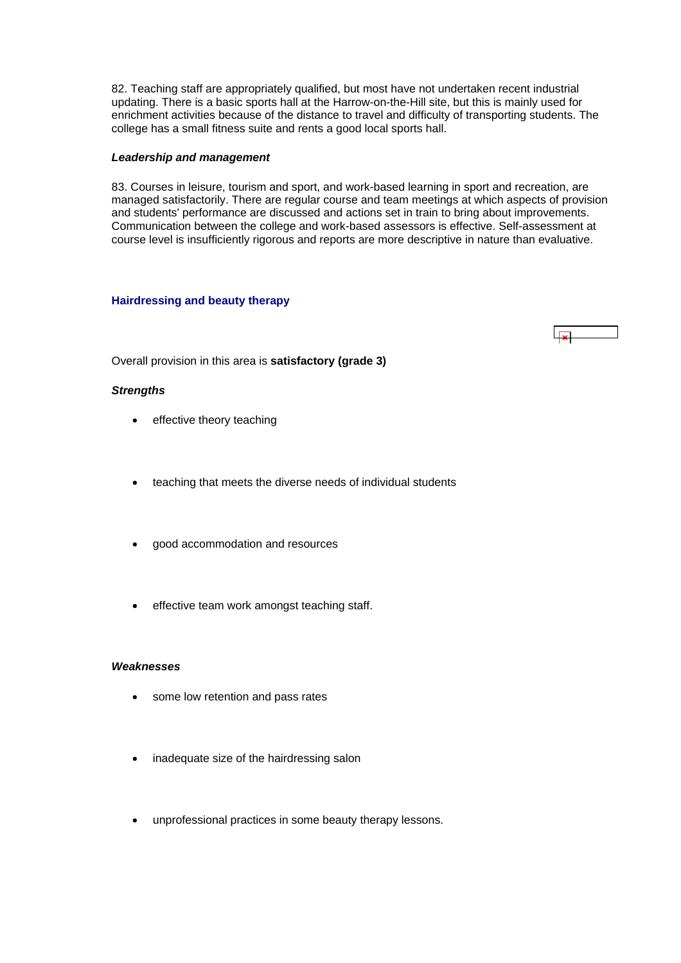<span id="page-27-0"></span>82. Teaching staff are appropriately qualified, but most have not undertaken recent industrial updating. There is a basic sports hall at the Harrow-on-the-Hill site, but this is mainly used for enrichment activities because of the distance to travel and difficulty of transporting students. The college has a small fitness suite and rents a good local sports hall.

#### *Leadership and management*

83. Courses in leisure, tourism and sport, and work-based learning in sport and recreation, are managed satisfactorily. There are regular course and team meetings at which aspects of provision and students' performance are discussed and actions set in train to bring about improvements. Communication between the college and work-based assessors is effective. Self-assessment at course level is insufficiently rigorous and reports are more descriptive in nature than evaluative.

#### **Hairdressing and beauty therapy**

 $\Box$ 

Overall provision in this area is **satisfactory (grade 3)**

#### *Strengths*

- effective theory teaching
- teaching that meets the diverse needs of individual students
- good accommodation and resources
- effective team work amongst teaching staff.

#### *Weaknesses*

- some low retention and pass rates
- inadequate size of the hairdressing salon
- unprofessional practices in some beauty therapy lessons.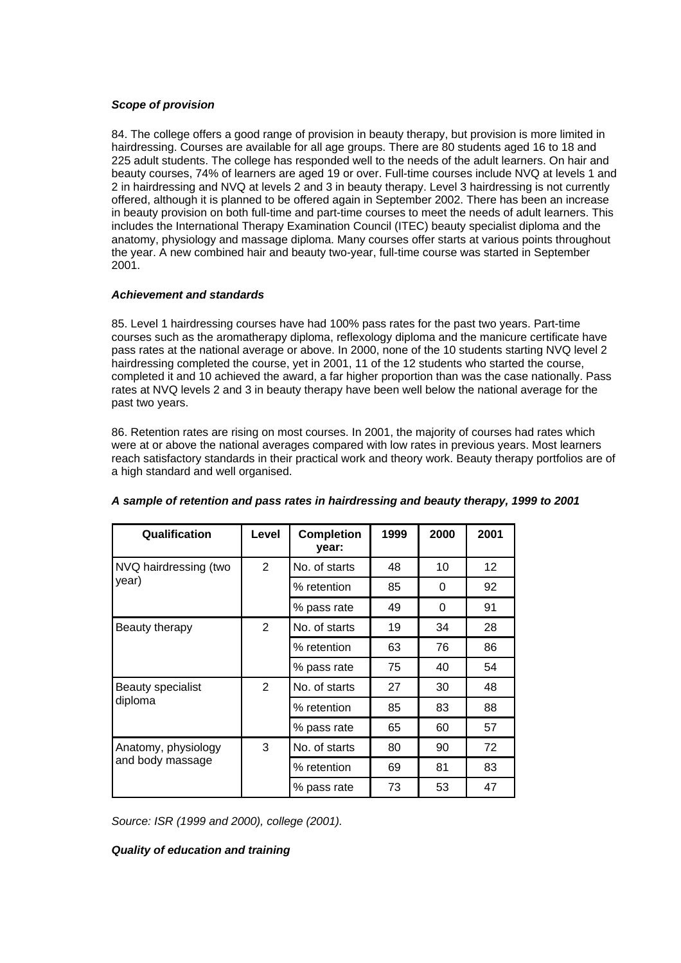# *Scope of provision*

84. The college offers a good range of provision in beauty therapy, but provision is more limited in hairdressing. Courses are available for all age groups. There are 80 students aged 16 to 18 and 225 adult students. The college has responded well to the needs of the adult learners. On hair and beauty courses, 74% of learners are aged 19 or over. Full-time courses include NVQ at levels 1 and 2 in hairdressing and NVQ at levels 2 and 3 in beauty therapy. Level 3 hairdressing is not currently offered, although it is planned to be offered again in September 2002. There has been an increase in beauty provision on both full-time and part-time courses to meet the needs of adult learners. This includes the International Therapy Examination Council (ITEC) beauty specialist diploma and the anatomy, physiology and massage diploma. Many courses offer starts at various points throughout the year. A new combined hair and beauty two-year, full-time course was started in September 2001.

# *Achievement and standards*

85. Level 1 hairdressing courses have had 100% pass rates for the past two years. Part-time courses such as the aromatherapy diploma, reflexology diploma and the manicure certificate have pass rates at the national average or above. In 2000, none of the 10 students starting NVQ level 2 hairdressing completed the course, yet in 2001, 11 of the 12 students who started the course, completed it and 10 achieved the award, a far higher proportion than was the case nationally. Pass rates at NVQ levels 2 and 3 in beauty therapy have been well below the national average for the past two years.

86. Retention rates are rising on most courses. In 2001, the majority of courses had rates which were at or above the national averages compared with low rates in previous years. Most learners reach satisfactory standards in their practical work and theory work. Beauty therapy portfolios are of a high standard and well organised.

| Qualification                           | Level          | <b>Completion</b><br>year: | 1999 | 2000     | 2001 |
|-----------------------------------------|----------------|----------------------------|------|----------|------|
| NVQ hairdressing (two                   | $\overline{2}$ | No. of starts              | 48   | 10       | 12   |
| year)                                   |                | % retention                | 85   | $\Omega$ | 92   |
|                                         |                | % pass rate                | 49   | $\Omega$ | 91   |
| Beauty therapy                          | $\overline{2}$ | No. of starts              | 19   | 34       | 28   |
|                                         |                | % retention                | 63   | 76       | 86   |
|                                         |                | % pass rate                | 75   | 40       | 54   |
| Beauty specialist<br>diploma            | 2              | No. of starts              | 27   | 30       | 48   |
|                                         |                | % retention                | 85   | 83       | 88   |
|                                         |                | % pass rate                | 65   | 60       | 57   |
| Anatomy, physiology<br>and body massage | 3              | No. of starts              | 80   | 90       | 72   |
|                                         |                | % retention                | 69   | 81       | 83   |
|                                         |                | % pass rate                | 73   | 53       | 47   |

# *A sample of retention and pass rates in hairdressing and beauty therapy, 1999 to 2001*

*Source: ISR (1999 and 2000), college (2001).*

#### *Quality of education and training*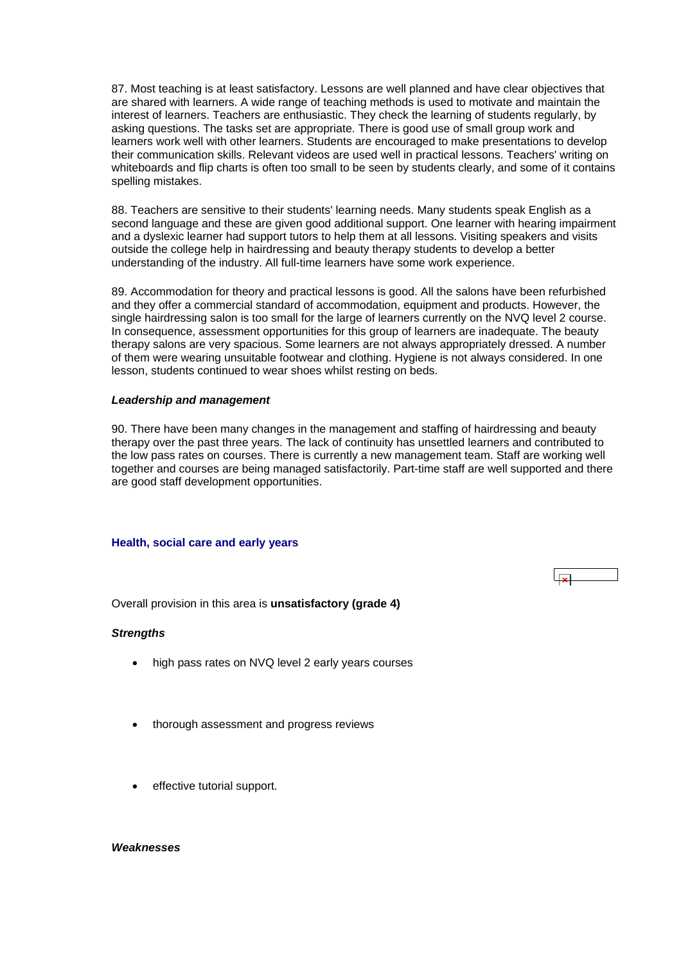<span id="page-29-0"></span>87. Most teaching is at least satisfactory. Lessons are well planned and have clear objectives that are shared with learners. A wide range of teaching methods is used to motivate and maintain the interest of learners. Teachers are enthusiastic. They check the learning of students regularly, by asking questions. The tasks set are appropriate. There is good use of small group work and learners work well with other learners. Students are encouraged to make presentations to develop their communication skills. Relevant videos are used well in practical lessons. Teachers' writing on whiteboards and flip charts is often too small to be seen by students clearly, and some of it contains spelling mistakes.

88. Teachers are sensitive to their students' learning needs. Many students speak English as a second language and these are given good additional support. One learner with hearing impairment and a dyslexic learner had support tutors to help them at all lessons. Visiting speakers and visits outside the college help in hairdressing and beauty therapy students to develop a better understanding of the industry. All full-time learners have some work experience.

89. Accommodation for theory and practical lessons is good. All the salons have been refurbished and they offer a commercial standard of accommodation, equipment and products. However, the single hairdressing salon is too small for the large of learners currently on the NVQ level 2 course. In consequence, assessment opportunities for this group of learners are inadequate. The beauty therapy salons are very spacious. Some learners are not always appropriately dressed. A number of them were wearing unsuitable footwear and clothing. Hygiene is not always considered. In one lesson, students continued to wear shoes whilst resting on beds.

#### *Leadership and management*

90. There have been many changes in the management and staffing of hairdressing and beauty therapy over the past three years. The lack of continuity has unsettled learners and contributed to the low pass rates on courses. There is currently a new management team. Staff are working well together and courses are being managed satisfactorily. Part-time staff are well supported and there are good staff development opportunities.

 $\overline{\mathbf{x}}$ 

#### **Health, social care and early years**

Overall provision in this area is **unsatisfactory (grade 4)**

#### *Strengths*

- high pass rates on NVQ level 2 early years courses
- thorough assessment and progress reviews
- effective tutorial support.

#### *Weaknesses*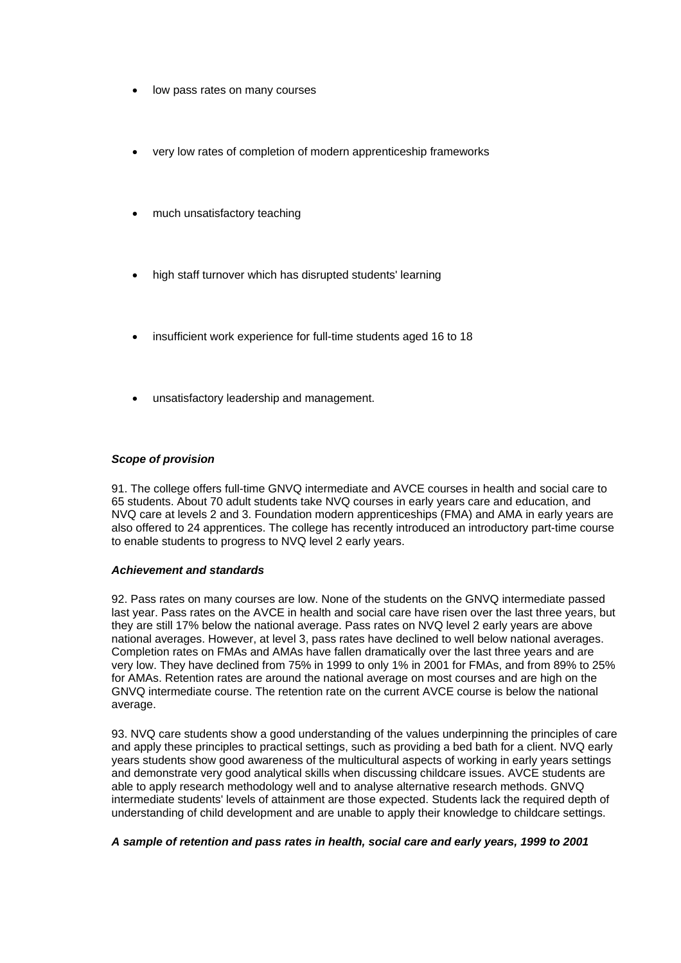- low pass rates on many courses
- very low rates of completion of modern apprenticeship frameworks
- much unsatisfactory teaching
- high staff turnover which has disrupted students' learning
- insufficient work experience for full-time students aged 16 to 18
- unsatisfactory leadership and management.

# *Scope of provision*

91. The college offers full-time GNVQ intermediate and AVCE courses in health and social care to 65 students. About 70 adult students take NVQ courses in early years care and education, and NVQ care at levels 2 and 3. Foundation modern apprenticeships (FMA) and AMA in early years are also offered to 24 apprentices. The college has recently introduced an introductory part-time course to enable students to progress to NVQ level 2 early years.

#### *Achievement and standards*

92. Pass rates on many courses are low. None of the students on the GNVQ intermediate passed last year. Pass rates on the AVCE in health and social care have risen over the last three years, but they are still 17% below the national average. Pass rates on NVQ level 2 early years are above national averages. However, at level 3, pass rates have declined to well below national averages. Completion rates on FMAs and AMAs have fallen dramatically over the last three years and are very low. They have declined from 75% in 1999 to only 1% in 2001 for FMAs, and from 89% to 25% for AMAs. Retention rates are around the national average on most courses and are high on the GNVQ intermediate course. The retention rate on the current AVCE course is below the national average.

93. NVQ care students show a good understanding of the values underpinning the principles of care and apply these principles to practical settings, such as providing a bed bath for a client. NVQ early years students show good awareness of the multicultural aspects of working in early years settings and demonstrate very good analytical skills when discussing childcare issues. AVCE students are able to apply research methodology well and to analyse alternative research methods. GNVQ intermediate students' levels of attainment are those expected. Students lack the required depth of understanding of child development and are unable to apply their knowledge to childcare settings.

#### *A sample of retention and pass rates in health, social care and early years, 1999 to 2001*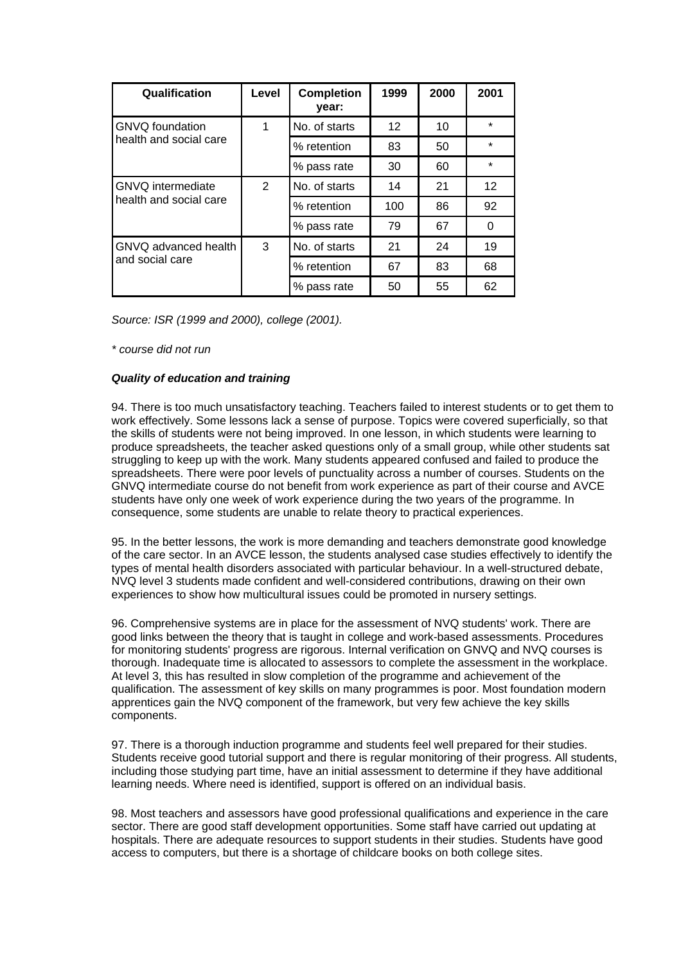| Qualification                                      | Level          | <b>Completion</b><br>year: | 1999 | 2000 | 2001            |
|----------------------------------------------------|----------------|----------------------------|------|------|-----------------|
| <b>GNVQ</b> foundation                             | 1              | No. of starts              | 12   | 10   | ÷               |
| health and social care                             |                | % retention                | 83   | 50   | ÷               |
|                                                    |                | % pass rate                | 30   | 60   | ÷               |
| <b>GNVQ</b> intermediate<br>health and social care | $\overline{2}$ | No. of starts              | 14   | 21   | 12 <sup>2</sup> |
|                                                    |                | % retention                | 100  | 86   | 92              |
|                                                    |                | % pass rate                | 79   | 67   | 0               |
| GNVQ advanced health<br>and social care            | 3              | No. of starts              | 21   | 24   | 19              |
|                                                    |                | % retention                | 67   | 83   | 68              |
|                                                    |                | % pass rate                | 50   | 55   | 62              |

*Source: ISR (1999 and 2000), college (2001).*

*\* course did not run*

# *Quality of education and training*

94. There is too much unsatisfactory teaching. Teachers failed to interest students or to get them to work effectively. Some lessons lack a sense of purpose. Topics were covered superficially, so that the skills of students were not being improved. In one lesson, in which students were learning to produce spreadsheets, the teacher asked questions only of a small group, while other students sat struggling to keep up with the work. Many students appeared confused and failed to produce the spreadsheets. There were poor levels of punctuality across a number of courses. Students on the GNVQ intermediate course do not benefit from work experience as part of their course and AVCE students have only one week of work experience during the two years of the programme. In consequence, some students are unable to relate theory to practical experiences.

95. In the better lessons, the work is more demanding and teachers demonstrate good knowledge of the care sector. In an AVCE lesson, the students analysed case studies effectively to identify the types of mental health disorders associated with particular behaviour. In a well-structured debate, NVQ level 3 students made confident and well-considered contributions, drawing on their own experiences to show how multicultural issues could be promoted in nursery settings.

96. Comprehensive systems are in place for the assessment of NVQ students' work. There are good links between the theory that is taught in college and work-based assessments. Procedures for monitoring students' progress are rigorous. Internal verification on GNVQ and NVQ courses is thorough. Inadequate time is allocated to assessors to complete the assessment in the workplace. At level 3, this has resulted in slow completion of the programme and achievement of the qualification. The assessment of key skills on many programmes is poor. Most foundation modern apprentices gain the NVQ component of the framework, but very few achieve the key skills components.

97. There is a thorough induction programme and students feel well prepared for their studies. Students receive good tutorial support and there is regular monitoring of their progress. All students, including those studying part time, have an initial assessment to determine if they have additional learning needs. Where need is identified, support is offered on an individual basis.

98. Most teachers and assessors have good professional qualifications and experience in the care sector. There are good staff development opportunities. Some staff have carried out updating at hospitals. There are adequate resources to support students in their studies. Students have good access to computers, but there is a shortage of childcare books on both college sites.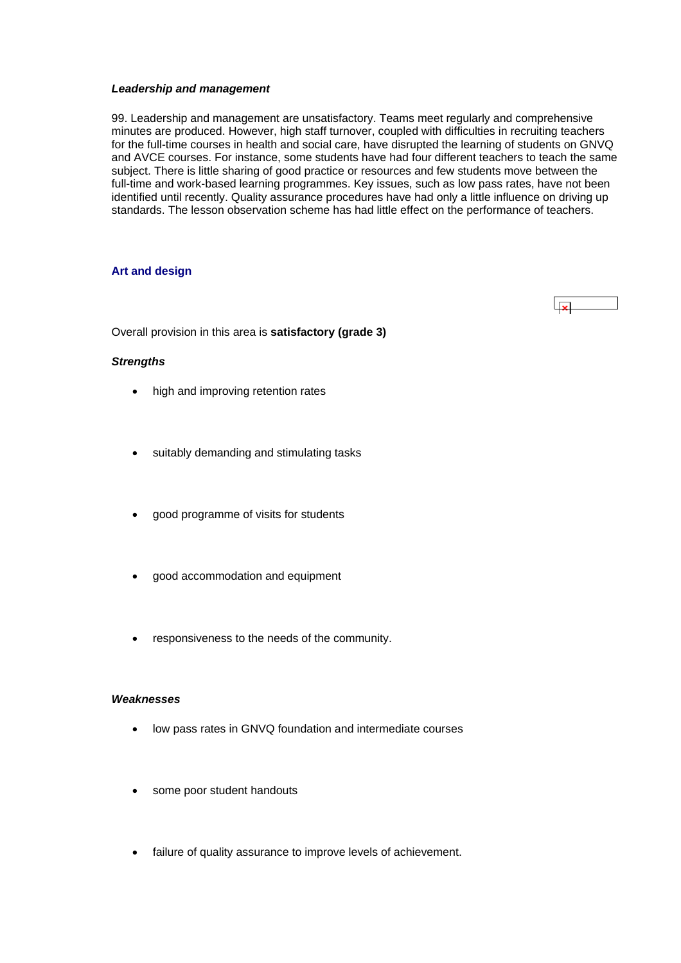#### <span id="page-32-0"></span>*Leadership and management*

99. Leadership and management are unsatisfactory. Teams meet regularly and comprehensive minutes are produced. However, high staff turnover, coupled with difficulties in recruiting teachers for the full-time courses in health and social care, have disrupted the learning of students on GNVQ and AVCE courses. For instance, some students have had four different teachers to teach the same subject. There is little sharing of good practice or resources and few students move between the full-time and work-based learning programmes. Key issues, such as low pass rates, have not been identified until recently. Quality assurance procedures have had only a little influence on driving up standards. The lesson observation scheme has had little effect on the performance of teachers.

# **Art and design**

 $\overline{1}$ 

Overall provision in this area is **satisfactory (grade 3)**

#### *Strengths*

- high and improving retention rates
- suitably demanding and stimulating tasks
- good programme of visits for students
- good accommodation and equipment
- responsiveness to the needs of the community.

# *Weaknesses*

- low pass rates in GNVQ foundation and intermediate courses
- some poor student handouts
- failure of quality assurance to improve levels of achievement.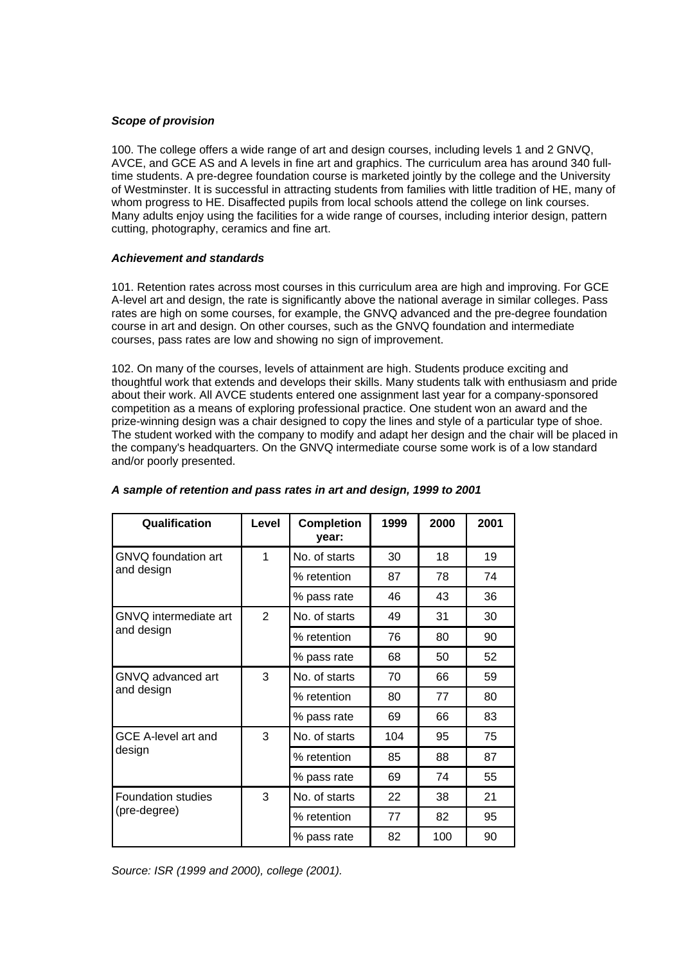# *Scope of provision*

100. The college offers a wide range of art and design courses, including levels 1 and 2 GNVQ, AVCE, and GCE AS and A levels in fine art and graphics. The curriculum area has around 340 fulltime students. A pre-degree foundation course is marketed jointly by the college and the University of Westminster. It is successful in attracting students from families with little tradition of HE, many of whom progress to HE. Disaffected pupils from local schools attend the college on link courses. Many adults enjoy using the facilities for a wide range of courses, including interior design, pattern cutting, photography, ceramics and fine art.

#### *Achievement and standards*

101. Retention rates across most courses in this curriculum area are high and improving. For GCE A-level art and design, the rate is significantly above the national average in similar colleges. Pass rates are high on some courses, for example, the GNVQ advanced and the pre-degree foundation course in art and design. On other courses, such as the GNVQ foundation and intermediate courses, pass rates are low and showing no sign of improvement.

102. On many of the courses, levels of attainment are high. Students produce exciting and thoughtful work that extends and develops their skills. Many students talk with enthusiasm and pride about their work. All AVCE students entered one assignment last year for a company-sponsored competition as a means of exploring professional practice. One student won an award and the prize-winning design was a chair designed to copy the lines and style of a particular type of shoe. The student worked with the company to modify and adapt her design and the chair will be placed in the company's headquarters. On the GNVQ intermediate course some work is of a low standard and/or poorly presented.

| Qualification                             | Level          | <b>Completion</b><br>year: | 1999 | 2000 | 2001 |
|-------------------------------------------|----------------|----------------------------|------|------|------|
| GNVQ foundation art                       | 1              | No. of starts              | 30   | 18   | 19   |
| and design                                |                | % retention                | 87   | 78   | 74   |
|                                           |                | % pass rate                | 46   | 43   | 36   |
| GNVQ intermediate art                     | $\overline{2}$ | No. of starts              | 49   | 31   | 30   |
| and design                                |                | % retention                | 76   | 80   | 90   |
|                                           |                | % pass rate                | 68   | 50   | 52   |
| GNVQ advanced art                         | 3              | No. of starts              | 70   | 66   | 59   |
| and design                                |                | % retention                | 80   | 77   | 80   |
|                                           |                | % pass rate                | 69   | 66   | 83   |
| GCE A-level art and                       | 3              | No. of starts              | 104  | 95   | 75   |
| design                                    |                | % retention                | 85   | 88   | 87   |
|                                           |                | % pass rate                | 69   | 74   | 55   |
| <b>Foundation studies</b><br>(pre-degree) | 3              | No. of starts              | 22   | 38   | 21   |
|                                           |                | % retention                | 77   | 82   | 95   |
|                                           |                | % pass rate                | 82   | 100  | 90   |

# *A sample of retention and pass rates in art and design, 1999 to 2001*

*Source: ISR (1999 and 2000), college (2001).*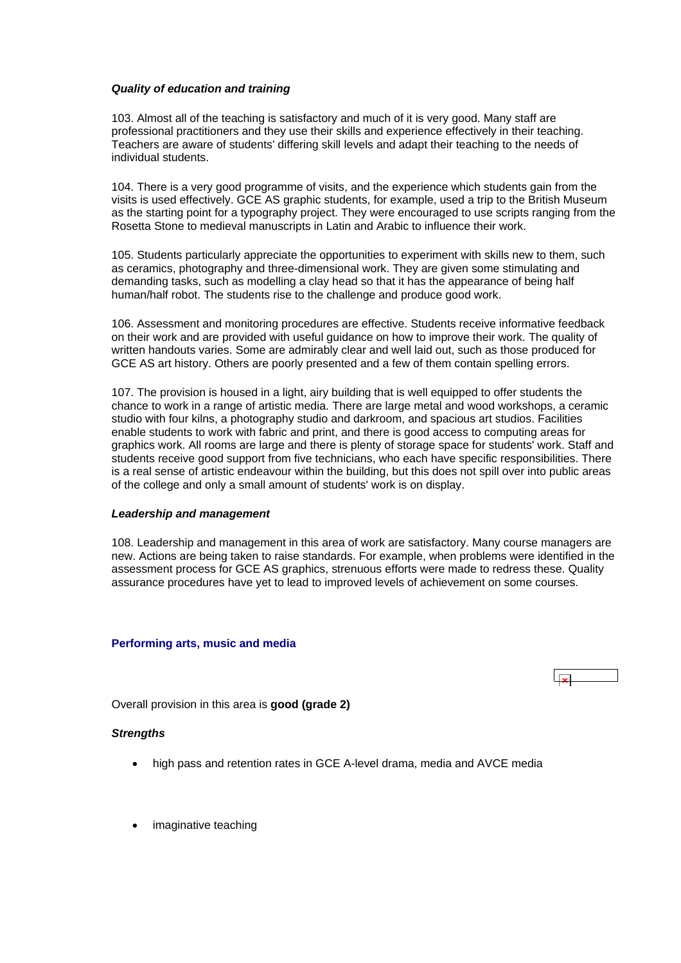#### <span id="page-34-0"></span>*Quality of education and training*

103. Almost all of the teaching is satisfactory and much of it is very good. Many staff are professional practitioners and they use their skills and experience effectively in their teaching. Teachers are aware of students' differing skill levels and adapt their teaching to the needs of individual students.

104. There is a very good programme of visits, and the experience which students gain from the visits is used effectively. GCE AS graphic students, for example, used a trip to the British Museum as the starting point for a typography project. They were encouraged to use scripts ranging from the Rosetta Stone to medieval manuscripts in Latin and Arabic to influence their work.

105. Students particularly appreciate the opportunities to experiment with skills new to them, such as ceramics, photography and three-dimensional work. They are given some stimulating and demanding tasks, such as modelling a clay head so that it has the appearance of being half human/half robot. The students rise to the challenge and produce good work.

106. Assessment and monitoring procedures are effective. Students receive informative feedback on their work and are provided with useful guidance on how to improve their work. The quality of written handouts varies. Some are admirably clear and well laid out, such as those produced for GCE AS art history. Others are poorly presented and a few of them contain spelling errors.

107. The provision is housed in a light, airy building that is well equipped to offer students the chance to work in a range of artistic media. There are large metal and wood workshops, a ceramic studio with four kilns, a photography studio and darkroom, and spacious art studios. Facilities enable students to work with fabric and print, and there is good access to computing areas for graphics work. All rooms are large and there is plenty of storage space for students' work. Staff and students receive good support from five technicians, who each have specific responsibilities. There is a real sense of artistic endeavour within the building, but this does not spill over into public areas of the college and only a small amount of students' work is on display.

#### *Leadership and management*

108. Leadership and management in this area of work are satisfactory. Many course managers are new. Actions are being taken to raise standards. For example, when problems were identified in the assessment process for GCE AS graphics, strenuous efforts were made to redress these. Quality assurance procedures have yet to lead to improved levels of achievement on some courses.

#### **Performing arts, music and media**

Overall provision in this area is **good (grade 2)**

# *Strengths*

- high pass and retention rates in GCE A-level drama, media and AVCE media
- imaginative teaching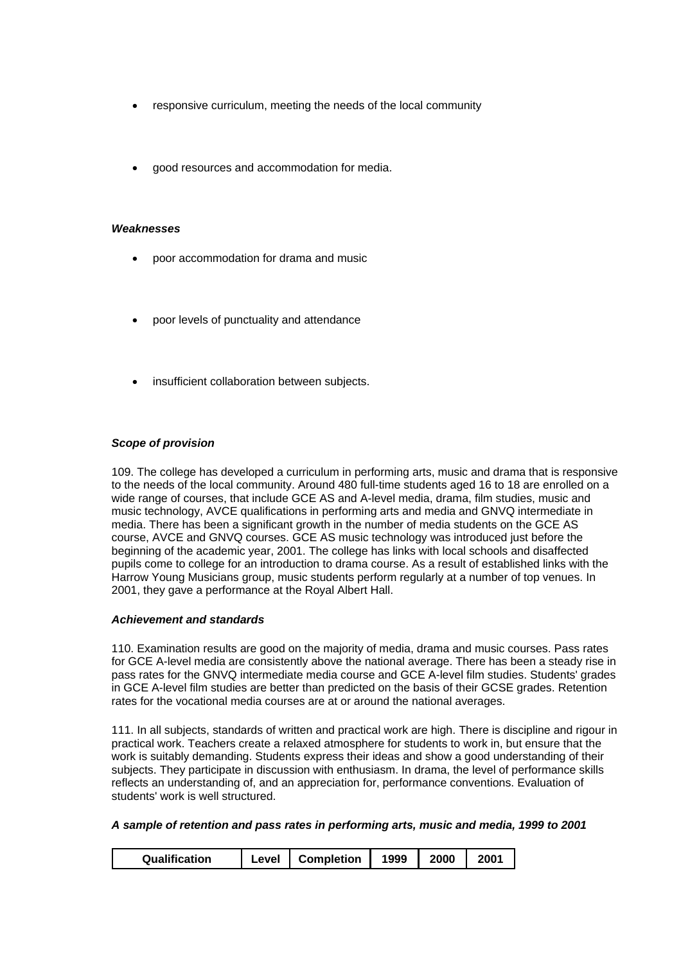- responsive curriculum, meeting the needs of the local community
- good resources and accommodation for media.

#### *Weaknesses*

- poor accommodation for drama and music
- poor levels of punctuality and attendance
- insufficient collaboration between subjects.

# *Scope of provision*

109. The college has developed a curriculum in performing arts, music and drama that is responsive to the needs of the local community. Around 480 full-time students aged 16 to 18 are enrolled on a wide range of courses, that include GCE AS and A-level media, drama, film studies, music and music technology, AVCE qualifications in performing arts and media and GNVQ intermediate in media. There has been a significant growth in the number of media students on the GCE AS course, AVCE and GNVQ courses. GCE AS music technology was introduced just before the beginning of the academic year, 2001. The college has links with local schools and disaffected pupils come to college for an introduction to drama course. As a result of established links with the Harrow Young Musicians group, music students perform regularly at a number of top venues. In 2001, they gave a performance at the Royal Albert Hall.

#### *Achievement and standards*

110. Examination results are good on the majority of media, drama and music courses. Pass rates for GCE A-level media are consistently above the national average. There has been a steady rise in pass rates for the GNVQ intermediate media course and GCE A-level film studies. Students' grades in GCE A-level film studies are better than predicted on the basis of their GCSE grades. Retention rates for the vocational media courses are at or around the national averages.

111. In all subjects, standards of written and practical work are high. There is discipline and rigour in practical work. Teachers create a relaxed atmosphere for students to work in, but ensure that the work is suitably demanding. Students express their ideas and show a good understanding of their subjects. They participate in discussion with enthusiasm. In drama, the level of performance skills reflects an understanding of, and an appreciation for, performance conventions. Evaluation of students' work is well structured.

*A sample of retention and pass rates in performing arts, music and media, 1999 to 2001*

|--|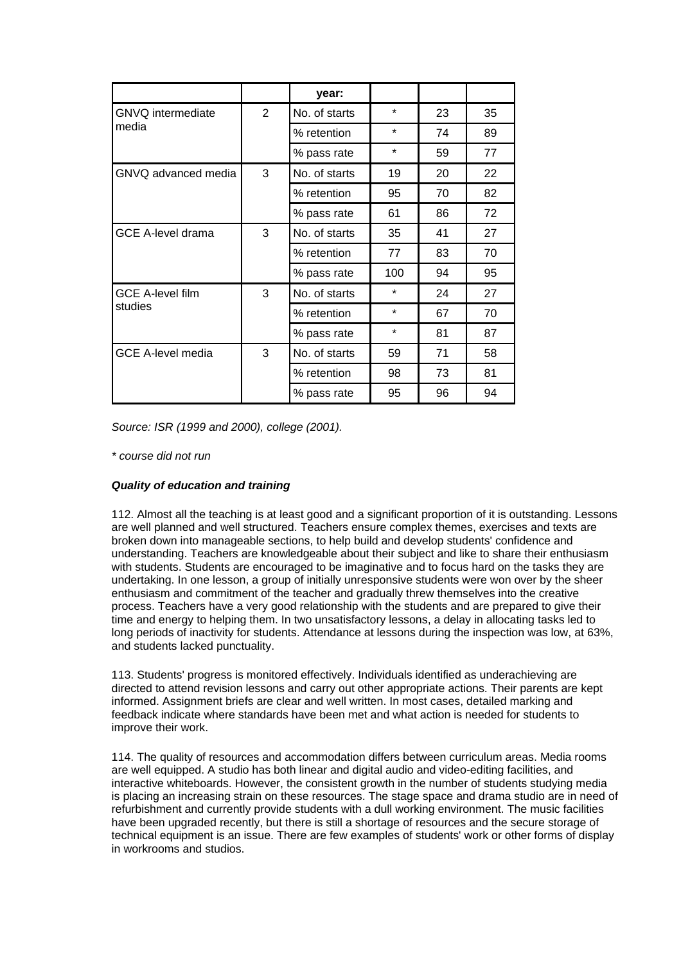|                                    |                | year:         |         |    |    |
|------------------------------------|----------------|---------------|---------|----|----|
| <b>GNVQ</b> intermediate           | $\overline{2}$ | No. of starts | $\star$ | 23 | 35 |
| media                              |                | % retention   | $\star$ | 74 | 89 |
|                                    |                | % pass rate   | $\star$ | 59 | 77 |
| GNVQ advanced media                | 3              | No. of starts | 19      | 20 | 22 |
|                                    |                | % retention   | 95      | 70 | 82 |
|                                    |                | % pass rate   | 61      | 86 | 72 |
| <b>GCE A-level drama</b>           | 3              | No. of starts | 35      | 41 | 27 |
|                                    |                | % retention   | 77      | 83 | 70 |
|                                    |                | % pass rate   | 100     | 94 | 95 |
| <b>GCE A-level film</b><br>studies | 3              | No. of starts | $\star$ | 24 | 27 |
|                                    |                | % retention   | $\star$ | 67 | 70 |
|                                    |                | % pass rate   | $\star$ | 81 | 87 |
| <b>GCE A-level media</b>           | 3              | No. of starts | 59      | 71 | 58 |
|                                    |                | % retention   | 98      | 73 | 81 |
|                                    |                | % pass rate   | 95      | 96 | 94 |

*Source: ISR (1999 and 2000), college (2001).*

*\* course did not run*

# *Quality of education and training*

112. Almost all the teaching is at least good and a significant proportion of it is outstanding. Lessons are well planned and well structured. Teachers ensure complex themes, exercises and texts are broken down into manageable sections, to help build and develop students' confidence and understanding. Teachers are knowledgeable about their subject and like to share their enthusiasm with students. Students are encouraged to be imaginative and to focus hard on the tasks they are undertaking. In one lesson, a group of initially unresponsive students were won over by the sheer enthusiasm and commitment of the teacher and gradually threw themselves into the creative process. Teachers have a very good relationship with the students and are prepared to give their time and energy to helping them. In two unsatisfactory lessons, a delay in allocating tasks led to long periods of inactivity for students. Attendance at lessons during the inspection was low, at 63%, and students lacked punctuality.

113. Students' progress is monitored effectively. Individuals identified as underachieving are directed to attend revision lessons and carry out other appropriate actions. Their parents are kept informed. Assignment briefs are clear and well written. In most cases, detailed marking and feedback indicate where standards have been met and what action is needed for students to improve their work.

114. The quality of resources and accommodation differs between curriculum areas. Media rooms are well equipped. A studio has both linear and digital audio and video-editing facilities, and interactive whiteboards. However, the consistent growth in the number of students studying media is placing an increasing strain on these resources. The stage space and drama studio are in need of refurbishment and currently provide students with a dull working environment. The music facilities have been upgraded recently, but there is still a shortage of resources and the secure storage of technical equipment is an issue. There are few examples of students' work or other forms of display in workrooms and studios.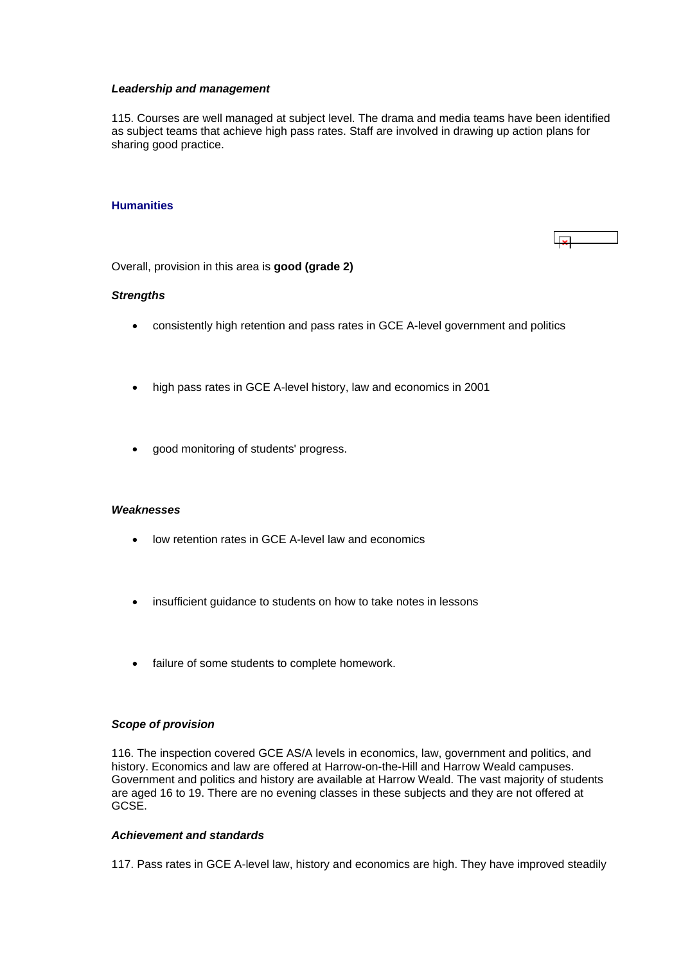#### <span id="page-37-0"></span>*Leadership and management*

115. Courses are well managed at subject level. The drama and media teams have been identified as subject teams that achieve high pass rates. Staff are involved in drawing up action plans for sharing good practice.

#### **Humanities**



Overall, provision in this area is **good (grade 2)**

#### *Strengths*

- consistently high retention and pass rates in GCE A-level government and politics
- high pass rates in GCE A-level history, law and economics in 2001
- good monitoring of students' progress.

#### *Weaknesses*

- low retention rates in GCE A-level law and economics
- insufficient guidance to students on how to take notes in lessons
- failure of some students to complete homework.

#### *Scope of provision*

116. The inspection covered GCE AS/A levels in economics, law, government and politics, and history. Economics and law are offered at Harrow-on-the-Hill and Harrow Weald campuses. Government and politics and history are available at Harrow Weald. The vast majority of students are aged 16 to 19. There are no evening classes in these subjects and they are not offered at GCSE.

#### *Achievement and standards*

117. Pass rates in GCE A-level law, history and economics are high. They have improved steadily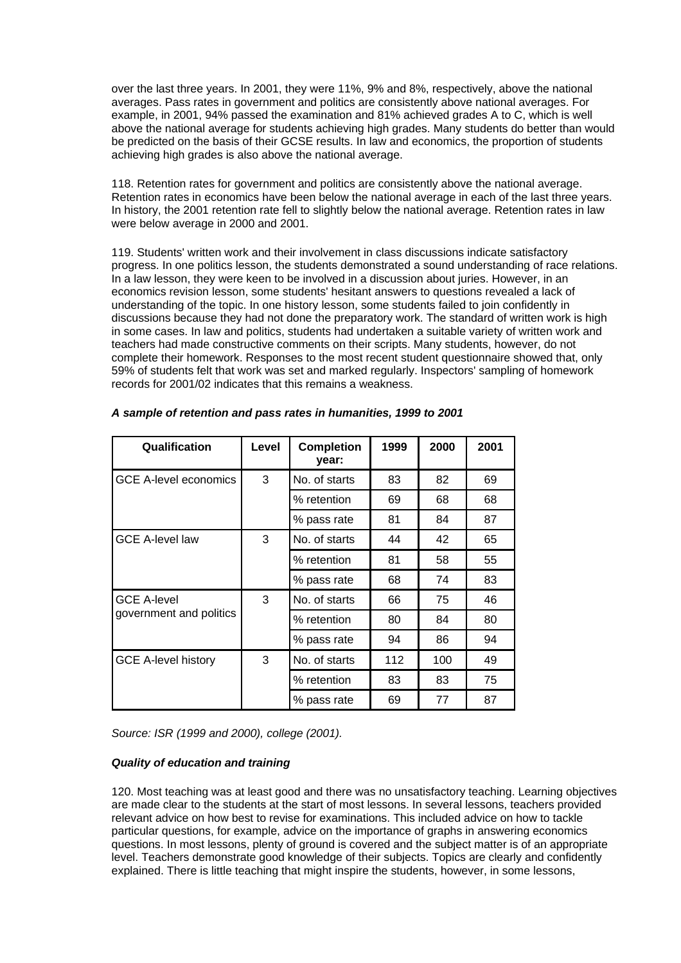over the last three years. In 2001, they were 11%, 9% and 8%, respectively, above the national averages. Pass rates in government and politics are consistently above national averages. For example, in 2001, 94% passed the examination and 81% achieved grades A to C, which is well above the national average for students achieving high grades. Many students do better than would be predicted on the basis of their GCSE results. In law and economics, the proportion of students achieving high grades is also above the national average.

118. Retention rates for government and politics are consistently above the national average. Retention rates in economics have been below the national average in each of the last three years. In history, the 2001 retention rate fell to slightly below the national average. Retention rates in law were below average in 2000 and 2001.

119. Students' written work and their involvement in class discussions indicate satisfactory progress. In one politics lesson, the students demonstrated a sound understanding of race relations. In a law lesson, they were keen to be involved in a discussion about juries. However, in an economics revision lesson, some students' hesitant answers to questions revealed a lack of understanding of the topic. In one history lesson, some students failed to join confidently in discussions because they had not done the preparatory work. The standard of written work is high in some cases. In law and politics, students had undertaken a suitable variety of written work and teachers had made constructive comments on their scripts. Many students, however, do not complete their homework. Responses to the most recent student questionnaire showed that, only 59% of students felt that work was set and marked regularly. Inspectors' sampling of homework records for 2001/02 indicates that this remains a weakness.

| Qualification                                 | Level | <b>Completion</b><br>year: | 1999 | 2000 | 2001 |
|-----------------------------------------------|-------|----------------------------|------|------|------|
| <b>GCE A-level economics</b>                  | 3     | No. of starts              | 83   | 82   | 69   |
|                                               |       | % retention                | 69   | 68   | 68   |
|                                               |       | % pass rate                | 81   | 84   | 87   |
| <b>GCE A-level law</b>                        | 3     | No. of starts              | 44   | 42   | 65   |
|                                               |       | % retention                | 81   | 58   | 55   |
|                                               |       | % pass rate                | 68   | 74   | 83   |
| <b>GCE A-level</b><br>government and politics | 3     | No. of starts              | 66   | 75   | 46   |
|                                               |       | % retention                | 80   | 84   | 80   |
|                                               |       | % pass rate                | 94   | 86   | 94   |
| <b>GCE A-level history</b>                    | 3     | No. of starts              | 112  | 100  | 49   |
|                                               |       | % retention                | 83   | 83   | 75   |
|                                               |       | % pass rate                | 69   | 77   | 87   |

# *A sample of retention and pass rates in humanities, 1999 to 2001*

*Source: ISR (1999 and 2000), college (2001).*

# *Quality of education and training*

120. Most teaching was at least good and there was no unsatisfactory teaching. Learning objectives are made clear to the students at the start of most lessons. In several lessons, teachers provided relevant advice on how best to revise for examinations. This included advice on how to tackle particular questions, for example, advice on the importance of graphs in answering economics questions. In most lessons, plenty of ground is covered and the subject matter is of an appropriate level. Teachers demonstrate good knowledge of their subjects. Topics are clearly and confidently explained. There is little teaching that might inspire the students, however, in some lessons,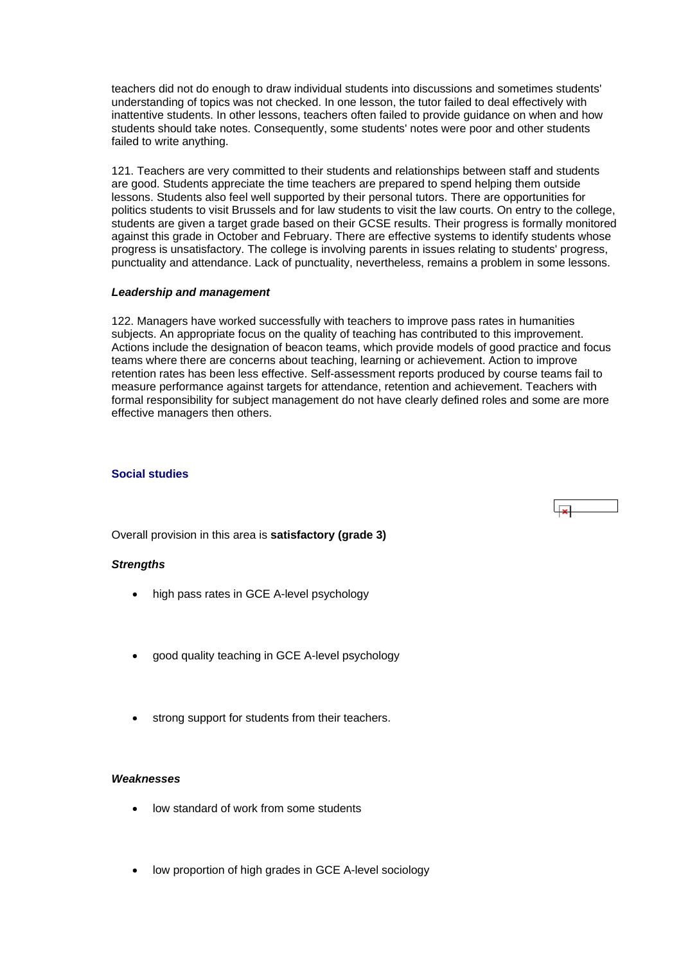<span id="page-39-0"></span>teachers did not do enough to draw individual students into discussions and sometimes students' understanding of topics was not checked. In one lesson, the tutor failed to deal effectively with inattentive students. In other lessons, teachers often failed to provide guidance on when and how students should take notes. Consequently, some students' notes were poor and other students failed to write anything.

121. Teachers are very committed to their students and relationships between staff and students are good. Students appreciate the time teachers are prepared to spend helping them outside lessons. Students also feel well supported by their personal tutors. There are opportunities for politics students to visit Brussels and for law students to visit the law courts. On entry to the college, students are given a target grade based on their GCSE results. Their progress is formally monitored against this grade in October and February. There are effective systems to identify students whose progress is unsatisfactory. The college is involving parents in issues relating to students' progress, punctuality and attendance. Lack of punctuality, nevertheless, remains a problem in some lessons.

#### *Leadership and management*

122. Managers have worked successfully with teachers to improve pass rates in humanities subjects. An appropriate focus on the quality of teaching has contributed to this improvement. Actions include the designation of beacon teams, which provide models of good practice and focus teams where there are concerns about teaching, learning or achievement. Action to improve retention rates has been less effective. Self-assessment reports produced by course teams fail to measure performance against targets for attendance, retention and achievement. Teachers with formal responsibility for subject management do not have clearly defined roles and some are more effective managers then others.

#### **Social studies**

Overall provision in this area is **satisfactory (grade 3)**

#### *Strengths*

- high pass rates in GCE A-level psychology
- good quality teaching in GCE A-level psychology
- strong support for students from their teachers.

#### *Weaknesses*

- low standard of work from some students
- low proportion of high grades in GCE A-level sociology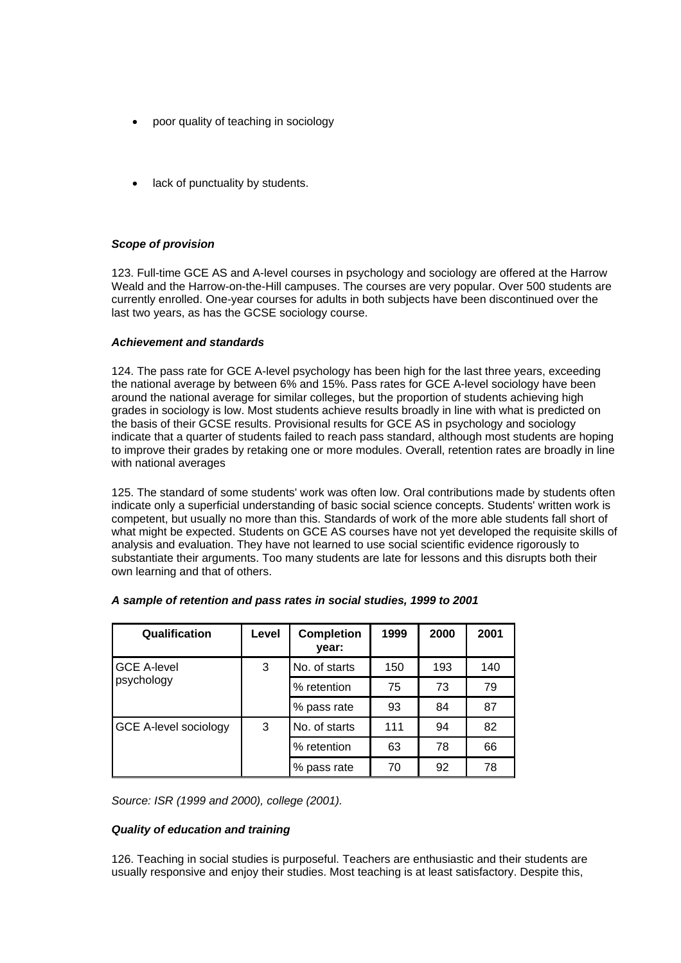- poor quality of teaching in sociology
- lack of punctuality by students.

# *Scope of provision*

123. Full-time GCE AS and A-level courses in psychology and sociology are offered at the Harrow Weald and the Harrow-on-the-Hill campuses. The courses are very popular. Over 500 students are currently enrolled. One-year courses for adults in both subjects have been discontinued over the last two years, as has the GCSE sociology course.

### *Achievement and standards*

124. The pass rate for GCE A-level psychology has been high for the last three years, exceeding the national average by between 6% and 15%. Pass rates for GCE A-level sociology have been around the national average for similar colleges, but the proportion of students achieving high grades in sociology is low. Most students achieve results broadly in line with what is predicted on the basis of their GCSE results. Provisional results for GCE AS in psychology and sociology indicate that a quarter of students failed to reach pass standard, although most students are hoping to improve their grades by retaking one or more modules. Overall, retention rates are broadly in line with national averages

125. The standard of some students' work was often low. Oral contributions made by students often indicate only a superficial understanding of basic social science concepts. Students' written work is competent, but usually no more than this. Standards of work of the more able students fall short of what might be expected. Students on GCE AS courses have not yet developed the requisite skills of analysis and evaluation. They have not learned to use social scientific evidence rigorously to substantiate their arguments. Too many students are late for lessons and this disrupts both their own learning and that of others.

| Qualification                    | Level | <b>Completion</b><br>year: | 1999 | 2000 | 2001 |
|----------------------------------|-------|----------------------------|------|------|------|
| <b>GCE A-level</b><br>psychology | 3     | No. of starts              | 150  | 193  | 140  |
|                                  |       | % retention                | 75   | 73   | 79   |
|                                  |       | % pass rate                | 93   | 84   | 87   |
| <b>GCE A-level sociology</b>     | 3     | No. of starts              | 111  | 94   | 82   |
|                                  |       | % retention                | 63   | 78   | 66   |
|                                  |       | % pass rate                | 70   | 92   | 78   |

#### *A sample of retention and pass rates in social studies, 1999 to 2001*

*Source: ISR (1999 and 2000), college (2001).*

# *Quality of education and training*

126. Teaching in social studies is purposeful. Teachers are enthusiastic and their students are usually responsive and enjoy their studies. Most teaching is at least satisfactory. Despite this,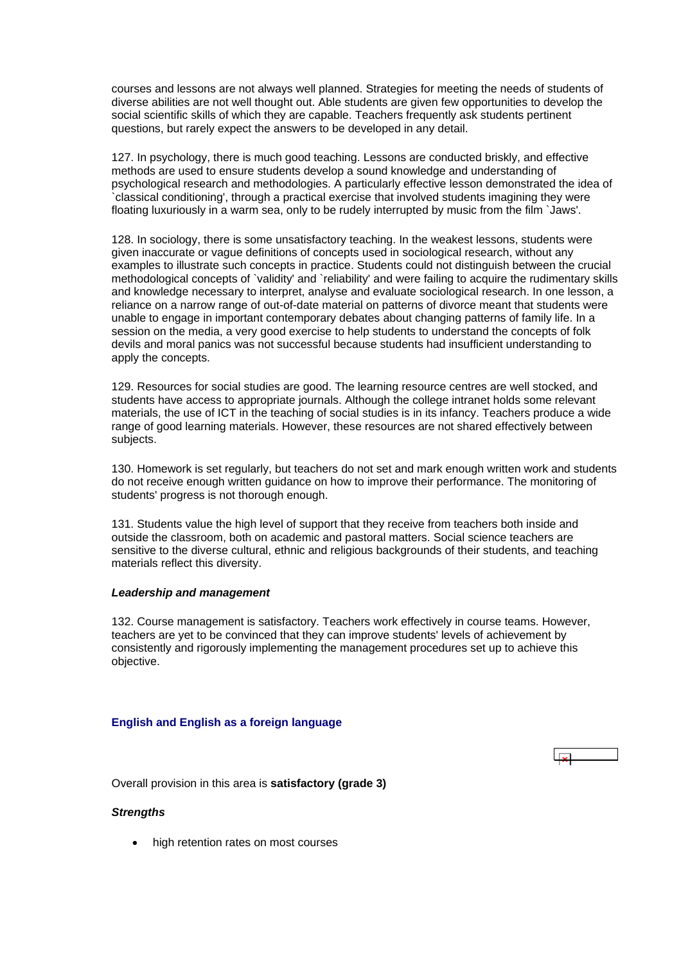<span id="page-41-0"></span>courses and lessons are not always well planned. Strategies for meeting the needs of students of diverse abilities are not well thought out. Able students are given few opportunities to develop the social scientific skills of which they are capable. Teachers frequently ask students pertinent questions, but rarely expect the answers to be developed in any detail.

127. In psychology, there is much good teaching. Lessons are conducted briskly, and effective methods are used to ensure students develop a sound knowledge and understanding of psychological research and methodologies. A particularly effective lesson demonstrated the idea of `classical conditioning', through a practical exercise that involved students imagining they were floating luxuriously in a warm sea, only to be rudely interrupted by music from the film `Jaws'.

128. In sociology, there is some unsatisfactory teaching. In the weakest lessons, students were given inaccurate or vague definitions of concepts used in sociological research, without any examples to illustrate such concepts in practice. Students could not distinguish between the crucial methodological concepts of `validity' and `reliability' and were failing to acquire the rudimentary skills and knowledge necessary to interpret, analyse and evaluate sociological research. In one lesson, a reliance on a narrow range of out-of-date material on patterns of divorce meant that students were unable to engage in important contemporary debates about changing patterns of family life. In a session on the media, a very good exercise to help students to understand the concepts of folk devils and moral panics was not successful because students had insufficient understanding to apply the concepts.

129. Resources for social studies are good. The learning resource centres are well stocked, and students have access to appropriate journals. Although the college intranet holds some relevant materials, the use of ICT in the teaching of social studies is in its infancy. Teachers produce a wide range of good learning materials. However, these resources are not shared effectively between subjects.

130. Homework is set regularly, but teachers do not set and mark enough written work and students do not receive enough written guidance on how to improve their performance. The monitoring of students' progress is not thorough enough.

131. Students value the high level of support that they receive from teachers both inside and outside the classroom, both on academic and pastoral matters. Social science teachers are sensitive to the diverse cultural, ethnic and religious backgrounds of their students, and teaching materials reflect this diversity.

#### *Leadership and management*

132. Course management is satisfactory. Teachers work effectively in course teams. However, teachers are yet to be convinced that they can improve students' levels of achievement by consistently and rigorously implementing the management procedures set up to achieve this objective.

#### **English and English as a foreign language**

Overall provision in this area is **satisfactory (grade 3)**

#### *Strengths*

high retention rates on most courses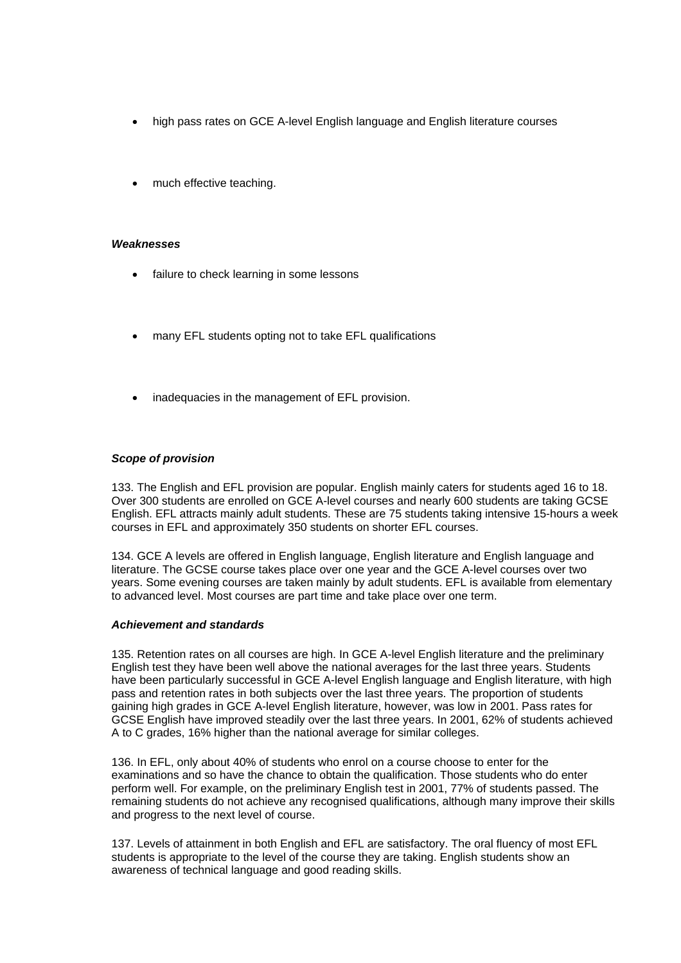- high pass rates on GCE A-level English language and English literature courses
- much effective teaching.

#### *Weaknesses*

- failure to check learning in some lessons
- many EFL students opting not to take EFL qualifications
- inadequacies in the management of EFL provision.

#### *Scope of provision*

133. The English and EFL provision are popular. English mainly caters for students aged 16 to 18. Over 300 students are enrolled on GCE A-level courses and nearly 600 students are taking GCSE English. EFL attracts mainly adult students. These are 75 students taking intensive 15-hours a week courses in EFL and approximately 350 students on shorter EFL courses.

134. GCE A levels are offered in English language, English literature and English language and literature. The GCSE course takes place over one year and the GCE A-level courses over two years. Some evening courses are taken mainly by adult students. EFL is available from elementary to advanced level. Most courses are part time and take place over one term.

#### *Achievement and standards*

135. Retention rates on all courses are high. In GCE A-level English literature and the preliminary English test they have been well above the national averages for the last three years. Students have been particularly successful in GCE A-level English language and English literature, with high pass and retention rates in both subjects over the last three years. The proportion of students gaining high grades in GCE A-level English literature, however, was low in 2001. Pass rates for GCSE English have improved steadily over the last three years. In 2001, 62% of students achieved A to C grades, 16% higher than the national average for similar colleges.

136. In EFL, only about 40% of students who enrol on a course choose to enter for the examinations and so have the chance to obtain the qualification. Those students who do enter perform well. For example, on the preliminary English test in 2001, 77% of students passed. The remaining students do not achieve any recognised qualifications, although many improve their skills and progress to the next level of course.

137. Levels of attainment in both English and EFL are satisfactory. The oral fluency of most EFL students is appropriate to the level of the course they are taking. English students show an awareness of technical language and good reading skills.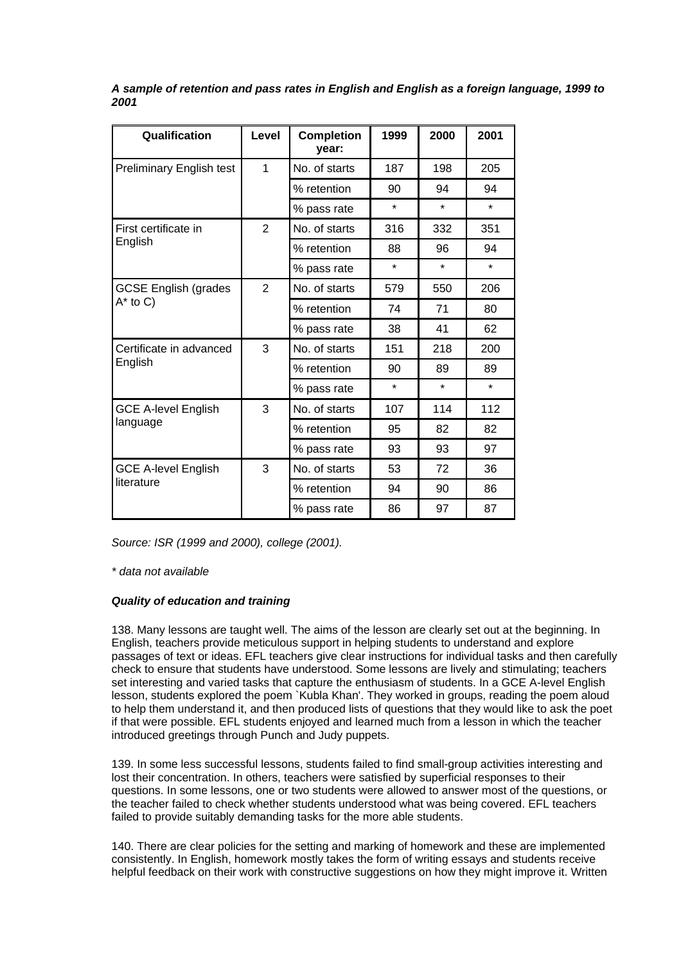| Qualification                   | Level          | <b>Completion</b><br>vear: | 1999    | 2000    | 2001                 |
|---------------------------------|----------------|----------------------------|---------|---------|----------------------|
| <b>Preliminary English test</b> | 1              | No. of starts              | 187     | 198     | 205                  |
|                                 |                | % retention                | 90      | 94      | 94                   |
|                                 |                | % pass rate                | $\star$ | $\star$ | $\ddot{\phantom{1}}$ |
| First certificate in            | $\overline{2}$ | No. of starts              | 316     | 332     | 351                  |
| English                         |                | % retention                | 88      | 96      | 94                   |
|                                 |                | % pass rate                | $\star$ | $\star$ | $\star$              |
| <b>GCSE English (grades</b>     | $\overline{2}$ | No. of starts              | 579     | 550     | 206                  |
| $A^*$ to C)                     |                | % retention                | 74      | 71      | 80                   |
|                                 |                | % pass rate                | 38      | 41      | 62                   |
| Certificate in advanced         | 3              | No. of starts              | 151     | 218     | 200                  |
| English                         |                | % retention                | 90      | 89      | 89                   |
|                                 |                | % pass rate                | $\star$ | $\star$ | $\star$              |
| <b>GCE A-level English</b>      | 3              | No. of starts              | 107     | 114     | 112                  |
| language                        |                | % retention                | 95      | 82      | 82                   |
|                                 |                | % pass rate                | 93      | 93      | 97                   |
| <b>GCE A-level English</b>      | 3              | No. of starts              | 53      | 72      | 36                   |
| literature                      |                | % retention                | 94      | 90      | 86                   |
|                                 |                | % pass rate                | 86      | 97      | 87                   |

*A sample of retention and pass rates in English and English as a foreign language, 1999 to 2001*

*Source: ISR (1999 and 2000), college (2001).*

*\* data not available*

# *Quality of education and training*

138. Many lessons are taught well. The aims of the lesson are clearly set out at the beginning. In English, teachers provide meticulous support in helping students to understand and explore passages of text or ideas. EFL teachers give clear instructions for individual tasks and then carefully check to ensure that students have understood. Some lessons are lively and stimulating; teachers set interesting and varied tasks that capture the enthusiasm of students. In a GCE A-level English lesson, students explored the poem `Kubla Khan'. They worked in groups, reading the poem aloud to help them understand it, and then produced lists of questions that they would like to ask the poet if that were possible. EFL students enjoyed and learned much from a lesson in which the teacher introduced greetings through Punch and Judy puppets.

139. In some less successful lessons, students failed to find small-group activities interesting and lost their concentration. In others, teachers were satisfied by superficial responses to their questions. In some lessons, one or two students were allowed to answer most of the questions, or the teacher failed to check whether students understood what was being covered. EFL teachers failed to provide suitably demanding tasks for the more able students.

140. There are clear policies for the setting and marking of homework and these are implemented consistently. In English, homework mostly takes the form of writing essays and students receive helpful feedback on their work with constructive suggestions on how they might improve it. Written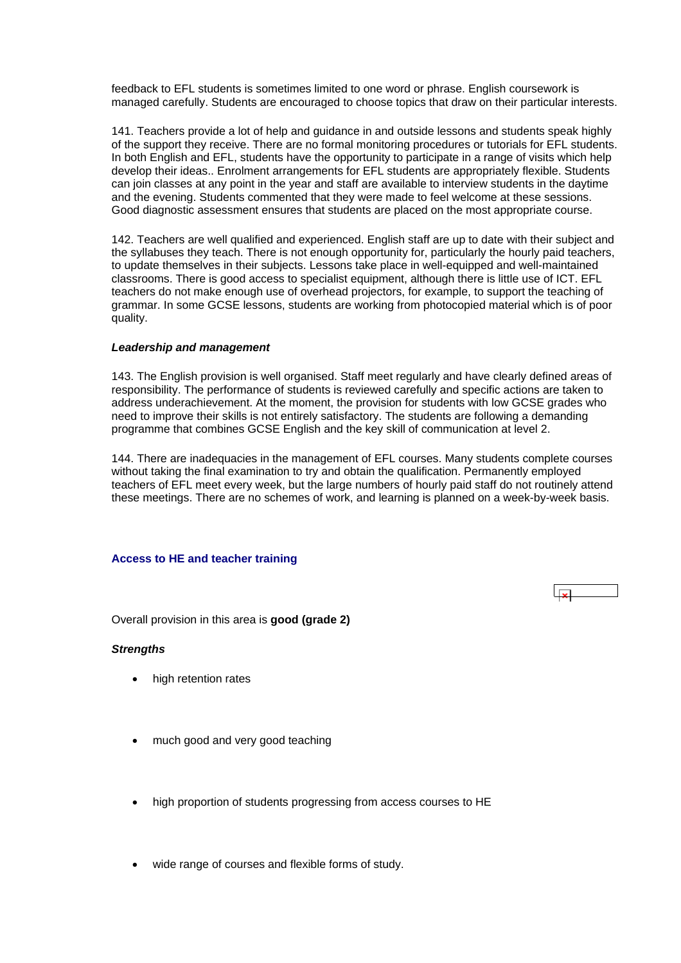<span id="page-44-0"></span>feedback to EFL students is sometimes limited to one word or phrase. English coursework is managed carefully. Students are encouraged to choose topics that draw on their particular interests.

141. Teachers provide a lot of help and guidance in and outside lessons and students speak highly of the support they receive. There are no formal monitoring procedures or tutorials for EFL students. In both English and EFL, students have the opportunity to participate in a range of visits which help develop their ideas.. Enrolment arrangements for EFL students are appropriately flexible. Students can join classes at any point in the year and staff are available to interview students in the daytime and the evening. Students commented that they were made to feel welcome at these sessions. Good diagnostic assessment ensures that students are placed on the most appropriate course.

142. Teachers are well qualified and experienced. English staff are up to date with their subject and the syllabuses they teach. There is not enough opportunity for, particularly the hourly paid teachers, to update themselves in their subjects. Lessons take place in well-equipped and well-maintained classrooms. There is good access to specialist equipment, although there is little use of ICT. EFL teachers do not make enough use of overhead projectors, for example, to support the teaching of grammar. In some GCSE lessons, students are working from photocopied material which is of poor quality.

#### *Leadership and management*

143. The English provision is well organised. Staff meet regularly and have clearly defined areas of responsibility. The performance of students is reviewed carefully and specific actions are taken to address underachievement. At the moment, the provision for students with low GCSE grades who need to improve their skills is not entirely satisfactory. The students are following a demanding programme that combines GCSE English and the key skill of communication at level 2.

144. There are inadequacies in the management of EFL courses. Many students complete courses without taking the final examination to try and obtain the qualification. Permanently employed teachers of EFL meet every week, but the large numbers of hourly paid staff do not routinely attend these meetings. There are no schemes of work, and learning is planned on a week-by-week basis.

#### **Access to HE and teacher training**

 $\overline{\mathbf{u}}$ 

Overall provision in this area is **good (grade 2)**

#### *Strengths*

- high retention rates
- much good and very good teaching
- high proportion of students progressing from access courses to HE
- wide range of courses and flexible forms of study.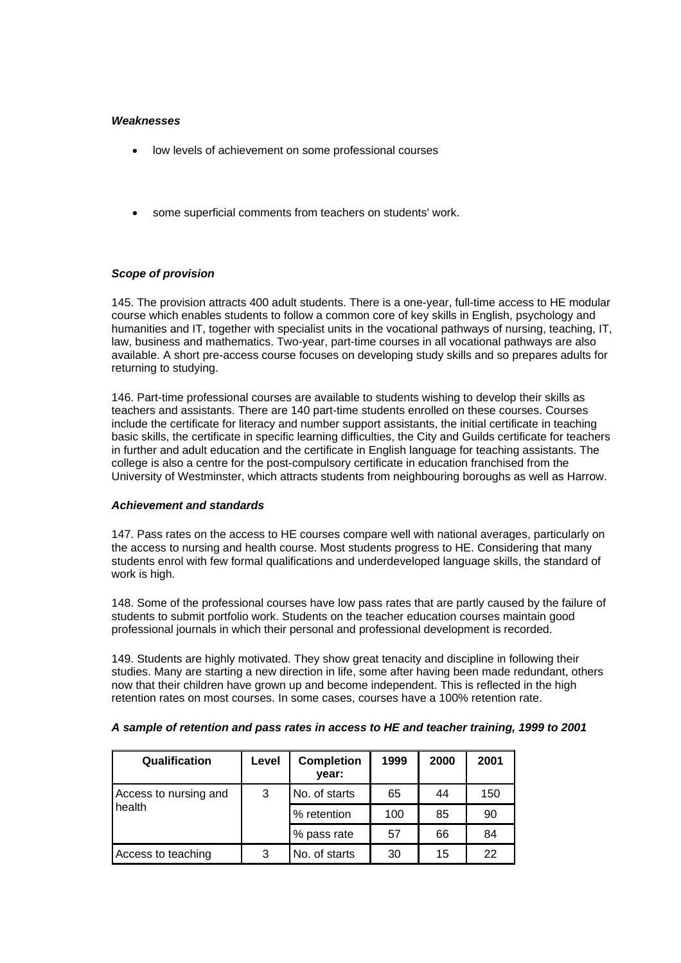### *Weaknesses*

- low levels of achievement on some professional courses
- some superficial comments from teachers on students' work.

# *Scope of provision*

145. The provision attracts 400 adult students. There is a one-year, full-time access to HE modular course which enables students to follow a common core of key skills in English, psychology and humanities and IT, together with specialist units in the vocational pathways of nursing, teaching, IT, law, business and mathematics. Two-year, part-time courses in all vocational pathways are also available. A short pre-access course focuses on developing study skills and so prepares adults for returning to studying.

146. Part-time professional courses are available to students wishing to develop their skills as teachers and assistants. There are 140 part-time students enrolled on these courses. Courses include the certificate for literacy and number support assistants, the initial certificate in teaching basic skills, the certificate in specific learning difficulties, the City and Guilds certificate for teachers in further and adult education and the certificate in English language for teaching assistants. The college is also a centre for the post-compulsory certificate in education franchised from the University of Westminster, which attracts students from neighbouring boroughs as well as Harrow.

#### *Achievement and standards*

147. Pass rates on the access to HE courses compare well with national averages, particularly on the access to nursing and health course. Most students progress to HE. Considering that many students enrol with few formal qualifications and underdeveloped language skills, the standard of work is high.

148. Some of the professional courses have low pass rates that are partly caused by the failure of students to submit portfolio work. Students on the teacher education courses maintain good professional journals in which their personal and professional development is recorded.

149. Students are highly motivated. They show great tenacity and discipline in following their studies. Many are starting a new direction in life, some after having been made redundant, others now that their children have grown up and become independent. This is reflected in the high retention rates on most courses. In some cases, courses have a 100% retention rate.

| Qualification                   | Level | <b>Completion</b><br>year: | 1999 | 2000 | 2001 |
|---------------------------------|-------|----------------------------|------|------|------|
| Access to nursing and<br>health | 3     | No. of starts              | 65   | 44   | 150  |
|                                 |       | % retention                | 100  | 85   | 90   |
|                                 |       | % pass rate                | 57   | 66   | 84   |
| Access to teaching              | 3     | No. of starts              | 30   | 15   | 22   |

# *A sample of retention and pass rates in access to HE and teacher training, 1999 to 2001*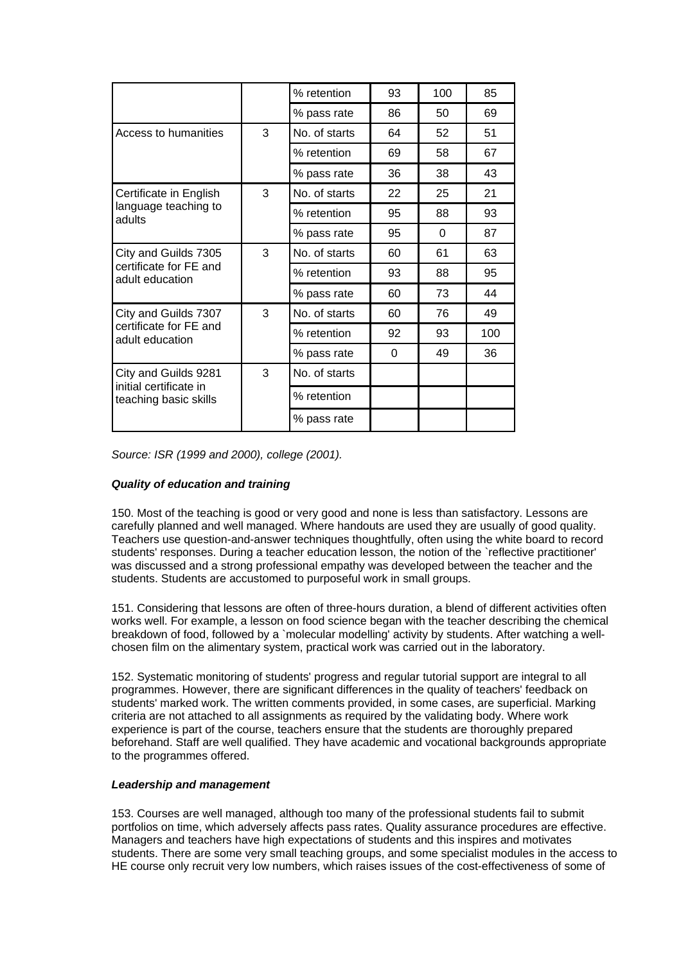|                                                                         |   | % retention   | 93 | 100      | 85  |
|-------------------------------------------------------------------------|---|---------------|----|----------|-----|
|                                                                         |   | % pass rate   | 86 | 50       | 69  |
| Access to humanities                                                    | 3 | No. of starts | 64 | 52       | 51  |
|                                                                         |   | % retention   | 69 | 58       | 67  |
|                                                                         |   | % pass rate   | 36 | 38       | 43  |
| Certificate in English                                                  | 3 | No. of starts | 22 | 25       | 21  |
| language teaching to<br>adults                                          |   | % retention   | 95 | 88       | 93  |
|                                                                         |   | % pass rate   | 95 | $\Omega$ | 87  |
| City and Guilds 7305                                                    | 3 | No. of starts | 60 | 61       | 63  |
| certificate for FE and<br>adult education                               |   | % retention   | 93 | 88       | 95  |
|                                                                         |   | % pass rate   | 60 | 73       | 44  |
| City and Guilds 7307                                                    | 3 | No. of starts | 60 | 76       | 49  |
| certificate for FE and<br>adult education                               |   | % retention   | 92 | 93       | 100 |
|                                                                         |   | % pass rate   | 0  | 49       | 36  |
| City and Guilds 9281<br>initial certificate in<br>teaching basic skills | 3 | No. of starts |    |          |     |
|                                                                         |   | % retention   |    |          |     |
|                                                                         |   | % pass rate   |    |          |     |

*Source: ISR (1999 and 2000), college (2001).*

# *Quality of education and training*

150. Most of the teaching is good or very good and none is less than satisfactory. Lessons are carefully planned and well managed. Where handouts are used they are usually of good quality. Teachers use question-and-answer techniques thoughtfully, often using the white board to record students' responses. During a teacher education lesson, the notion of the `reflective practitioner' was discussed and a strong professional empathy was developed between the teacher and the students. Students are accustomed to purposeful work in small groups.

151. Considering that lessons are often of three-hours duration, a blend of different activities often works well. For example, a lesson on food science began with the teacher describing the chemical breakdown of food, followed by a `molecular modelling' activity by students. After watching a wellchosen film on the alimentary system, practical work was carried out in the laboratory.

152. Systematic monitoring of students' progress and regular tutorial support are integral to all programmes. However, there are significant differences in the quality of teachers' feedback on students' marked work. The written comments provided, in some cases, are superficial. Marking criteria are not attached to all assignments as required by the validating body. Where work experience is part of the course, teachers ensure that the students are thoroughly prepared beforehand. Staff are well qualified. They have academic and vocational backgrounds appropriate to the programmes offered.

#### *Leadership and management*

153. Courses are well managed, although too many of the professional students fail to submit portfolios on time, which adversely affects pass rates. Quality assurance procedures are effective. Managers and teachers have high expectations of students and this inspires and motivates students. There are some very small teaching groups, and some specialist modules in the access to HE course only recruit very low numbers, which raises issues of the cost-effectiveness of some of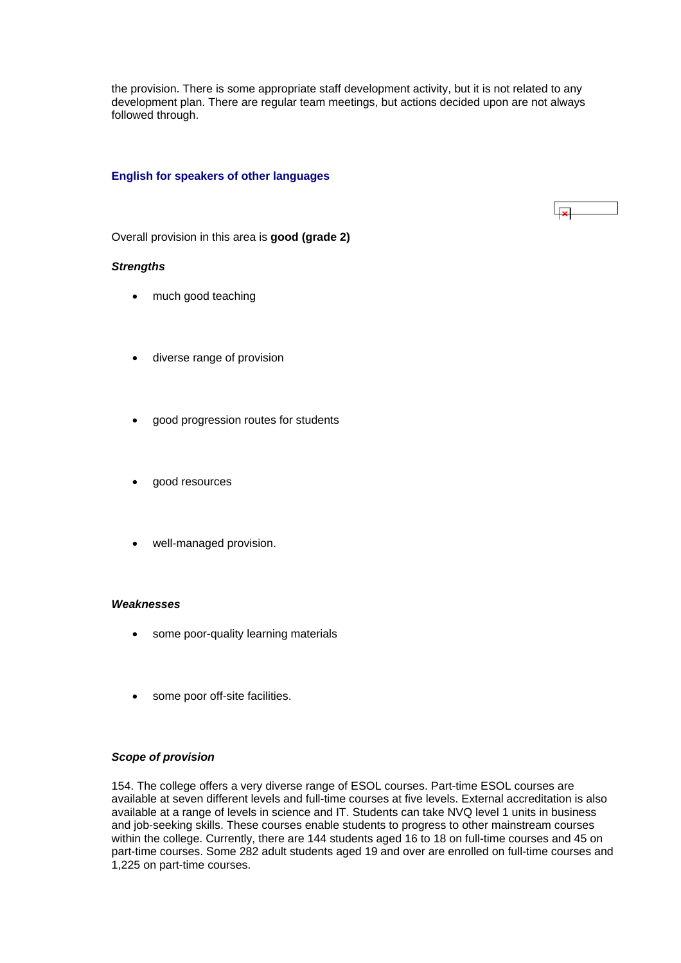<span id="page-47-0"></span>the provision. There is some appropriate staff development activity, but it is not related to any development plan. There are regular team meetings, but actions decided upon are not always followed through.

# **English for speakers of other languages**

 $\overline{1}$ 

Overall provision in this area is **good (grade 2)**

#### *Strengths*

- much good teaching
- diverse range of provision
- good progression routes for students
- good resources
- well-managed provision.

#### *Weaknesses*

- some poor-quality learning materials
- some poor off-site facilities.

#### *Scope of provision*

154. The college offers a very diverse range of ESOL courses. Part-time ESOL courses are available at seven different levels and full-time courses at five levels. External accreditation is also available at a range of levels in science and IT. Students can take NVQ level 1 units in business and job-seeking skills. These courses enable students to progress to other mainstream courses within the college. Currently, there are 144 students aged 16 to 18 on full-time courses and 45 on part-time courses. Some 282 adult students aged 19 and over are enrolled on full-time courses and 1,225 on part-time courses.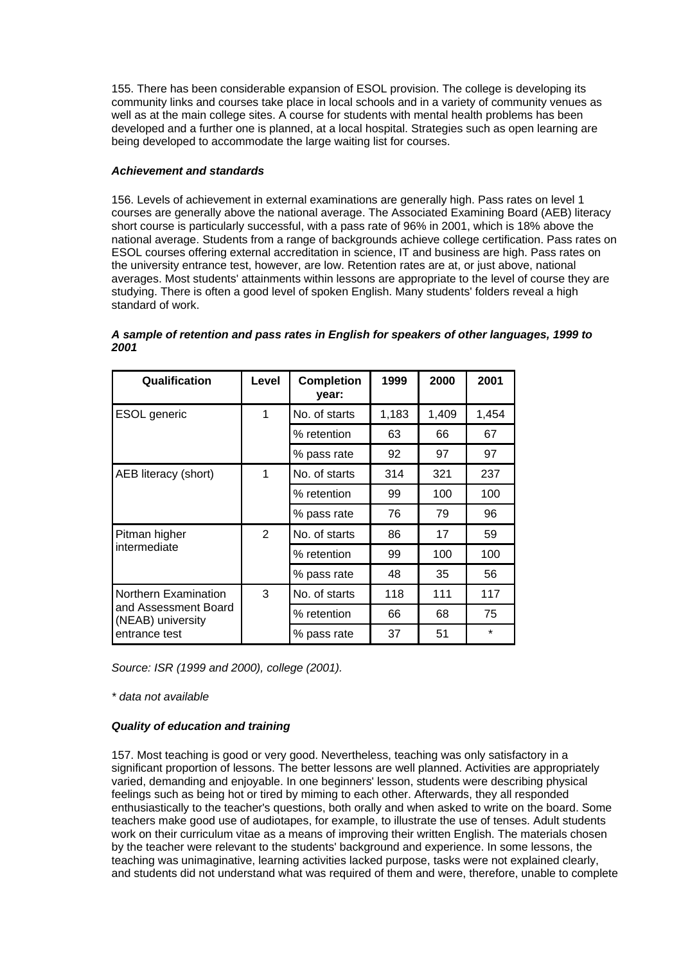155. There has been considerable expansion of ESOL provision. The college is developing its community links and courses take place in local schools and in a variety of community venues as well as at the main college sites. A course for students with mental health problems has been developed and a further one is planned, at a local hospital. Strategies such as open learning are being developed to accommodate the large waiting list for courses.

# *Achievement and standards*

156. Levels of achievement in external examinations are generally high. Pass rates on level 1 courses are generally above the national average. The Associated Examining Board (AEB) literacy short course is particularly successful, with a pass rate of 96% in 2001, which is 18% above the national average. Students from a range of backgrounds achieve college certification. Pass rates on ESOL courses offering external accreditation in science, IT and business are high. Pass rates on the university entrance test, however, are low. Retention rates are at, or just above, national averages. Most students' attainments within lessons are appropriate to the level of course they are studying. There is often a good level of spoken English. Many students' folders reveal a high standard of work.

| Qualification                                                     | Level | <b>Completion</b><br>year: | 1999  | 2000  | 2001    |
|-------------------------------------------------------------------|-------|----------------------------|-------|-------|---------|
| <b>ESOL</b> generic                                               | 1     | No. of starts              | 1,183 | 1,409 | 1,454   |
|                                                                   |       | % retention                | 63    | 66    | 67      |
|                                                                   |       | % pass rate                | 92    | 97    | 97      |
| AEB literacy (short)                                              | 1     | No. of starts              | 314   | 321   | 237     |
|                                                                   |       | % retention                | 99    | 100   | 100     |
|                                                                   |       | % pass rate                | 76    | 79    | 96      |
| Pitman higher<br>intermediate                                     | 2     | No. of starts              | 86    | 17    | 59      |
|                                                                   |       | % retention                | 99    | 100   | 100     |
|                                                                   |       | % pass rate                | 48    | 35    | 56      |
| Northern Examination<br>and Assessment Board<br>(NEAB) university | 3     | No. of starts              | 118   | 111   | 117     |
|                                                                   |       | % retention                | 66    | 68    | 75      |
| entrance test                                                     |       | % pass rate                | 37    | 51    | $\star$ |

*A sample of retention and pass rates in English for speakers of other languages, 1999 to 2001*

*Source: ISR (1999 and 2000), college (2001).*

*\* data not available*

# *Quality of education and training*

157. Most teaching is good or very good. Nevertheless, teaching was only satisfactory in a significant proportion of lessons. The better lessons are well planned. Activities are appropriately varied, demanding and enjoyable. In one beginners' lesson, students were describing physical feelings such as being hot or tired by miming to each other. Afterwards, they all responded enthusiastically to the teacher's questions, both orally and when asked to write on the board. Some teachers make good use of audiotapes, for example, to illustrate the use of tenses. Adult students work on their curriculum vitae as a means of improving their written English. The materials chosen by the teacher were relevant to the students' background and experience. In some lessons, the teaching was unimaginative, learning activities lacked purpose, tasks were not explained clearly, and students did not understand what was required of them and were, therefore, unable to complete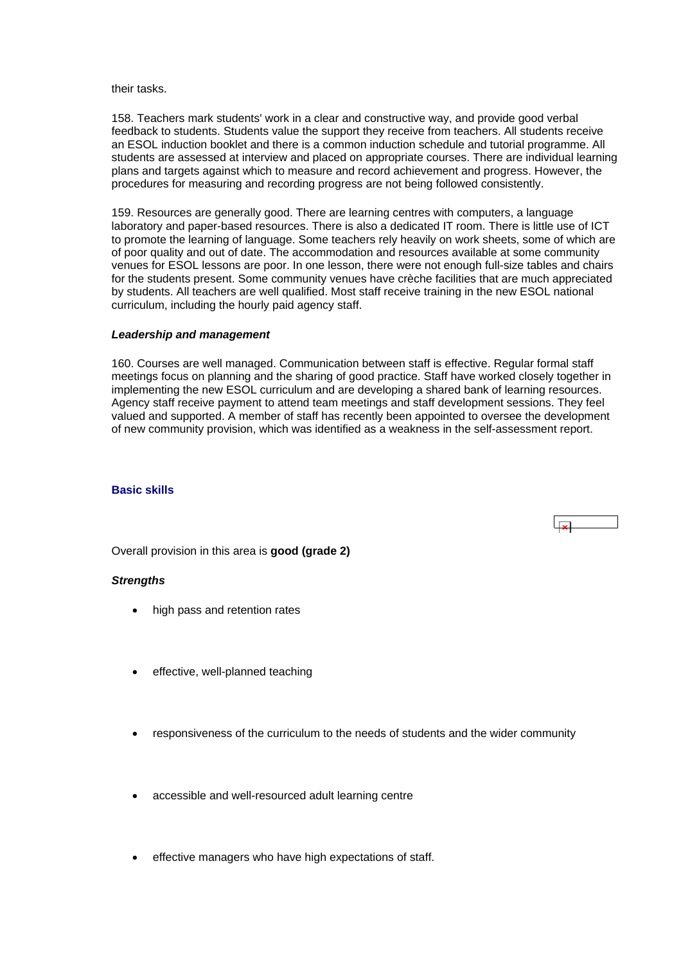#### <span id="page-49-0"></span>their tasks.

158. Teachers mark students' work in a clear and constructive way, and provide good verbal feedback to students. Students value the support they receive from teachers. All students receive an ESOL induction booklet and there is a common induction schedule and tutorial programme. All students are assessed at interview and placed on appropriate courses. There are individual learning plans and targets against which to measure and record achievement and progress. However, the procedures for measuring and recording progress are not being followed consistently.

159. Resources are generally good. There are learning centres with computers, a language laboratory and paper-based resources. There is also a dedicated IT room. There is little use of ICT to promote the learning of language. Some teachers rely heavily on work sheets, some of which are of poor quality and out of date. The accommodation and resources available at some community venues for ESOL lessons are poor. In one lesson, there were not enough full-size tables and chairs for the students present. Some community venues have crèche facilities that are much appreciated by students. All teachers are well qualified. Most staff receive training in the new ESOL national curriculum, including the hourly paid agency staff.

#### *Leadership and management*

160. Courses are well managed. Communication between staff is effective. Regular formal staff meetings focus on planning and the sharing of good practice. Staff have worked closely together in implementing the new ESOL curriculum and are developing a shared bank of learning resources. Agency staff receive payment to attend team meetings and staff development sessions. They feel valued and supported. A member of staff has recently been appointed to oversee the development of new community provision, which was identified as a weakness in the self-assessment report.

#### **Basic skills**

Overall provision in this area is **good (grade 2)**

#### *Strengths*

- high pass and retention rates
- effective, well-planned teaching
- responsiveness of the curriculum to the needs of students and the wider community
- accessible and well-resourced adult learning centre
- effective managers who have high expectations of staff.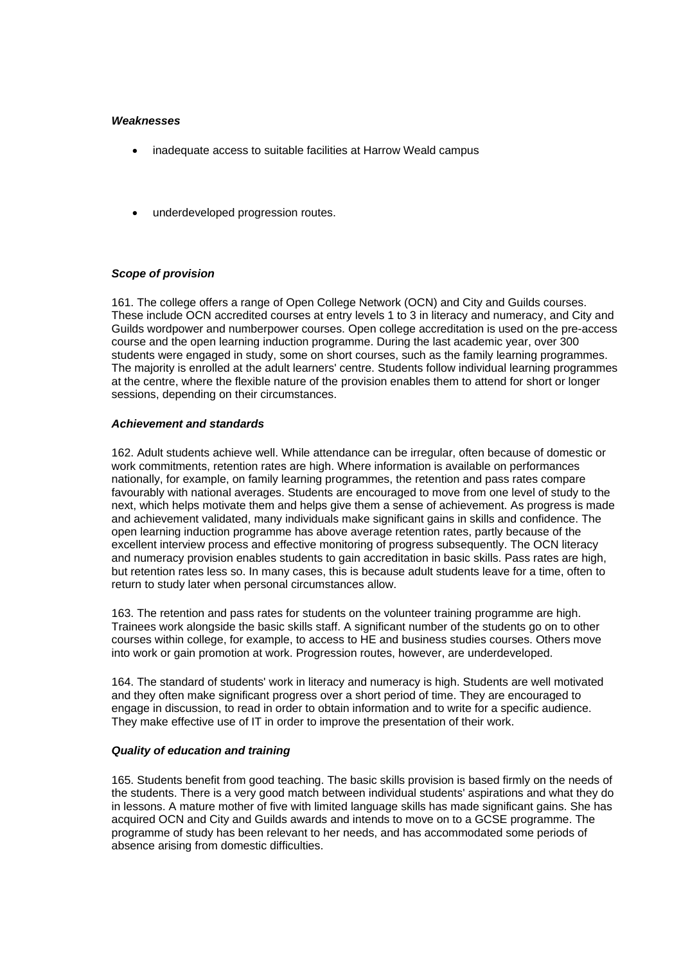### *Weaknesses*

- inadequate access to suitable facilities at Harrow Weald campus
- underdeveloped progression routes.

# *Scope of provision*

161. The college offers a range of Open College Network (OCN) and City and Guilds courses. These include OCN accredited courses at entry levels 1 to 3 in literacy and numeracy, and City and Guilds wordpower and numberpower courses. Open college accreditation is used on the pre-access course and the open learning induction programme. During the last academic year, over 300 students were engaged in study, some on short courses, such as the family learning programmes. The majority is enrolled at the adult learners' centre. Students follow individual learning programmes at the centre, where the flexible nature of the provision enables them to attend for short or longer sessions, depending on their circumstances.

#### *Achievement and standards*

162. Adult students achieve well. While attendance can be irregular, often because of domestic or work commitments, retention rates are high. Where information is available on performances nationally, for example, on family learning programmes, the retention and pass rates compare favourably with national averages. Students are encouraged to move from one level of study to the next, which helps motivate them and helps give them a sense of achievement. As progress is made and achievement validated, many individuals make significant gains in skills and confidence. The open learning induction programme has above average retention rates, partly because of the excellent interview process and effective monitoring of progress subsequently. The OCN literacy and numeracy provision enables students to gain accreditation in basic skills. Pass rates are high, but retention rates less so. In many cases, this is because adult students leave for a time, often to return to study later when personal circumstances allow.

163. The retention and pass rates for students on the volunteer training programme are high. Trainees work alongside the basic skills staff. A significant number of the students go on to other courses within college, for example, to access to HE and business studies courses. Others move into work or gain promotion at work. Progression routes, however, are underdeveloped.

164. The standard of students' work in literacy and numeracy is high. Students are well motivated and they often make significant progress over a short period of time. They are encouraged to engage in discussion, to read in order to obtain information and to write for a specific audience. They make effective use of IT in order to improve the presentation of their work.

#### *Quality of education and training*

165. Students benefit from good teaching. The basic skills provision is based firmly on the needs of the students. There is a very good match between individual students' aspirations and what they do in lessons. A mature mother of five with limited language skills has made significant gains. She has acquired OCN and City and Guilds awards and intends to move on to a GCSE programme. The programme of study has been relevant to her needs, and has accommodated some periods of absence arising from domestic difficulties.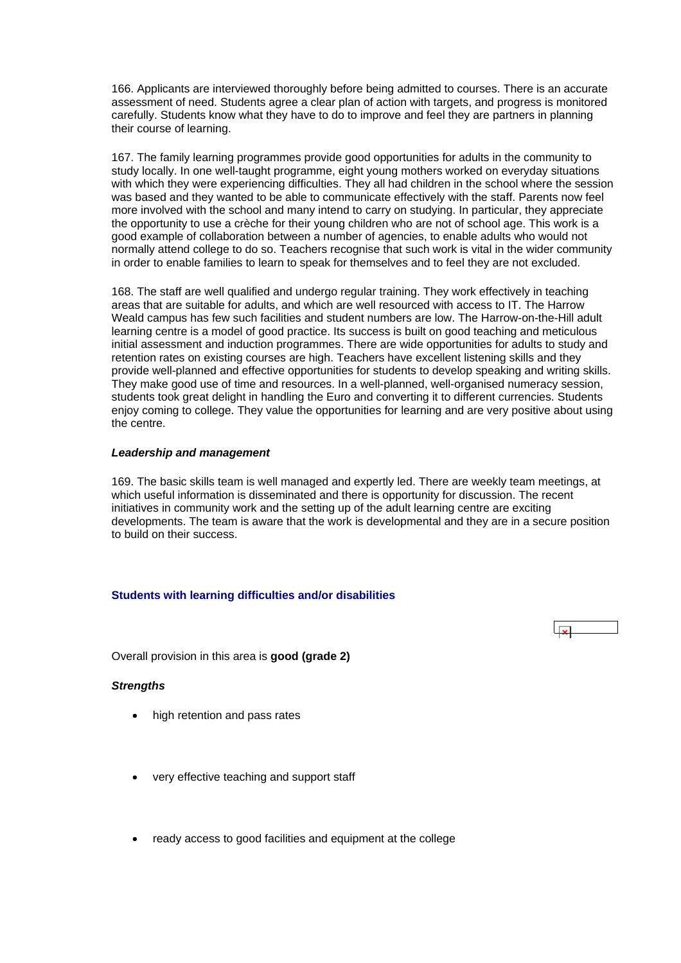<span id="page-51-0"></span>166. Applicants are interviewed thoroughly before being admitted to courses. There is an accurate assessment of need. Students agree a clear plan of action with targets, and progress is monitored carefully. Students know what they have to do to improve and feel they are partners in planning their course of learning.

167. The family learning programmes provide good opportunities for adults in the community to study locally. In one well-taught programme, eight young mothers worked on everyday situations with which they were experiencing difficulties. They all had children in the school where the session was based and they wanted to be able to communicate effectively with the staff. Parents now feel more involved with the school and many intend to carry on studying. In particular, they appreciate the opportunity to use a crèche for their young children who are not of school age. This work is a good example of collaboration between a number of agencies, to enable adults who would not normally attend college to do so. Teachers recognise that such work is vital in the wider community in order to enable families to learn to speak for themselves and to feel they are not excluded.

168. The staff are well qualified and undergo regular training. They work effectively in teaching areas that are suitable for adults, and which are well resourced with access to IT. The Harrow Weald campus has few such facilities and student numbers are low. The Harrow-on-the-Hill adult learning centre is a model of good practice. Its success is built on good teaching and meticulous initial assessment and induction programmes. There are wide opportunities for adults to study and retention rates on existing courses are high. Teachers have excellent listening skills and they provide well-planned and effective opportunities for students to develop speaking and writing skills. They make good use of time and resources. In a well-planned, well-organised numeracy session, students took great delight in handling the Euro and converting it to different currencies. Students enjoy coming to college. They value the opportunities for learning and are very positive about using the centre.

#### *Leadership and management*

169. The basic skills team is well managed and expertly led. There are weekly team meetings, at which useful information is disseminated and there is opportunity for discussion. The recent initiatives in community work and the setting up of the adult learning centre are exciting developments. The team is aware that the work is developmental and they are in a secure position to build on their success.

 $\overline{\mathbf{x}}$ 

# **Students with learning difficulties and/or disabilities**

Overall provision in this area is **good (grade 2)** 

#### *Strengths*

- high retention and pass rates
- very effective teaching and support staff
- ready access to good facilities and equipment at the college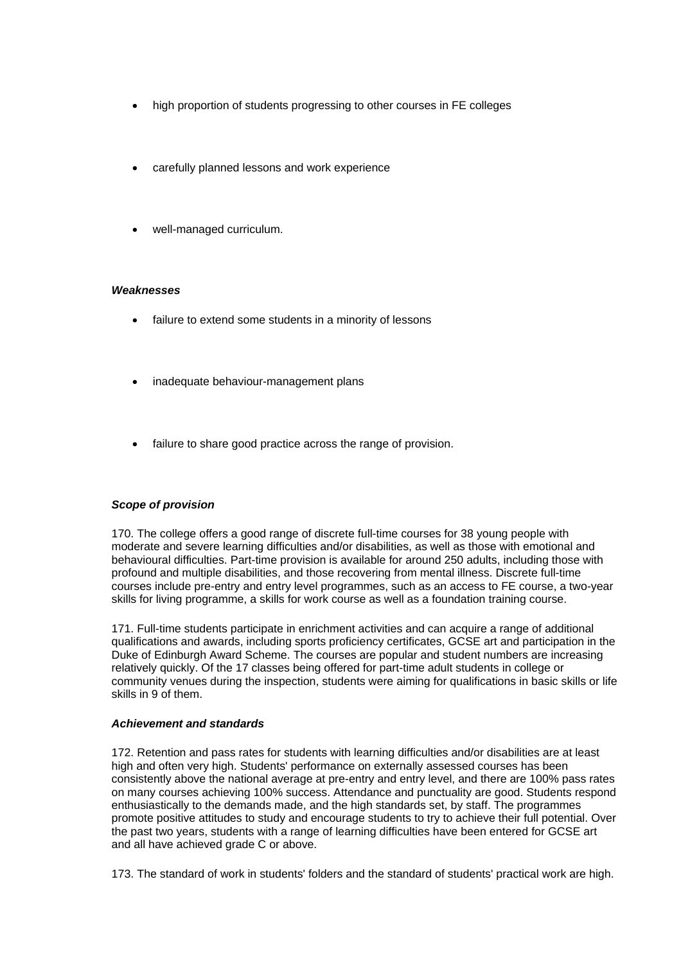- high proportion of students progressing to other courses in FE colleges
- carefully planned lessons and work experience
- well-managed curriculum.

# *Weaknesses*

- failure to extend some students in a minority of lessons
- inadequate behaviour-management plans
- failure to share good practice across the range of provision.

# *Scope of provision*

170. The college offers a good range of discrete full-time courses for 38 young people with moderate and severe learning difficulties and/or disabilities, as well as those with emotional and behavioural difficulties. Part-time provision is available for around 250 adults, including those with profound and multiple disabilities, and those recovering from mental illness. Discrete full-time courses include pre-entry and entry level programmes, such as an access to FE course, a two-year skills for living programme, a skills for work course as well as a foundation training course.

171. Full-time students participate in enrichment activities and can acquire a range of additional qualifications and awards, including sports proficiency certificates, GCSE art and participation in the Duke of Edinburgh Award Scheme. The courses are popular and student numbers are increasing relatively quickly. Of the 17 classes being offered for part-time adult students in college or community venues during the inspection, students were aiming for qualifications in basic skills or life skills in 9 of them.

# *Achievement and standards*

172. Retention and pass rates for students with learning difficulties and/or disabilities are at least high and often very high. Students' performance on externally assessed courses has been consistently above the national average at pre-entry and entry level, and there are 100% pass rates on many courses achieving 100% success. Attendance and punctuality are good. Students respond enthusiastically to the demands made, and the high standards set, by staff. The programmes promote positive attitudes to study and encourage students to try to achieve their full potential. Over the past two years, students with a range of learning difficulties have been entered for GCSE art and all have achieved grade C or above.

173. The standard of work in students' folders and the standard of students' practical work are high.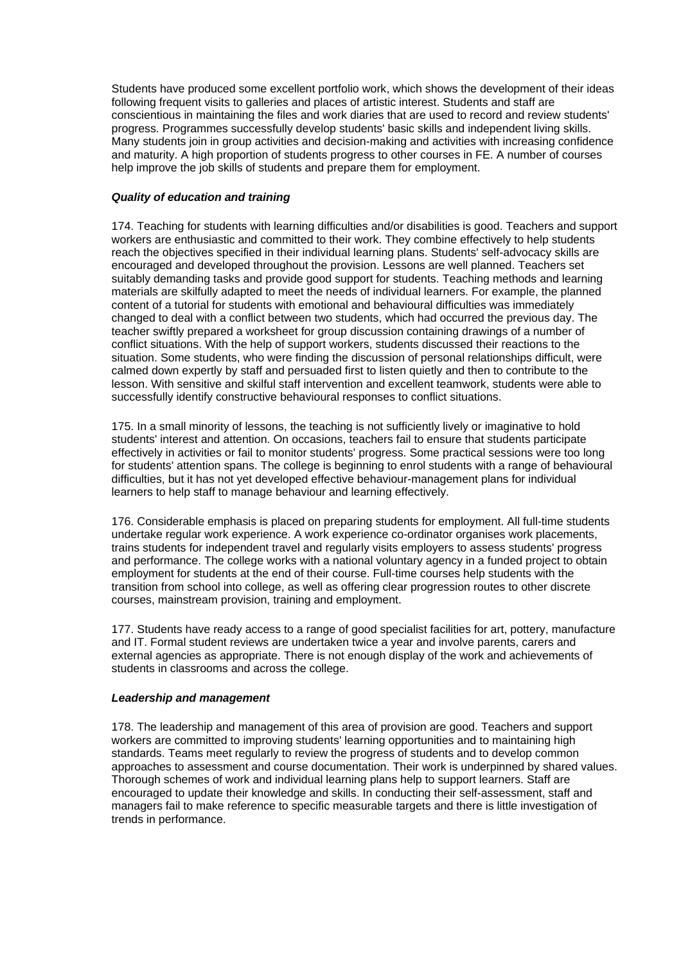<span id="page-53-0"></span>Students have produced some excellent portfolio work, which shows the development of their ideas following frequent visits to galleries and places of artistic interest. Students and staff are conscientious in maintaining the files and work diaries that are used to record and review students' progress. Programmes successfully develop students' basic skills and independent living skills. Many students join in group activities and decision-making and activities with increasing confidence and maturity. A high proportion of students progress to other courses in FE. A number of courses help improve the job skills of students and prepare them for employment.

# *Quality of education and training*

174. Teaching for students with learning difficulties and/or disabilities is good. Teachers and support workers are enthusiastic and committed to their work. They combine effectively to help students reach the objectives specified in their individual learning plans. Students' self-advocacy skills are encouraged and developed throughout the provision. Lessons are well planned. Teachers set suitably demanding tasks and provide good support for students. Teaching methods and learning materials are skilfully adapted to meet the needs of individual learners. For example, the planned content of a tutorial for students with emotional and behavioural difficulties was immediately changed to deal with a conflict between two students, which had occurred the previous day. The teacher swiftly prepared a worksheet for group discussion containing drawings of a number of conflict situations. With the help of support workers, students discussed their reactions to the situation. Some students, who were finding the discussion of personal relationships difficult, were calmed down expertly by staff and persuaded first to listen quietly and then to contribute to the lesson. With sensitive and skilful staff intervention and excellent teamwork, students were able to successfully identify constructive behavioural responses to conflict situations.

175. In a small minority of lessons, the teaching is not sufficiently lively or imaginative to hold students' interest and attention. On occasions, teachers fail to ensure that students participate effectively in activities or fail to monitor students' progress. Some practical sessions were too long for students' attention spans. The college is beginning to enrol students with a range of behavioural difficulties, but it has not yet developed effective behaviour-management plans for individual learners to help staff to manage behaviour and learning effectively.

176. Considerable emphasis is placed on preparing students for employment. All full-time students undertake regular work experience. A work experience co-ordinator organises work placements, trains students for independent travel and regularly visits employers to assess students' progress and performance. The college works with a national voluntary agency in a funded project to obtain employment for students at the end of their course. Full-time courses help students with the transition from school into college, as well as offering clear progression routes to other discrete courses, mainstream provision, training and employment.

177. Students have ready access to a range of good specialist facilities for art, pottery, manufacture and IT. Formal student reviews are undertaken twice a year and involve parents, carers and external agencies as appropriate. There is not enough display of the work and achievements of students in classrooms and across the college.

#### *Leadership and management*

178. The leadership and management of this area of provision are good. Teachers and support workers are committed to improving students' learning opportunities and to maintaining high standards. Teams meet regularly to review the progress of students and to develop common approaches to assessment and course documentation. Their work is underpinned by shared values. Thorough schemes of work and individual learning plans help to support learners. Staff are encouraged to update their knowledge and skills. In conducting their self-assessment, staff and managers fail to make reference to specific measurable targets and there is little investigation of trends in performance.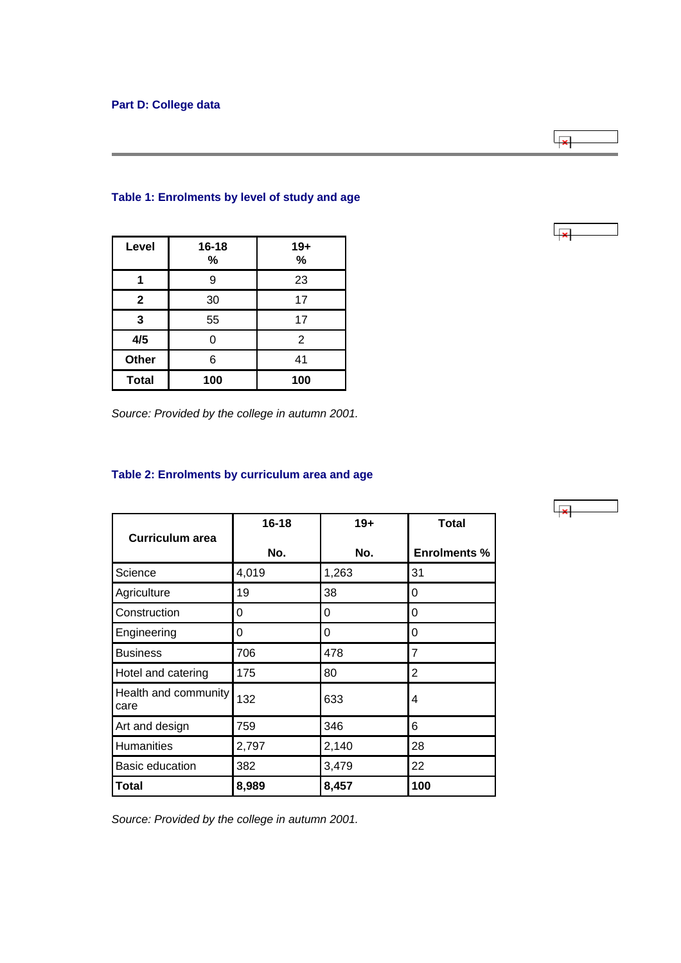| Level        | $16 - 18$<br>% | $19+$<br>% |  |  |
|--------------|----------------|------------|--|--|
|              | 9              | 23         |  |  |
| $\mathbf{2}$ | 30             | 17         |  |  |
| 3            | 55             | 17         |  |  |
| 4/5          | ი              | 2          |  |  |
| Other        | 6              | 41         |  |  |
| <b>Total</b> | 100            | 100        |  |  |

# <span id="page-54-0"></span>**Table 1: Enrolments by level of study and age**

*Source: Provided by the college in autumn 2001.*

# **Table 2: Enrolments by curriculum area and age**

|                              | $16 - 18$ | $19+$ | <b>Total</b>        |
|------------------------------|-----------|-------|---------------------|
| <b>Curriculum area</b>       | No.       | No.   | <b>Enrolments %</b> |
| Science                      | 4,019     | 1,263 | 31                  |
| Agriculture                  | 19        | 38    | 0                   |
| Construction                 | 0         | 0     | 0                   |
| Engineering                  | 0         | 0     | 0                   |
| <b>Business</b>              | 706       | 478   | 7                   |
| Hotel and catering           | 175       | 80    | 2                   |
| Health and community<br>care | 132       | 633   | 4                   |
| Art and design               | 759       | 346   | 6                   |
| <b>Humanities</b>            | 2,797     | 2,140 | 28                  |
| <b>Basic education</b>       | 382       | 3,479 | 22                  |
| Total                        | 8,989     | 8,457 | 100                 |

*Source: Provided by the college in autumn 2001.*



 $\overline{\phantom{a}}$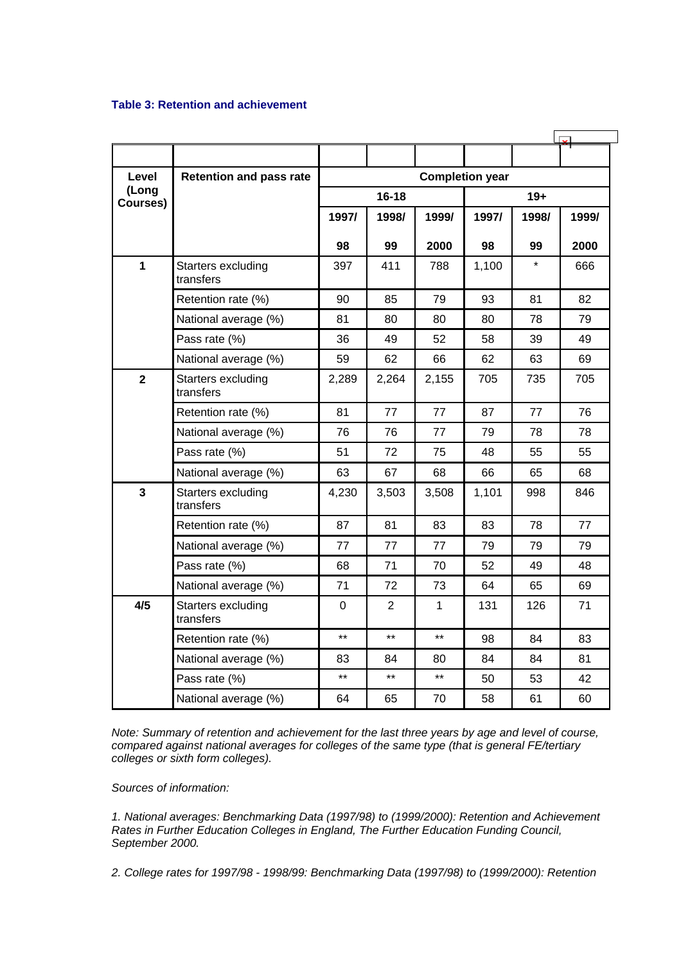#### **Table 3: Retention and achievement**

| Level                   | <b>Retention and pass rate</b>  | <b>Completion year</b> |                |       |       |         |       |  |
|-------------------------|---------------------------------|------------------------|----------------|-------|-------|---------|-------|--|
| (Long<br>Courses)       |                                 | $16 - 18$              |                |       |       | $19+$   |       |  |
|                         |                                 | 1997/                  | 1998/          | 1999/ | 1997/ | 1998/   | 1999/ |  |
|                         |                                 | 98                     | 99             | 2000  | 98    | 99      | 2000  |  |
| $\mathbf{1}$            | Starters excluding<br>transfers | 397                    | 411            | 788   | 1,100 | $\star$ | 666   |  |
|                         | Retention rate (%)              | 90                     | 85             | 79    | 93    | 81      | 82    |  |
|                         | National average (%)            | 81                     | 80             | 80    | 80    | 78      | 79    |  |
|                         | Pass rate (%)                   | 36                     | 49             | 52    | 58    | 39      | 49    |  |
|                         | National average (%)            | 59                     | 62             | 66    | 62    | 63      | 69    |  |
| $\overline{2}$          | Starters excluding<br>transfers | 2,289                  | 2,264          | 2,155 | 705   | 735     | 705   |  |
|                         | Retention rate (%)              | 81                     | 77             | 77    | 87    | 77      | 76    |  |
|                         | National average (%)            | 76                     | 76             | 77    | 79    | 78      | 78    |  |
|                         | Pass rate (%)                   | 51                     | 72             | 75    | 48    | 55      | 55    |  |
|                         | National average (%)            | 63                     | 67             | 68    | 66    | 65      | 68    |  |
| $\overline{\mathbf{3}}$ | Starters excluding<br>transfers | 4,230                  | 3,503          | 3,508 | 1,101 | 998     | 846   |  |
|                         | Retention rate (%)              | 87                     | 81             | 83    | 83    | 78      | 77    |  |
|                         | National average (%)            | 77                     | 77             | 77    | 79    | 79      | 79    |  |
|                         | Pass rate (%)                   | 68                     | 71             | 70    | 52    | 49      | 48    |  |
|                         | National average (%)            | 71                     | 72             | 73    | 64    | 65      | 69    |  |
| 4/5                     | Starters excluding<br>transfers | 0                      | $\overline{2}$ | 1     | 131   | 126     | 71    |  |
|                         | Retention rate (%)              | $***$                  | $\star\star$   | $***$ | 98    | 84      | 83    |  |
|                         | National average (%)            | 83                     | 84             | 80    | 84    | 84      | 81    |  |
|                         | Pass rate (%)                   | $***$                  | $***$          | $***$ | 50    | 53      | 42    |  |
|                         | National average (%)            | 64                     | 65             | 70    | 58    | 61      | 60    |  |

*Note: Summary of retention and achievement for the last three years by age and level of course, compared against national averages for colleges of the same type (that is general FE/tertiary colleges or sixth form colleges).*

*Sources of information:* 

*1. National averages: Benchmarking Data (1997/98) to (1999/2000): Retention and Achievement Rates in Further Education Colleges in England, The Further Education Funding Council, September 2000.*

*2. College rates for 1997/98 - 1998/99: Benchmarking Data (1997/98) to (1999/2000): Retention*